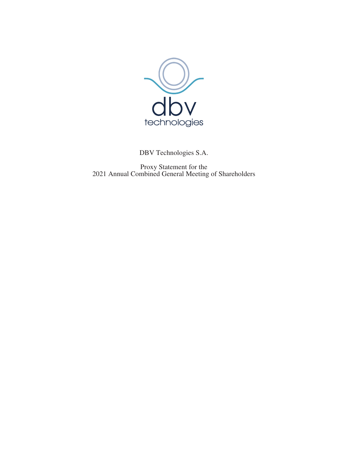

DBV Technologies S.A.

Proxy Statement for the 2021 Annual Combined General Meeting of Shareholders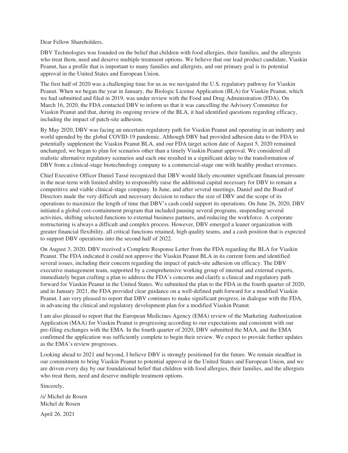Dear Fellow Shareholders,

DBV Technologies was founded on the belief that children with food allergies, their families, and the allergists who treat them, need and deserve multiple treatment options. We believe that our lead product candidate, Viaskin Peanut, has a profile that is important to many families and allergists, and our primary goal is its potential approval in the United States and European Union.

The first half of 2020 was a challenging time for us as we navigated the U.S. regulatory pathway for Viaskin Peanut. When we began the year in January, the Biologic License Application (BLA) for Viaskin Peanut, which we had submitted and filed in 2019, was under review with the Food and Drug Administration (FDA). On March 16, 2020, the FDA contacted DBV to inform us that it was cancelling the Advisory Committee for Viaskin Peanut and that, during its ongoing review of the BLA, it had identified questions regarding efficacy, including the impact of patch-site adhesion.

By May 2020, DBV was facing an uncertain regulatory path for Viaskin Peanut and operating in an industry and world upended by the global COVID-19 pandemic. Although DBV had provided adhesion data to the FDA to potentially supplement the Viaskin Peanut BLA, and our FDA target action date of August 5, 2020 remained unchanged, we began to plan for scenarios other than a timely Viaskin Peanut approval. We considered all realistic alternative regulatory scenarios and each one resulted in a significant delay to the transformation of DBV from a clinical-stage biotechnology company to a commercial-stage one with healthy product revenues.

Chief Executive Officer Daniel Tassé recognized that DBV would likely encounter significant financial pressure in the near-term with limited ability to responsibly raise the additional capital necessary for DBV to remain a competitive and viable clinical-stage company. In June, and after several meetings, Daniel and the Board of Directors made the very difficult and necessary decision to reduce the size of DBV and the scope of its operations to maximize the length of time that DBV's cash could support its operations. On June 26, 2020, DBV initiated a global cost-containment program that included pausing several programs, suspending several activities, shifting selected functions to external business partners, and reducing the workforce. A corporate restructuring is always a difficult and complex process. However, DBV emerged a leaner organization with greater financial flexibility, all critical functions retained, high quality teams, and a cash position that is expected to support DBV operations into the second half of 2022.

On August 3, 2020, DBV received a Complete Response Letter from the FDA regarding the BLA for Viaskin Peanut. The FDA indicated it could not approve the Viaskin Peanut BLA in its current form and identified several issues, including their concern regarding the impact of patch-site adhesion on efficacy. The DBV executive management team, supported by a comprehensive working group of internal and external experts, immediately began crafting a plan to address the FDA's concerns and clarify a clinical and regulatory path forward for Viaskin Peanut in the United States. We submitted the plan to the FDA in the fourth quarter of 2020, and in January 2021, the FDA provided clear guidance on a well-defined path forward for a modified Viaskin Peanut. I am very pleased to report that DBV continues to make significant progress, in dialogue with the FDA, in advancing the clinical and regulatory development plan for a modified Viaskin Peanut.

I am also pleased to report that the European Medicines Agency (EMA) review of the Marketing Authorization Application (MAA) for Viaskin Peanut is progressing according to our expectations and consistent with our pre-filing exchanges with the EMA. In the fourth quarter of 2020, DBV submitted the MAA, and the EMA confirmed the application was sufficiently complete to begin their review. We expect to provide further updates as the EMA's review progresses.

Looking ahead to 2021 and beyond, I believe DBV is strongly positioned for the future. We remain steadfast in our commitment to bring Viaskin Peanut to potential approval in the United States and European Union, and we are driven every day by our foundational belief that children with food allergies, their families, and the allergists who treat them, need and deserve multiple treatment options.

Sincerely,

/s/ Michel de Rosen Michel de Rosen

April 26, 2021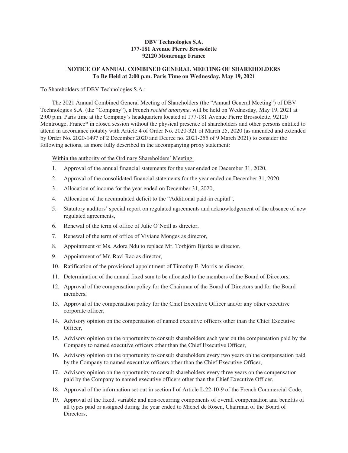## **DBV Technologies S.A. 177-181 Avenue Pierre Brossolette 92120 Montrouge France**

## **NOTICE OF ANNUAL COMBINED GENERAL MEETING OF SHAREHOLDERS To Be Held at 2:00 p.m. Paris Time on Wednesday, May 19, 2021**

## To Shareholders of DBV Technologies S.A.:

The 2021 Annual Combined General Meeting of Shareholders (the "Annual General Meeting") of DBV Technologies S.A. (the "Company"), a French *société anonyme*, will be held on Wednesday, May 19, 2021 at 2:00 p.m. Paris time at the Company's headquarters located at 177-181 Avenue Pierre Brossolette, 92120 Montrouge, France\* in closed session without the physical presence of shareholders and other persons entitled to attend in accordance notably with Article 4 of Order No. 2020-321 of March 25, 2020 (as amended and extended by Order No. 2020-1497 of 2 December 2020 and Decree no. 2021-255 of 9 March 2021) to consider the following actions, as more fully described in the accompanying proxy statement:

Within the authority of the Ordinary Shareholders' Meeting:

- 1. Approval of the annual financial statements for the year ended on December 31, 2020,
- 2. Approval of the consolidated financial statements for the year ended on December 31, 2020,
- 3. Allocation of income for the year ended on December 31, 2020,
- 4. Allocation of the accumulated deficit to the "Additional paid-in capital",
- 5. Statutory auditors' special report on regulated agreements and acknowledgement of the absence of new regulated agreements,
- 6. Renewal of the term of office of Julie O'Neill as director,
- 7. Renewal of the term of office of Viviane Monges as director,
- 8. Appointment of Ms. Adora Ndu to replace Mr. Torbjörn Bjerke as director,
- 9. Appointment of Mr. Ravi Rao as director,
- 10. Ratification of the provisional appointment of Timothy E. Morris as director,
- 11. Determination of the annual fixed sum to be allocated to the members of the Board of Directors,
- 12. Approval of the compensation policy for the Chairman of the Board of Directors and for the Board members,
- 13. Approval of the compensation policy for the Chief Executive Officer and/or any other executive corporate officer,
- 14. Advisory opinion on the compensation of named executive officers other than the Chief Executive Officer,
- 15. Advisory opinion on the opportunity to consult shareholders each year on the compensation paid by the Company to named executive officers other than the Chief Executive Officer,
- 16. Advisory opinion on the opportunity to consult shareholders every two years on the compensation paid by the Company to named executive officers other than the Chief Executive Officer,
- 17. Advisory opinion on the opportunity to consult shareholders every three years on the compensation paid by the Company to named executive officers other than the Chief Executive Officer,
- 18. Approval of the information set out in section I of Article L.22-10-9 of the French Commercial Code,
- 19. Approval of the fixed, variable and non-recurring components of overall compensation and benefits of all types paid or assigned during the year ended to Michel de Rosen, Chairman of the Board of Directors,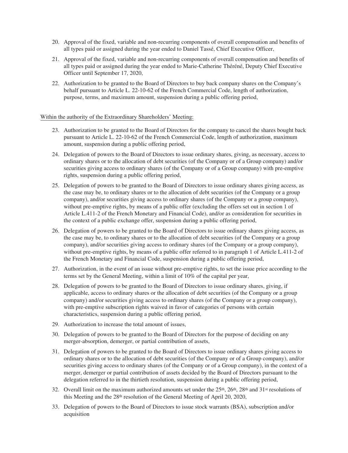- 20. Approval of the fixed, variable and non-recurring components of overall compensation and benefits of all types paid or assigned during the year ended to Daniel Tassé, Chief Executive Officer,
- 21. Approval of the fixed, variable and non-recurring components of overall compensation and benefits of all types paid or assigned during the year ended to Marie-Catherine Théréné, Deputy Chief Executive Officer until September 17, 2020,
- 22. Authorization to be granted to the Board of Directors to buy back company shares on the Company's behalf pursuant to Article L. 22-10-62 of the French Commercial Code, length of authorization, purpose, terms, and maximum amount, suspension during a public offering period,

## Within the authority of the Extraordinary Shareholders' Meeting:

- 23. Authorization to be granted to the Board of Directors for the company to cancel the shares bought back pursuant to Article L. 22-10-62 of the French Commercial Code, length of authorization, maximum amount, suspension during a public offering period,
- 24. Delegation of powers to the Board of Directors to issue ordinary shares, giving, as necessary, access to ordinary shares or to the allocation of debt securities (of the Company or of a Group company) and/or securities giving access to ordinary shares (of the Company or of a Group company) with pre-emptive rights, suspension during a public offering period,
- 25. Delegation of powers to be granted to the Board of Directors to issue ordinary shares giving access, as the case may be, to ordinary shares or to the allocation of debt securities (of the Company or a group company), and/or securities giving access to ordinary shares (of the Company or a group company), without pre-emptive rights, by means of a public offer (excluding the offers set out in section 1 of Article L.411-2 of the French Monetary and Financial Code), and/or as consideration for securities in the context of a public exchange offer, suspension during a public offering period,
- 26. Delegation of powers to be granted to the Board of Directors to issue ordinary shares giving access, as the case may be, to ordinary shares or to the allocation of debt securities (of the Company or a group company), and/or securities giving access to ordinary shares (of the Company or a group company), without pre-emptive rights, by means of a public offer referred to in paragraph 1 of Article L.411-2 of the French Monetary and Financial Code, suspension during a public offering period,
- 27. Authorization, in the event of an issue without pre-emptive rights, to set the issue price according to the terms set by the General Meeting, within a limit of 10% of the capital per year,
- 28. Delegation of powers to be granted to the Board of Directors to issue ordinary shares, giving, if applicable, access to ordinary shares or the allocation of debt securities (of the Company or a group company) and/or securities giving access to ordinary shares (of the Company or a group company), with pre-emptive subscription rights waived in favor of categories of persons with certain characteristics, suspension during a public offering period,
- 29. Authorization to increase the total amount of issues,
- 30. Delegation of powers to be granted to the Board of Directors for the purpose of deciding on any merger-absorption, demerger, or partial contribution of assets,
- 31. Delegation of powers to be granted to the Board of Directors to issue ordinary shares giving access to ordinary shares or to the allocation of debt securities (of the Company or of a Group company), and/or securities giving access to ordinary shares (of the Company or of a Group company), in the context of a merger, demerger or partial contribution of assets decided by the Board of Directors pursuant to the delegation referred to in the thirtieth resolution, suspension during a public offering period,
- 32. Overall limit on the maximum authorized amounts set under the  $25<sup>th</sup>$ ,  $26<sup>th</sup>$ ,  $28<sup>th</sup>$  and  $31<sup>st</sup>$  resolutions of this Meeting and the 28th resolution of the General Meeting of April 20, 2020,
- 33. Delegation of powers to the Board of Directors to issue stock warrants (BSA), subscription and/or acquisition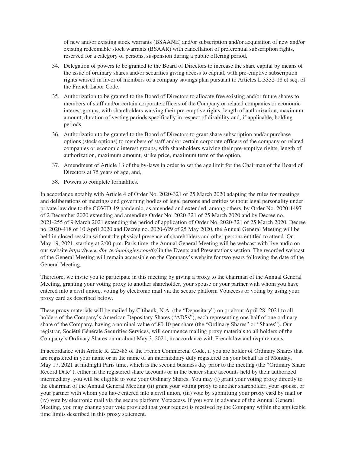of new and/or existing stock warrants (BSAANE) and/or subscription and/or acquisition of new and/or existing redeemable stock warrants (BSAAR) with cancellation of preferential subscription rights, reserved for a category of persons, suspension during a public offering period,

- 34. Delegation of powers to be granted to the Board of Directors to increase the share capital by means of the issue of ordinary shares and/or securities giving access to capital, with pre-emptive subscription rights waived in favor of members of a company savings plan pursuant to Articles L.3332-18 et seq. of the French Labor Code,
- 35. Authorization to be granted to the Board of Directors to allocate free existing and/or future shares to members of staff and/or certain corporate officers of the Company or related companies or economic interest groups, with shareholders waiving their pre-emptive rights, length of authorization, maximum amount, duration of vesting periods specifically in respect of disability and, if applicable, holding periods,
- 36. Authorization to be granted to the Board of Directors to grant share subscription and/or purchase options (stock options) to members of staff and/or certain corporate officers of the company or related companies or economic interest groups, with shareholders waiving their pre-emptive rights, length of authorization, maximum amount, strike price, maximum term of the option,
- 37. Amendment of Article 13 of the by-laws in order to set the age limit for the Chairman of the Board of Directors at 75 years of age, and,
- 38. Powers to complete formalities.

In accordance notably with Article 4 of Order No. 2020-321 of 25 March 2020 adapting the rules for meetings and deliberations of meetings and governing bodies of legal persons and entities without legal personality under private law due to the COVID-19 pandemic, as amended and extended, among others, by Order No. 2020-1497 of 2 December 2020 extending and amending Order No. 2020-321 of 25 March 2020 and by Decree no. 2021-255 of 9 March 2021 extending the period of application of Order No. 2020-321 of 25 March 2020, Decree no. 2020-418 of 10 April 2020 and Decree no. 2020-629 of 25 May 2020, the Annual General Meeting will be held in closed session without the physical presence of shareholders and other persons entitled to attend. On May 19, 2021, starting at 2:00 p.m. Paris time, the Annual General Meeting will be webcast with live audio on our website *https://www.dbv-technologies.com/fr/* in the Events and Presentations section. The recorded webcast of the General Meeting will remain accessible on the Company's website for two years following the date of the General Meeting.

Therefore, we invite you to participate in this meeting by giving a proxy to the chairman of the Annual General Meeting, granting your voting proxy to another shareholder, your spouse or your partner with whom you have entered into a civil union,, voting by electronic mail via the secure platform Votaccess or voting by using your proxy card as described below.

These proxy materials will be mailed by Citibank, N.A. (the "Depositary") on or about April 28, 2021 to all holders of the Company's American Depositary Shares ("ADSs"), each representing one-half of one ordinary share of the Company, having a nominal value of  $\epsilon$ 0.10 per share (the "Ordinary Shares" or "Shares"). Our registrar, Société Générale Securities Services, will commence mailing proxy materials to all holders of the Company's Ordinary Shares on or about May 3, 2021, in accordance with French law and requirements.

In accordance with Article R. 225-85 of the French Commercial Code, if you are holder of Ordinary Shares that are registered in your name or in the name of an intermediary duly registered on your behalf as of Monday, May 17, 2021 at midnight Paris time, which is the second business day prior to the meeting (the "Ordinary Share Record Date"), either in the registered share accounts or in the bearer share accounts held by their authorized intermediary, you will be eligible to vote your Ordinary Shares. You may (i) grant your voting proxy directly to the chairman of the Annual General Meeting (ii) grant your voting proxy to another shareholder, your spouse, or your partner with whom you have entered into a civil union, (iii) vote by submitting your proxy card by mail or (iv) vote by electronic mail via the secure platform Votaccess. If you vote in advance of the Annual General Meeting, you may change your vote provided that your request is received by the Company within the applicable time limits described in this proxy statement.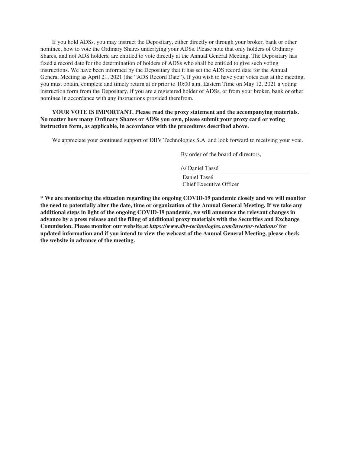If you hold ADSs, you may instruct the Depositary, either directly or through your broker, bank or other nominee, how to vote the Ordinary Shares underlying your ADSs. Please note that only holders of Ordinary Shares, and not ADS holders, are entitled to vote directly at the Annual General Meeting. The Depositary has fixed a record date for the determination of holders of ADSs who shall be entitled to give such voting instructions. We have been informed by the Depositary that it has set the ADS record date for the Annual General Meeting as April 21, 2021 (the "ADS Record Date"). If you wish to have your votes cast at the meeting, you must obtain, complete and timely return at or prior to 10:00 a.m. Eastern Time on May 12, 2021 a voting instruction form from the Depositary, if you are a registered holder of ADSs, or from your broker, bank or other nominee in accordance with any instructions provided therefrom.

## **YOUR VOTE IS IMPORTANT. Please read the proxy statement and the accompanying materials. No matter how many Ordinary Shares or ADSs you own, please submit your proxy card or voting instruction form, as applicable, in accordance with the procedures described above.**

We appreciate your continued support of DBV Technologies S.A. and look forward to receiving your vote.

By order of the board of directors,

/s/ Daniel Tassé

Daniel Tassé Chief Executive Officer

**\* We are monitoring the situation regarding the ongoing COVID-19 pandemic closely and we will monitor the need to potentially alter the date, time or organization of the Annual General Meeting. If we take any additional steps in light of the ongoing COVID-19 pandemic, we will announce the relevant changes in advance by a press release and the filing of additional proxy materials with the Securities and Exchange Commission. Please monitor our website at** *https://www.dbv-technologies.com/investor-relations/* **for updated information and if you intend to view the webcast of the Annual General Meeting, please check the website in advance of the meeting.**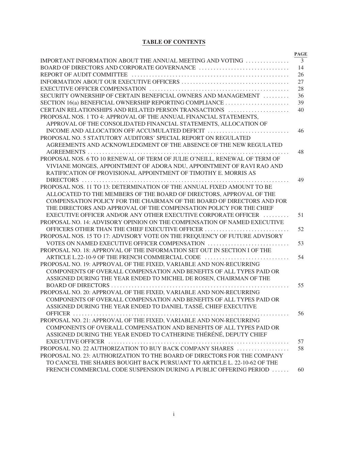# **TABLE OF CONTENTS**

|                                                                            | <b>PAGE</b>    |
|----------------------------------------------------------------------------|----------------|
| IMPORTANT INFORMATION ABOUT THE ANNUAL MEETING AND VOTING                  | $\overline{3}$ |
|                                                                            | 14             |
|                                                                            | 26             |
|                                                                            | 27             |
|                                                                            | 28             |
| SECURITY OWNERSHIP OF CERTAIN BENEFICIAL OWNERS AND MANAGEMENT             | 36             |
| SECTION 16(a) BENEFICIAL OWNERSHIP REPORTING COMPLIANCE                    | 39             |
| CERTAIN RELATIONSHIPS AND RELATED PERSON TRANSACTIONS                      | 40             |
| PROPOSAL NOS. 1 TO 4: APPROVAL OF THE ANNUAL FINANCIAL STATEMENTS,         |                |
| APPROVAL OF THE CONSOLIDATED FINANCIAL STATEMENTS, ALLOCATION OF           |                |
| INCOME AND ALLOCATION OFF ACCUMULATED DEFICIT                              | 46             |
| PROPOSAL NO. 5 STATUTORY AUDITORS' SPECIAL REPORT ON REGULATED             |                |
| AGREEMENTS AND ACKNOWLEDGMENT OF THE ABSENCE OF THE NEW REGULATED          |                |
|                                                                            | 48             |
| PROPOSAL NOS. 6 TO 10 RENEWAL OF TERM OF JULIE O'NEILL, RENEWAL OF TERM OF |                |
| VIVIANE MONGES, APPOINTMENT OF ADORA NDU, APPOINTMENT OF RAVI RAO AND      |                |
| RATIFICATION OF PROVISIONAL APPOINTMENT OF TIMOTHY E. MORRIS AS            |                |
|                                                                            | 49             |
| PROPOSAL NOS. 11 TO 13: DETERMINATION OF THE ANNUAL FIXED AMOUNT TO BE     |                |
| ALLOCATED TO THE MEMBERS OF THE BOARD OF DIRECTORS, APPROVAL OF THE        |                |
| COMPENSATION POLICY FOR THE CHAIRMAN OF THE BOARD OF DIRECTORS AND FOR     |                |
| THE DIRECTORS AND APPROVAL OF THE COMPENSATION POLICY FOR THE CHIEF        |                |
| EXECUTIVE OFFICER AND/OR ANY OTHER EXECUTIVE CORPORATE OFFICER             | 51             |
| PROPOSAL NO. 14: ADVISORY OPINION ON THE COMPENSATION OF NAMED EXECUTIVE   |                |
| OFFICERS OTHER THAN THE CHIEF EXECUTIVE OFFICER                            | 52             |
| PROPOSAL NOS. 15 TO 17: ADVISORY VOTE ON THE FREQUENCY OF FUTURE ADVISORY  |                |
| VOTES ON NAMED EXECUTIVE OFFICER COMPENSATION                              | 53             |
| PROPOSAL NO. 18: APPROVAL OF THE INFORMATION SET OUT IN SECTION I OF THE   |                |
| ARTICLE L.22-10-9 OF THE FRENCH COMMERCIAL CODE                            | 54             |
| PROPOSAL NO. 19: APPROVAL OF THE FIXED, VARIABLE AND NON-RECURRING         |                |
| COMPONENTS OF OVERALL COMPENSATION AND BENEFITS OF ALL TYPES PAID OR       |                |
| ASSIGNED DURING THE YEAR ENDED TO MICHEL DE ROSEN, CHAIRMAN OF THE         |                |
|                                                                            | 55             |
| PROPOSAL NO. 20: APPROVAL OF THE FIXED, VARIABLE AND NON-RECURRING         |                |
| COMPONENTS OF OVERALL COMPENSATION AND BENEFITS OF ALL TYPES PAID OR       |                |
| ASSIGNED DURING THE YEAR ENDED TO DANIEL TASSÉ, CHIEF EXECUTIVE            |                |
|                                                                            | 56             |
| PROPOSAL NO. 21: APPROVAL OF THE FIXED, VARIABLE AND NON-RECURRING         |                |
| COMPONENTS OF OVERALL COMPENSATION AND BENEFITS OF ALL TYPES PAID OR       |                |
| ASSIGNED DURING THE YEAR ENDED TO CATHERINE THÉRÉNÉ, DEPUTY CHIEF          |                |
|                                                                            | 57             |
| PROPOSAL NO. 22 AUTHORIZATION TO BUY BACK COMPANY SHARES                   | 58             |
| PROPOSAL NO. 23: AUTHORIZATION TO THE BOARD OF DIRECTORS FOR THE COMPANY   |                |
| TO CANCEL THE SHARES BOUGHT BACK PURSUANT TO ARTICLE L. 22-10-62 OF THE    |                |
| FRENCH COMMERCIAL CODE SUSPENSION DURING A PUBLIC OFFERING PERIOD          | 60             |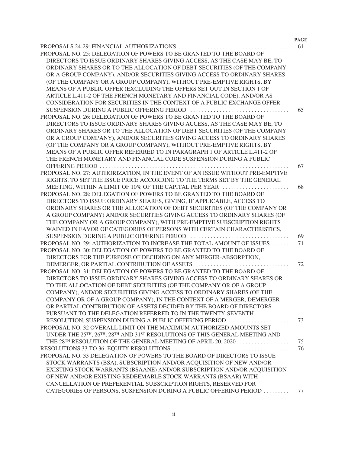|                                                                              | <b>PAGE</b> |
|------------------------------------------------------------------------------|-------------|
|                                                                              | 61          |
| PROPOSAL NO. 25: DELEGATION OF POWERS TO BE GRANTED TO THE BOARD OF          |             |
| DIRECTORS TO ISSUE ORDINARY SHARES GIVING ACCESS, AS THE CASE MAY BE, TO     |             |
| ORDINARY SHARES OR TO THE ALLOCATION OF DEBT SECURITIES (OF THE COMPANY      |             |
| OR A GROUP COMPANY), AND/OR SECURITIES GIVING ACCESS TO ORDINARY SHARES      |             |
| (OF THE COMPANY OR A GROUP COMPANY), WITHOUT PRE-EMPTIVE RIGHTS, BY          |             |
| MEANS OF A PUBLIC OFFER (EXCLUDING THE OFFERS SET OUT IN SECTION 1 OF        |             |
| ARTICLE L.411-2 OF THE FRENCH MONETARY AND FINANCIAL CODE), AND/OR AS        |             |
| CONSIDERATION FOR SECURITIES IN THE CONTEXT OF A PUBLIC EXCHANGE OFFER       |             |
|                                                                              | 65          |
| PROPOSAL NO. 26: DELEGATION OF POWERS TO BE GRANTED TO THE BOARD OF          |             |
| DIRECTORS TO ISSUE ORDINARY SHARES GIVING ACCESS, AS THE CASE MAY BE, TO     |             |
| ORDINARY SHARES OR TO THE ALLOCATION OF DEBT SECURITIES (OF THE COMPANY      |             |
| OR A GROUP COMPANY), AND/OR SECURITIES GIVING ACCESS TO ORDINARY SHARES      |             |
| (OF THE COMPANY OR A GROUP COMPANY), WITHOUT PRE-EMPTIVE RIGHTS, BY          |             |
| MEANS OF A PUBLIC OFFER REFERRED TO IN PARAGRAPH 1 OF ARTICLE L.411-2 OF     |             |
| THE FRENCH MONETARY AND FINANCIAL CODE SUSPENSION DURING A PUBLIC            |             |
| OFFERING PERIOD                                                              | 67          |
| PROPOSAL NO. 27: AUTHORIZATION, IN THE EVENT OF AN ISSUE WITHOUT PRE-EMPTIVE |             |
| RIGHTS, TO SET THE ISSUE PRICE ACCORDING TO THE TERMS SET BY THE GENERAL     |             |
| MEETING, WITHIN A LIMIT OF 10% OF THE CAPITAL PER YEAR                       | 68          |
| PROPOSAL NO. 28: DELEGATION OF POWERS TO BE GRANTED TO THE BOARD OF          |             |
| DIRECTORS TO ISSUE ORDINARY SHARES, GIVING, IF APPLICABLE, ACCESS TO         |             |
| ORDINARY SHARES OR THE ALLOCATION OF DEBT SECURITIES (OF THE COMPANY OR      |             |
| A GROUP COMPANY) AND/OR SECURITIES GIVING ACCESS TO ORDINARY SHARES (OF      |             |
| THE COMPANY OR A GROUP COMPANY), WITH PRE-EMPTIVE SUBSCRIPTION RIGHTS        |             |
| WAIVED IN FAVOR OF CATEGORIES OF PERSONS WITH CERTAIN CHARACTERISTICS,       |             |
|                                                                              |             |
|                                                                              | 69          |
| PROPOSAL NO. 29: AUTHORIZATION TO INCREASE THE TOTAL AMOUNT OF ISSUES        | 71          |
| PROPOSAL NO. 30: DELEGATION OF POWERS TO BE GRANTED TO THE BOARD OF          |             |
| DIRECTORS FOR THE PURPOSE OF DECIDING ON ANY MERGER-ABSORPTION,              |             |
|                                                                              | 72          |
| PROPOSAL NO. 31: DELEGATION OF POWERS TO BE GRANTED TO THE BOARD OF          |             |
| DIRECTORS TO ISSUE ORDINARY SHARES GIVING ACCESS TO ORDINARY SHARES OR       |             |
| TO THE ALLOCATION OF DEBT SECURITIES (OF THE COMPANY OR OF A GROUP           |             |
| COMPANY), AND/OR SECURITIES GIVING ACCESS TO ORDINARY SHARES (OF THE         |             |
| COMPANY OR OF A GROUP COMPANY), IN THE CONTEXT OF A MERGER, DEMERGER         |             |
| OR PARTIAL CONTRIBUTION OF ASSETS DECIDED BY THE BOARD OF DIRECTORS          |             |
| PURSUANT TO THE DELEGATION REFERRED TO IN THE TWENTY-SEVENTH                 |             |
| RESOLUTION, SUSPENSION DURING A PUBLIC OFFERING PERIOD                       | 73          |
| PROPOSAL NO. 32 OVERALL LIMIT ON THE MAXIMUM AUTHORIZED AMOUNTS SET          |             |
| UNDER THE 25TH, 26TH, 28TH AND 31ST RESOLUTIONS OF THIS GENERAL MEETING AND  |             |
|                                                                              | 75          |
|                                                                              | 76          |
| PROPOSAL NO. 33 DELEGATION OF POWERS TO THE BOARD OF DIRECTORS TO ISSUE      |             |
| STOCK WARRANTS (BSA), SUBSCRIPTION AND/OR ACQUISITION OF NEW AND/OR          |             |
| EXISTING STOCK WARRANTS (BSAANE) AND/OR SUBSCRIPTION AND/OR ACQUISITION      |             |
| OF NEW AND/OR EXISTING REDEEMABLE STOCK WARRANTS (BSAAR) WITH                |             |
| CANCELLATION OF PREFERENTIAL SUBSCRIPTION RIGHTS, RESERVED FOR               |             |
| CATEGORIES OF PERSONS, SUSPENSION DURING A PUBLIC OFFERING PERIOD            | 77          |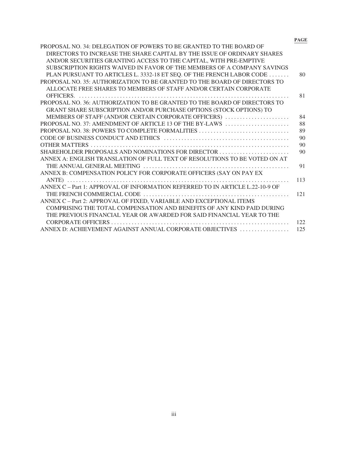**PAGE**

| PROPOSAL NO. 34: DELEGATION OF POWERS TO BE GRANTED TO THE BOARD OF           |     |
|-------------------------------------------------------------------------------|-----|
| DIRECTORS TO INCREASE THE SHARE CAPITAL BY THE ISSUE OF ORDINARY SHARES       |     |
| AND/OR SECURITIES GRANTING ACCESS TO THE CAPITAL, WITH PRE-EMPTIVE            |     |
| SUBSCRIPTION RIGHTS WAIVED IN FAVOR OF THE MEMBERS OF A COMPANY SAVINGS       |     |
| PLAN PURSUANT TO ARTICLES L. 3332-18 ET SEQ. OF THE FRENCH LABOR CODE         | 80  |
| PROPOSAL NO. 35: AUTHORIZATION TO BE GRANTED TO THE BOARD OF DIRECTORS TO     |     |
| ALLOCATE FREE SHARES TO MEMBERS OF STAFF AND/OR CERTAIN CORPORATE             |     |
|                                                                               | 81  |
| PROPOSAL NO. 36: AUTHORIZATION TO BE GRANTED TO THE BOARD OF DIRECTORS TO     |     |
| GRANT SHARE SUBSCRIPTION AND/OR PURCHASE OPTIONS (STOCK OPTIONS) TO           |     |
| MEMBERS OF STAFF (AND/OR CERTAIN CORPORATE OFFICERS)                          | 84  |
| PROPOSAL NO. 37: AMENDMENT OF ARTICLE 13 OF THE BY-LAWS                       | 88  |
|                                                                               | 89  |
|                                                                               | 90  |
|                                                                               | 90  |
| SHAREHOLDER PROPOSALS AND NOMINATIONS FOR DIRECTOR                            | 90  |
| ANNEX A: ENGLISH TRANSLATION OF FULL TEXT OF RESOLUTIONS TO BE VOTED ON AT    |     |
|                                                                               | 91  |
| ANNEX B: COMPENSATION POLICY FOR CORPORATE OFFICERS (SAY ON PAY EX            |     |
|                                                                               | 113 |
| ANNEX C – Part 1: APPROVAL OF INFORMATION REFERRED TO IN ARTICLE L.22-10-9 OF |     |
|                                                                               | 121 |
| ANNEX C - Part 2: APPROVAL OF FIXED, VARIABLE AND EXCEPTIONAL ITEMS           |     |
| COMPRISING THE TOTAL COMPENSATION AND BENEFITS OF ANY KIND PAID DURING        |     |
| THE PREVIOUS FINANCIAL YEAR OR AWARDED FOR SAID FINANCIAL YEAR TO THE         |     |
|                                                                               | 122 |
| ANNEX D: ACHIEVEMENT AGAINST ANNUAL CORPORATE OBJECTIVES                      | 125 |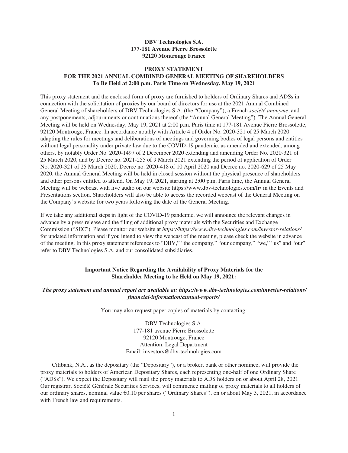## **DBV Technologies S.A. 177-181 Avenue Pierre Brossolette 92120 Montrouge France**

## **PROXY STATEMENT FOR THE 2021 ANNUAL COMBINED GENERAL MEETING OF SHAREHOLDERS To Be Held at 2:00 p.m. Paris Time on Wednesday, May 19, 2021**

This proxy statement and the enclosed form of proxy are furnished to holders of Ordinary Shares and ADSs in connection with the solicitation of proxies by our board of directors for use at the 2021 Annual Combined General Meeting of shareholders of DBV Technologies S.A. (the "Company"), a French *société anonyme*, and any postponements, adjournments or continuations thereof (the "Annual General Meeting"). The Annual General Meeting will be held on Wednesday, May 19, 2021 at 2:00 p.m. Paris time at 177-181 Avenue Pierre Brossolette, 92120 Montrouge, France. In accordance notably with Article 4 of Order No. 2020-321 of 25 March 2020 adapting the rules for meetings and deliberations of meetings and governing bodies of legal persons and entities without legal personality under private law due to the COVID-19 pandemic, as amended and extended, among others, by notably Order No. 2020-1497 of 2 December 2020 extending and amending Order No. 2020-321 of 25 March 2020, and by Decree no. 2021-255 of 9 March 2021 extending the period of application of Order No. 2020-321 of 25 March 2020, Decree no. 2020-418 of 10 April 2020 and Decree no. 2020-629 of 25 May 2020, the Annual General Meeting will be held in closed session without the physical presence of shareholders and other persons entitled to attend. On May 19, 2021, starting at 2:00 p.m. Paris time, the Annual General Meeting will be webcast with live audio on our website https://www.dbv-technologies.com/fr/ in the Events and Presentations section. Shareholders will also be able to access the recorded webcast of the General Meeting on the Company's website for two years following the date of the General Meeting.

If we take any additional steps in light of the COVID-19 pandemic, we will announce the relevant changes in advance by a press release and the filing of additional proxy materials with the Securities and Exchange Commission ("SEC"). Please monitor our website at *https://https://www.dbv-technologies.com/investor-relations/* for updated information and if you intend to view the webcast of the meeting, please check the website in advance of the meeting. In this proxy statement references to "DBV," "the company," "our company," "we," "us" and "our" refer to DBV Technologies S.A. and our consolidated subsidiaries.

## **Important Notice Regarding the Availability of Proxy Materials for the Shareholder Meeting to be Held on May 19, 2021:**

## *The proxy statement and annual report are available at: https://www.dbv-technologies.com/investor-relations/ financial-information/annual-reports/*

You may also request paper copies of materials by contacting:

DBV Technologies S.A. 177-181 avenue Pierre Brossolette 92120 Montrouge, France Attention: Legal Department Email: investors@dbv-technologies.com

Citibank, N.A., as the depositary (the "Depositary"), or a broker, bank or other nominee, will provide the proxy materials to holders of American Depositary Shares, each representing one-half of one Ordinary Share ("ADSs"). We expect the Depositary will mail the proxy materials to ADS holders on or about April 28, 2021. Our registrar, Société Générale Securities Services, will commence mailing of proxy materials to all holders of our ordinary shares, nominal value €0.10 per shares ("Ordinary Shares"), on or about May 3, 2021, in accordance with French law and requirements.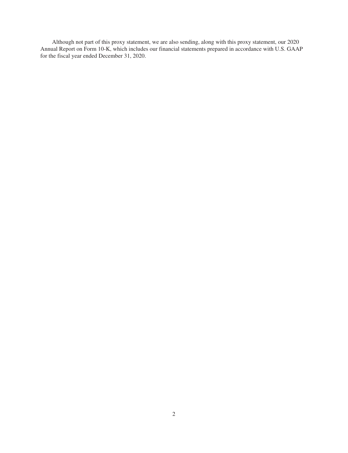Although not part of this proxy statement, we are also sending, along with this proxy statement, our 2020 Annual Report on Form 10-K, which includes our financial statements prepared in accordance with U.S. GAAP for the fiscal year ended December 31, 2020.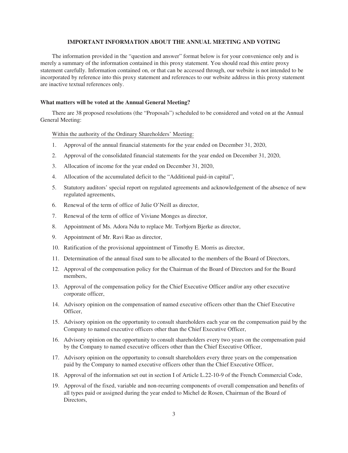## **IMPORTANT INFORMATION ABOUT THE ANNUAL MEETING AND VOTING**

The information provided in the "question and answer" format below is for your convenience only and is merely a summary of the information contained in this proxy statement. You should read this entire proxy statement carefully. Information contained on, or that can be accessed through, our website is not intended to be incorporated by reference into this proxy statement and references to our website address in this proxy statement are inactive textual references only.

## **What matters will be voted at the Annual General Meeting?**

There are 38 proposed resolutions (the "Proposals") scheduled to be considered and voted on at the Annual General Meeting:

## Within the authority of the Ordinary Shareholders' Meeting:

- 1. Approval of the annual financial statements for the year ended on December 31, 2020,
- 2. Approval of the consolidated financial statements for the year ended on December 31, 2020,
- 3. Allocation of income for the year ended on December 31, 2020,
- 4. Allocation of the accumulated deficit to the "Additional paid-in capital",
- 5. Statutory auditors' special report on regulated agreements and acknowledgement of the absence of new regulated agreements,
- 6. Renewal of the term of office of Julie O'Neill as director,
- 7. Renewal of the term of office of Viviane Monges as director,
- 8. Appointment of Ms. Adora Ndu to replace Mr. Torbjorn Bjerke as director,
- 9. Appointment of Mr. Ravi Rao as director,
- 10. Ratification of the provisional appointment of Timothy E. Morris as director,
- 11. Determination of the annual fixed sum to be allocated to the members of the Board of Directors,
- 12. Approval of the compensation policy for the Chairman of the Board of Directors and for the Board members,
- 13. Approval of the compensation policy for the Chief Executive Officer and/or any other executive corporate officer,
- 14. Advisory opinion on the compensation of named executive officers other than the Chief Executive Officer,
- 15. Advisory opinion on the opportunity to consult shareholders each year on the compensation paid by the Company to named executive officers other than the Chief Executive Officer,
- 16. Advisory opinion on the opportunity to consult shareholders every two years on the compensation paid by the Company to named executive officers other than the Chief Executive Officer,
- 17. Advisory opinion on the opportunity to consult shareholders every three years on the compensation paid by the Company to named executive officers other than the Chief Executive Officer,
- 18. Approval of the information set out in section I of Article L.22-10-9 of the French Commercial Code,
- 19. Approval of the fixed, variable and non-recurring components of overall compensation and benefits of all types paid or assigned during the year ended to Michel de Rosen, Chairman of the Board of Directors,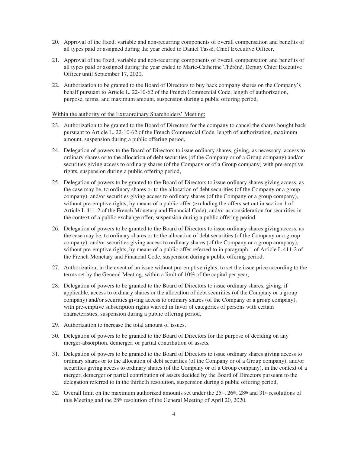- 20. Approval of the fixed, variable and non-recurring components of overall compensation and benefits of all types paid or assigned during the year ended to Daniel Tassé, Chief Executive Officer,
- 21. Approval of the fixed, variable and non-recurring components of overall compensation and benefits of all types paid or assigned during the year ended to Marie-Catherine Théréné, Deputy Chief Executive Officer until September 17, 2020,
- 22. Authorization to be granted to the Board of Directors to buy back company shares on the Company's behalf pursuant to Article L. 22-10-62 of the French Commercial Code, length of authorization, purpose, terms, and maximum amount, suspension during a public offering period,

## Within the authority of the Extraordinary Shareholders' Meeting:

- 23. Authorization to be granted to the Board of Directors for the company to cancel the shares bought back pursuant to Article L. 22-10-62 of the French Commercial Code, length of authorization, maximum amount, suspension during a public offering period,
- 24. Delegation of powers to the Board of Directors to issue ordinary shares, giving, as necessary, access to ordinary shares or to the allocation of debt securities (of the Company or of a Group company) and/or securities giving access to ordinary shares (of the Company or of a Group company) with pre-emptive rights, suspension during a public offering period,
- 25. Delegation of powers to be granted to the Board of Directors to issue ordinary shares giving access, as the case may be, to ordinary shares or to the allocation of debt securities (of the Company or a group company), and/or securities giving access to ordinary shares (of the Company or a group company), without pre-emptive rights, by means of a public offer (excluding the offers set out in section 1 of Article L.411-2 of the French Monetary and Financial Code), and/or as consideration for securities in the context of a public exchange offer, suspension during a public offering period,
- 26. Delegation of powers to be granted to the Board of Directors to issue ordinary shares giving access, as the case may be, to ordinary shares or to the allocation of debt securities (of the Company or a group company), and/or securities giving access to ordinary shares (of the Company or a group company), without pre-emptive rights, by means of a public offer referred to in paragraph 1 of Article L.411-2 of the French Monetary and Financial Code, suspension during a public offering period,
- 27. Authorization, in the event of an issue without pre-emptive rights, to set the issue price according to the terms set by the General Meeting, within a limit of 10% of the capital per year,
- 28. Delegation of powers to be granted to the Board of Directors to issue ordinary shares, giving, if applicable, access to ordinary shares or the allocation of debt securities (of the Company or a group company) and/or securities giving access to ordinary shares (of the Company or a group company), with pre-emptive subscription rights waived in favor of categories of persons with certain characteristics, suspension during a public offering period,
- 29. Authorization to increase the total amount of issues,
- 30. Delegation of powers to be granted to the Board of Directors for the purpose of deciding on any merger-absorption, demerger, or partial contribution of assets,
- 31. Delegation of powers to be granted to the Board of Directors to issue ordinary shares giving access to ordinary shares or to the allocation of debt securities (of the Company or of a Group company), and/or securities giving access to ordinary shares (of the Company or of a Group company), in the context of a merger, demerger or partial contribution of assets decided by the Board of Directors pursuant to the delegation referred to in the thirtieth resolution, suspension during a public offering period,
- 32. Overall limit on the maximum authorized amounts set under the  $25<sup>th</sup>$ ,  $26<sup>th</sup>$ ,  $28<sup>th</sup>$  and  $31<sup>st</sup>$  resolutions of this Meeting and the 28th resolution of the General Meeting of April 20, 2020,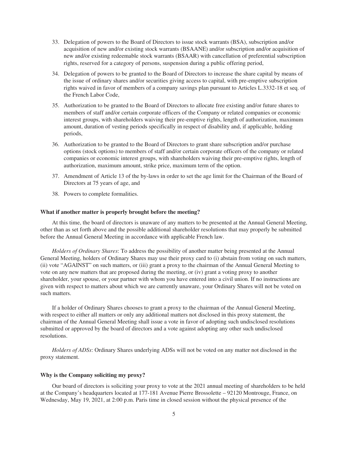- 33. Delegation of powers to the Board of Directors to issue stock warrants (BSA), subscription and/or acquisition of new and/or existing stock warrants (BSAANE) and/or subscription and/or acquisition of new and/or existing redeemable stock warrants (BSAAR) with cancellation of preferential subscription rights, reserved for a category of persons, suspension during a public offering period,
- 34. Delegation of powers to be granted to the Board of Directors to increase the share capital by means of the issue of ordinary shares and/or securities giving access to capital, with pre-emptive subscription rights waived in favor of members of a company savings plan pursuant to Articles L.3332-18 et seq. of the French Labor Code,
- 35. Authorization to be granted to the Board of Directors to allocate free existing and/or future shares to members of staff and/or certain corporate officers of the Company or related companies or economic interest groups, with shareholders waiving their pre-emptive rights, length of authorization, maximum amount, duration of vesting periods specifically in respect of disability and, if applicable, holding periods,
- 36. Authorization to be granted to the Board of Directors to grant share subscription and/or purchase options (stock options) to members of staff and/or certain corporate officers of the company or related companies or economic interest groups, with shareholders waiving their pre-emptive rights, length of authorization, maximum amount, strike price, maximum term of the option.
- 37. Amendment of Article 13 of the by-laws in order to set the age limit for the Chairman of the Board of Directors at 75 years of age, and
- 38. Powers to complete formalities.

## **What if another matter is properly brought before the meeting?**

At this time, the board of directors is unaware of any matters to be presented at the Annual General Meeting, other than as set forth above and the possible additional shareholder resolutions that may properly be submitted before the Annual General Meeting in accordance with applicable French law.

*Holders of Ordinary Shares*: To address the possibility of another matter being presented at the Annual General Meeting, holders of Ordinary Shares may use their proxy card to (i) abstain from voting on such matters, (ii) vote "AGAINST" on such matters, or (iii) grant a proxy to the chairman of the Annual General Meeting to vote on any new matters that are proposed during the meeting, or (iv) grant a voting proxy to another shareholder, your spouse, or your partner with whom you have entered into a civil union. If no instructions are given with respect to matters about which we are currently unaware, your Ordinary Shares will not be voted on such matters.

If a holder of Ordinary Shares chooses to grant a proxy to the chairman of the Annual General Meeting, with respect to either all matters or only any additional matters not disclosed in this proxy statement, the chairman of the Annual General Meeting shall issue a vote in favor of adopting such undisclosed resolutions submitted or approved by the board of directors and a vote against adopting any other such undisclosed resolutions.

*Holders of ADSs*: Ordinary Shares underlying ADSs will not be voted on any matter not disclosed in the proxy statement.

## **Why is the Company soliciting my proxy?**

Our board of directors is soliciting your proxy to vote at the 2021 annual meeting of shareholders to be held at the Company's headquarters located at 177-181 Avenue Pierre Brossolette – 92120 Montrouge, France, on Wednesday, May 19, 2021, at 2:00 p.m. Paris time in closed session without the physical presence of the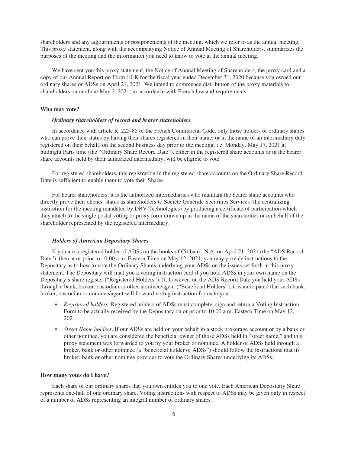shareholders and any adjournments or postponements of the meeting, which we refer to as the annual meeting. This proxy statement, along with the accompanying Notice of Annual Meeting of Shareholders, summarizes the purposes of the meeting and the information you need to know to vote at the annual meeting.

We have sent you this proxy statement, the Notice of Annual Meeting of Shareholders, the proxy card and a copy of our Annual Report on Form 10-K for the fiscal year ended December 31, 2020 because you owned our ordinary shares or ADSs on April 21, 2021. We intend to commence distribution of the proxy materials to shareholders on or about May 3, 2021, in accordance with French law and requirements.

## **Who may vote?**

#### *Ordinary shareholders of record and bearer shareholders*

In accordance with article R. 225-85 of the French Commercial Code, only those holders of ordinary shares who can prove their status by having their shares registered in their name, or in the name of an intermediary duly registered on their behalf, on the second business day prior to the meeting, i.e. Monday, May 17, 2021 at midnight Paris time (the "Ordinary Share Record Date"), either in the registered share accounts or in the bearer share accounts held by their authorized intermediary, will be eligible to vote.

For registered shareholders, this registration in the registered share accounts on the Ordinary Share Record Date is sufficient to enable them to vote their Shares.

For bearer shareholders, it is the authorized intermediaries who maintain the bearer share accounts who directly prove their clients' status as shareholders to Société Générale Securities Services (the centralizing institution for the meeting mandated by DBV Technologies) by producing a certificate of participation which they attach to the single postal voting or proxy form drawn up in the name of the shareholder or on behalf of the shareholder represented by the registered intermediary.

### *Holders of American Depositary Shares*

If you are a registered holder of ADSs on the books of Citibank, N.A. on April 21, 2021 (the "ADS Record Date"), then at or prior to 10:00 a.m. Eastern Time on May 12, 2021, you may provide instructions to the Depositary as to how to vote the Ordinary Shares underlying your ADSs on the issues set forth in this proxy statement. The Depositary will mail you a voting instruction card if you hold ADSs in your own name on the Depositary's share register ("Registered Holders"). If, however, on the ADS Record Date you held your ADSs through a bank, broker, custodian or other nominee/agent ("Beneficial Holders"), it is anticipated that such bank, broker, custodian or nominee/agent will forward voting instruction forms to you.

- *Registered holders*. Registered holders of ADSs must complete, sign and return a Voting Instruction Form to be actually received by the Depositary on or prior to 10:00 a.m. Eastern Time on May 12, 2021.
- *Street Name holders*. If our ADSs are held on your behalf in a stock brokerage account or by a bank or other nominee, you are considered the beneficial owner of those ADSs held in "street name," and this proxy statement was forwarded to you by your broker or nominee. A holder of ADSs held through a broker, bank or other nominee (a "beneficial holder of ADSs") should follow the instructions that its broker, bank or other nominee provides to vote the Ordinary Shares underlying its ADSs.

#### **How many votes do I have?**

Each share of our ordinary shares that you own entitles you to one vote. Each American Depositary Share represents one-half of one ordinary share. Voting instructions with respect to ADSs may be given only in respect of a number of ADSs representing an integral number of ordinary shares.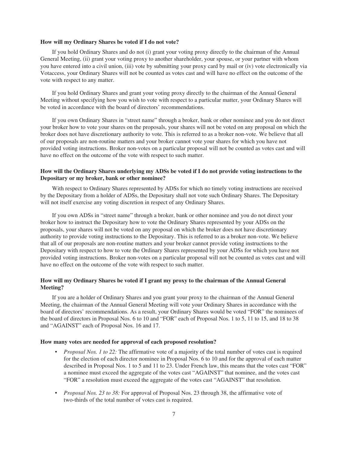### **How will my Ordinary Shares be voted if I do not vote?**

If you hold Ordinary Shares and do not (i) grant your voting proxy directly to the chairman of the Annual General Meeting, (ii) grant your voting proxy to another shareholder, your spouse, or your partner with whom you have entered into a civil union, (iii) vote by submitting your proxy card by mail or (iv) vote electronically via Votaccess, your Ordinary Shares will not be counted as votes cast and will have no effect on the outcome of the vote with respect to any matter.

If you hold Ordinary Shares and grant your voting proxy directly to the chairman of the Annual General Meeting without specifying how you wish to vote with respect to a particular matter, your Ordinary Shares will be voted in accordance with the board of directors' recommendations.

If you own Ordinary Shares in "street name" through a broker, bank or other nominee and you do not direct your broker how to vote your shares on the proposals, your shares will not be voted on any proposal on which the broker does not have discretionary authority to vote. This is referred to as a broker non-vote. We believe that all of our proposals are non-routine matters and your broker cannot vote your shares for which you have not provided voting instructions. Broker non-votes on a particular proposal will not be counted as votes cast and will have no effect on the outcome of the vote with respect to such matter.

## **How will the Ordinary Shares underlying my ADSs be voted if I do not provide voting instructions to the Depositary or my broker, bank or other nominee?**

With respect to Ordinary Shares represented by ADSs for which no timely voting instructions are received by the Depositary from a holder of ADSs, the Depositary shall not vote such Ordinary Shares. The Depositary will not itself exercise any voting discretion in respect of any Ordinary Shares.

If you own ADSs in "street name" through a broker, bank or other nominee and you do not direct your broker how to instruct the Depositary how to vote the Ordinary Shares represented by your ADSs on the proposals, your shares will not be voted on any proposal on which the broker does not have discretionary authority to provide voting instructions to the Depositary. This is referred to as a broker non-vote. We believe that all of our proposals are non-routine matters and your broker cannot provide voting instructions to the Depositary with respect to how to vote the Ordinary Shares represented by your ADSs for which you have not provided voting instructions. Broker non-votes on a particular proposal will not be counted as votes cast and will have no effect on the outcome of the vote with respect to such matter.

## **How will my Ordinary Shares be voted if I grant my proxy to the chairman of the Annual General Meeting?**

If you are a holder of Ordinary Shares and you grant your proxy to the chairman of the Annual General Meeting, the chairman of the Annual General Meeting will vote your Ordinary Shares in accordance with the board of directors' recommendations. As a result, your Ordinary Shares would be voted "FOR" the nominees of the board of directors in Proposal Nos. 6 to 10 and "FOR" each of Proposal Nos. 1 to 5, 11 to 15, and 18 to 38 and "AGAINST" each of Proposal Nos. 16 and 17.

### **How many votes are needed for approval of each proposed resolution?**

- *Proposal Nos. 1 to 22:* The affirmative vote of a majority of the total number of votes cast is required for the election of each director nominee in Proposal Nos. 6 to 10 and for the approval of each matter described in Proposal Nos. 1 to 5 and 11 to 23. Under French law, this means that the votes cast "FOR" a nominee must exceed the aggregate of the votes cast "AGAINST" that nominee, and the votes cast "FOR" a resolution must exceed the aggregate of the votes cast "AGAINST" that resolution.
- *Proposal Nos. 23 to 38:* For approval of Proposal Nos. 23 through 38, the affirmative vote of two-thirds of the total number of votes cast is required.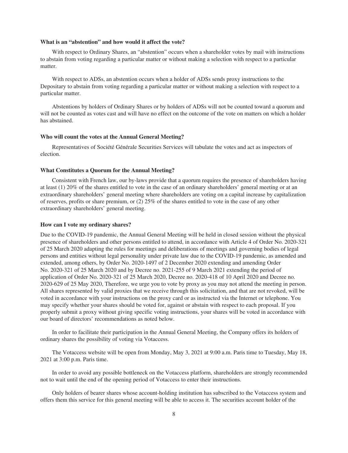### **What is an "abstention" and how would it affect the vote?**

With respect to Ordinary Shares, an "abstention" occurs when a shareholder votes by mail with instructions to abstain from voting regarding a particular matter or without making a selection with respect to a particular matter.

With respect to ADSs, an abstention occurs when a holder of ADSs sends proxy instructions to the Depositary to abstain from voting regarding a particular matter or without making a selection with respect to a particular matter.

Abstentions by holders of Ordinary Shares or by holders of ADSs will not be counted toward a quorum and will not be counted as votes cast and will have no effect on the outcome of the vote on matters on which a holder has abstained.

### **Who will count the votes at the Annual General Meeting?**

Representatives of Société Générale Securities Services will tabulate the votes and act as inspectors of election.

#### **What Constitutes a Quorum for the Annual Meeting?**

Consistent with French law, our by-laws provide that a quorum requires the presence of shareholders having at least (1) 20% of the shares entitled to vote in the case of an ordinary shareholders' general meeting or at an extraordinary shareholders' general meeting where shareholders are voting on a capital increase by capitalization of reserves, profits or share premium, or (2) 25% of the shares entitled to vote in the case of any other extraordinary shareholders' general meeting.

### **How can I vote my ordinary shares?**

Due to the COVID-19 pandemic, the Annual General Meeting will be held in closed session without the physical presence of shareholders and other persons entitled to attend, in accordance with Article 4 of Order No. 2020-321 of 25 March 2020 adapting the rules for meetings and deliberations of meetings and governing bodies of legal persons and entities without legal personality under private law due to the COVID-19 pandemic, as amended and extended, among others, by Order No. 2020-1497 of 2 December 2020 extending and amending Order No. 2020-321 of 25 March 2020 and by Decree no. 2021-255 of 9 March 2021 extending the period of application of Order No. 2020-321 of 25 March 2020, Decree no. 2020-418 of 10 April 2020 and Decree no. 2020-629 of 25 May 2020, Therefore, we urge you to vote by proxy as you may not attend the meeting in person. All shares represented by valid proxies that we receive through this solicitation, and that are not revoked, will be voted in accordance with your instructions on the proxy card or as instructed via the Internet or telephone. You may specify whether your shares should be voted for, against or abstain with respect to each proposal. If you properly submit a proxy without giving specific voting instructions, your shares will be voted in accordance with our board of directors' recommendations as noted below.

In order to facilitate their participation in the Annual General Meeting, the Company offers its holders of ordinary shares the possibility of voting via Votaccess.

The Votaccess website will be open from Monday, May 3, 2021 at 9:00 a.m. Paris time to Tuesday, May 18, 2021 at 3:00 p.m. Paris time.

In order to avoid any possible bottleneck on the Votaccess platform, shareholders are strongly recommended not to wait until the end of the opening period of Votaccess to enter their instructions.

Only holders of bearer shares whose account-holding institution has subscribed to the Votaccess system and offers them this service for this general meeting will be able to access it. The securities account holder of the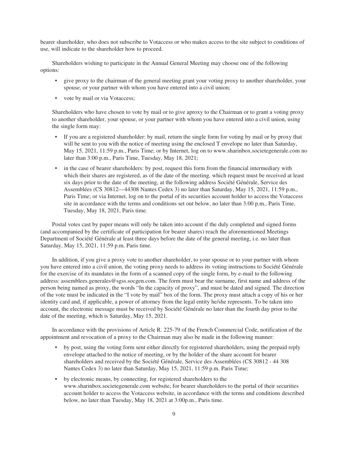bearer shareholder, who does not subscribe to Votaccess or who makes access to the site subject to conditions of use, will indicate to the shareholder how to proceed.

Shareholders wishing to participate in the Annual General Meeting may choose one of the following options:

- give proxy to the chairman of the general meeting grant your voting proxy to another shareholder, your spouse, or your partner with whom you have entered into a civil union;
- vote by mail or via Votaccess;

Shareholders who have chosen to vote by mail or to give aproxy to the Chairman or to grant a voting proxy to another shareholder, your spouse, or your partner with whom you have entered into a civil union, using the single form may:

- If you are a registered shareholder: by mail, return the single form for voting by mail or by proxy that will be sent to you with the notice of meeting using the enclosed T envelope no later than Saturday, May 15, 2021, 11:59 p.m., Paris Time; or by Internet, log on to www.sharinbox.societegenerale.com no later than 3:00 p.m., Paris Time, Tuesday, May 18, 2021;
- in the case of bearer shareholders: by post, request this form from the financial intermediary with which their shares are registered, as of the date of the meeting, which request must be received at least six days prior to the date of the meeting, at the following address Société Générale, Service des Assemblées (CS 30812—44308 Nantes Cedex 3) no later than Saturday, May 15, 2021, 11:59 p.m., Paris Time; or via Internet, log on to the portal of its securities account holder to access the Votaccess site in accordance with the terms and conditions set out below, no later than 3:00 p.m., Paris Time, Tuesday, May 18, 2021, Paris time.

Postal votes cast by paper means will only be taken into account if the duly completed and signed forms (and accompanied by the certificate of participation for bearer shares) reach the aforementioned Meetings Department of Société Générale at least three days before the date of the general meeting, i.e. no later than Saturday, May 15, 2021, 11:59 p.m. Paris time.

In addition, if you give a proxy vote to another shareholder, to your spouse or to your partner with whom you have entered into a civil union, the voting proxy needs to address its voting instructions to Société Générale for the exercise of its mandates in the form of a scanned copy of the single form, by e-mail to the following address: assemblees.generales@sgss.socgen.com. The form must bear the surname, first name and address of the person being named as proxy, the words "In the capacity of proxy", and must be dated and signed. The direction of the vote must be indicated in the "I vote by mail" box of the form. The proxy must attach a copy of his or her identity card and, if applicable, a power of attorney from the legal entity he/she represents. To be taken into account, the electronic message must be received by Société Générale no later than the fourth day prior to the date of the meeting, which is Saturday, May 15, 2021.

In accordance with the provisions of Article R. 225-79 of the French Commercial Code, notification of the appointment and revocation of a proxy to the Chairman may also be made in the following manner:

- by post, using the voting form sent either directly for registered shareholders, using the prepaid reply envelope attached to the notice of meeting, or by the holder of the share account for bearer shareholders and received by the Société Générale, Service des Assemblées (CS 30812 - 44 308 Nantes Cedex 3) no later than Saturday, May 15, 2021, 11:59 p.m. Paris Time;
- by electronic means, by connecting, for registered shareholders to the www.sharinbox.societegenerale.com website, for bearer shareholders to the portal of their securities account holder to access the Votaccess website, in accordance with the terms and conditions described below, no later than Tuesday, May 18, 2021 at 3:00p.m., Paris time.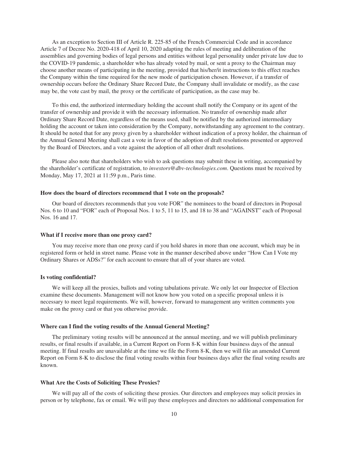As an exception to Section III of Article R. 225-85 of the French Commercial Code and in accordance Article 7 of Decree No. 2020-418 of April 10, 2020 adapting the rules of meeting and deliberation of the assemblies and governing bodies of legal persons and entities without legal personality under private law due to the COVID-19 pandemic, a shareholder who has already voted by mail, or sent a proxy to the Chairman may choose another means of participating in the meeting, provided that his/her/it instructions to this effect reaches the Company within the time required for the new mode of participation chosen. However, if a transfer of ownership occurs before the Ordinary Share Record Date, the Company shall invalidate or modify, as the case may be, the vote cast by mail, the proxy or the certificate of participation, as the case may be.

To this end, the authorized intermediary holding the account shall notify the Company or its agent of the transfer of ownership and provide it with the necessary information. No transfer of ownership made after Ordinary Share Record Date, regardless of the means used, shall be notified by the authorized intermediary holding the account or taken into consideration by the Company, notwithstanding any agreement to the contrary. It should be noted that for any proxy given by a shareholder without indication of a proxy holder, the chairman of the Annual General Meeting shall cast a vote in favor of the adoption of draft resolutions presented or approved by the Board of Directors, and a vote against the adoption of all other draft resolutions.

Please also note that shareholders who wish to ask questions may submit these in writing, accompanied by the shareholder's certificate of registration, to *investors@dbv-technologies.com*. Questions must be received by Monday, May 17, 2021 at 11:59 p.m., Paris time.

#### **How does the board of directors recommend that I vote on the proposals?**

Our board of directors recommends that you vote FOR" the nominees to the board of directors in Proposal Nos. 6 to 10 and "FOR" each of Proposal Nos. 1 to 5, 11 to 15, and 18 to 38 and "AGAINST" each of Proposal Nos. 16 and 17.

#### **What if I receive more than one proxy card?**

You may receive more than one proxy card if you hold shares in more than one account, which may be in registered form or held in street name. Please vote in the manner described above under "How Can I Vote my Ordinary Shares or ADSs?" for each account to ensure that all of your shares are voted.

## **Is voting confidential?**

We will keep all the proxies, ballots and voting tabulations private. We only let our Inspector of Election examine these documents. Management will not know how you voted on a specific proposal unless it is necessary to meet legal requirements. We will, however, forward to management any written comments you make on the proxy card or that you otherwise provide.

## **Where can I find the voting results of the Annual General Meeting?**

The preliminary voting results will be announced at the annual meeting, and we will publish preliminary results, or final results if available, in a Current Report on Form 8-K within four business days of the annual meeting. If final results are unavailable at the time we file the Form 8-K, then we will file an amended Current Report on Form 8-K to disclose the final voting results within four business days after the final voting results are known.

### **What Are the Costs of Soliciting These Proxies?**

We will pay all of the costs of soliciting these proxies. Our directors and employees may solicit proxies in person or by telephone, fax or email. We will pay these employees and directors no additional compensation for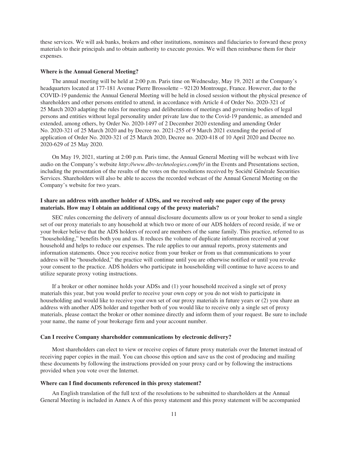these services. We will ask banks, brokers and other institutions, nominees and fiduciaries to forward these proxy materials to their principals and to obtain authority to execute proxies. We will then reimburse them for their expenses.

### **Where is the Annual General Meeting?**

The annual meeting will be held at 2:00 p.m. Paris time on Wednesday, May 19, 2021 at the Company's headquarters located at 177-181 Avenue Pierre Brossolette – 92120 Montrouge, France. However, due to the COVID-19 pandemic the Annual General Meeting will be held in closed session without the physical presence of shareholders and other persons entitled to attend, in accordance with Article 4 of Order No. 2020-321 of 25 March 2020 adapting the rules for meetings and deliberations of meetings and governing bodies of legal persons and entities without legal personality under private law due to the Covid-19 pandemic, as amended and extended, among others, by Order No. 2020-1497 of 2 December 2020 extending and amending Order No. 2020-321 of 25 March 2020 and by Decree no. 2021-255 of 9 March 2021 extending the period of application of Order No. 2020-321 of 25 March 2020, Decree no. 2020-418 of 10 April 2020 and Decree no. 2020-629 of 25 May 2020.

On May 19, 2021, starting at 2:00 p.m. Paris time, the Annual General Meeting will be webcast with live audio on the Company's website *http://www.dbv-technologies.com/fr/* in the Events and Presentations section, including the presentation of the results of the votes on the resolutions received by Société Générale Securities Services. Shareholders will also be able to access the recorded webcast of the Annual General Meeting on the Company's website for two years.

## **I share an address with another holder of ADSs, and we received only one paper copy of the proxy materials. How may I obtain an additional copy of the proxy materials?**

SEC rules concerning the delivery of annual disclosure documents allow us or your broker to send a single set of our proxy materials to any household at which two or more of our ADS holders of record reside, if we or your broker believe that the ADS holders of record are members of the same family. This practice, referred to as "householding," benefits both you and us. It reduces the volume of duplicate information received at your household and helps to reduce our expenses. The rule applies to our annual reports, proxy statements and information statements. Once you receive notice from your broker or from us that communications to your address will be "householded," the practice will continue until you are otherwise notified or until you revoke your consent to the practice. ADS holders who participate in householding will continue to have access to and utilize separate proxy voting instructions.

If a broker or other nominee holds your ADSs and (1) your household received a single set of proxy materials this year, but you would prefer to receive your own copy or you do not wish to participate in householding and would like to receive your own set of our proxy materials in future years or (2) you share an address with another ADS holder and together both of you would like to receive only a single set of proxy materials, please contact the broker or other nominee directly and inform them of your request. Be sure to include your name, the name of your brokerage firm and your account number.

## **Can I receive Company shareholder communications by electronic delivery?**

Most shareholders can elect to view or receive copies of future proxy materials over the Internet instead of receiving paper copies in the mail. You can choose this option and save us the cost of producing and mailing these documents by following the instructions provided on your proxy card or by following the instructions provided when you vote over the Internet.

### **Where can I find documents referenced in this proxy statement?**

An English translation of the full text of the resolutions to be submitted to shareholders at the Annual General Meeting is included in Annex A of this proxy statement and this proxy statement will be accompanied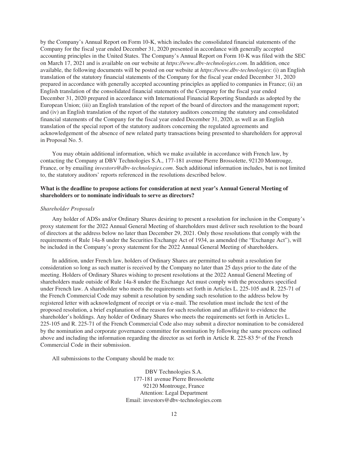by the Company's Annual Report on Form 10-K, which includes the consolidated financial statements of the Company for the fiscal year ended December 31, 2020 presented in accordance with generally accepted accounting principles in the United States. The Company's Annual Report on Form 10-K was filed with the SEC on March 17, 2021 and is available on our website at *https://www.dbv-technologies.com*. In addition, once available, the following documents will be posted on our website at *https://www.dbv-technologies*: (i) an English translation of the statutory financial statements of the Company for the fiscal year ended December 31, 2020 prepared in accordance with generally accepted accounting principles as applied to companies in France; (ii) an English translation of the consolidated financial statements of the Company for the fiscal year ended December 31, 2020 prepared in accordance with International Financial Reporting Standards as adopted by the European Union; (iii) an English translation of the report of the board of directors and the management report; and (iv) an English translation of the report of the statutory auditors concerning the statutory and consolidated financial statements of the Company for the fiscal year ended December 31, 2020, as well as an English translation of the special report of the statutory auditors concerning the regulated agreements and acknowledgement of the absence of new related party transactions being presented to shareholders for approval in Proposal No. 5.

You may obtain additional information, which we make available in accordance with French law, by contacting the Company at DBV Technologies S.A., 177-181 avenue Pierre Brossolette, 92120 Montrouge, France, or by emailing *investors@dbv-technologies.com*. Such additional information includes, but is not limited to, the statutory auditors' reports referenced in the resolutions described below.

## **What is the deadline to propose actions for consideration at next year's Annual General Meeting of shareholders or to nominate individuals to serve as directors?**

### *Shareholder Proposals*

Any holder of ADSs and/or Ordinary Shares desiring to present a resolution for inclusion in the Company's proxy statement for the 2022 Annual General Meeting of shareholders must deliver such resolution to the board of directors at the address below no later than December 29, 2021. Only those resolutions that comply with the requirements of Rule 14a-8 under the Securities Exchange Act of 1934, as amended (the "Exchange Act"), will be included in the Company's proxy statement for the 2022 Annual General Meeting of shareholders.

In addition, under French law, holders of Ordinary Shares are permitted to submit a resolution for consideration so long as such matter is received by the Company no later than 25 days prior to the date of the meeting. Holders of Ordinary Shares wishing to present resolutions at the 2022 Annual General Meeting of shareholders made outside of Rule 14a-8 under the Exchange Act must comply with the procedures specified under French law. A shareholder who meets the requirements set forth in Articles L. 225-105 and R. 225-71 of the French Commercial Code may submit a resolution by sending such resolution to the address below by registered letter with acknowledgment of receipt or via e-mail. The resolution must include the text of the proposed resolution, a brief explanation of the reason for such resolution and an affidavit to evidence the shareholder's holdings. Any holder of Ordinary Shares who meets the requirements set forth in Articles L. 225-105 and R. 225-71 of the French Commercial Code also may submit a director nomination to be considered by the nomination and corporate governance committee for nomination by following the same process outlined above and including the information regarding the director as set forth in Article R. 225-83  $5^{\circ}$  of the French Commercial Code in their submission.

All submissions to the Company should be made to:

DBV Technologies S.A. 177-181 avenue Pierre Brossolette 92120 Montrouge, France Attention: Legal Department Email: investors@dbv-technologies.com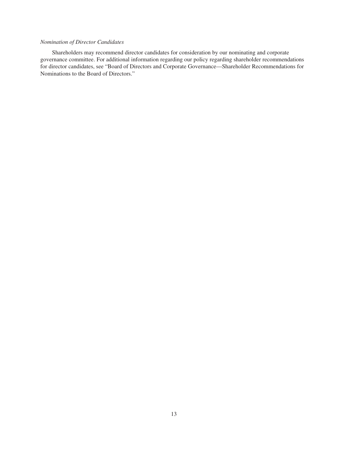## *Nomination of Director Candidates*

Shareholders may recommend director candidates for consideration by our nominating and corporate governance committee. For additional information regarding our policy regarding shareholder recommendations for director candidates, see "Board of Directors and Corporate Governance—Shareholder Recommendations for Nominations to the Board of Directors."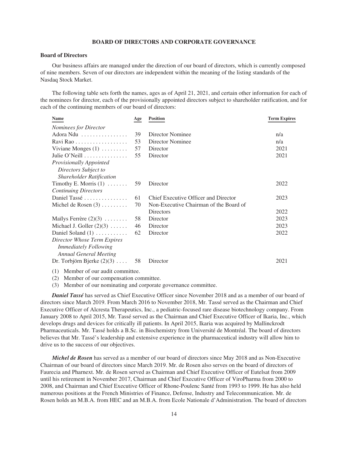## **BOARD OF DIRECTORS AND CORPORATE GOVERNANCE**

## **Board of Directors**

Our business affairs are managed under the direction of our board of directors, which is currently composed of nine members. Seven of our directors are independent within the meaning of the listing standards of the Nasdaq Stock Market.

The following table sets forth the names, ages as of April 21, 2021, and certain other information for each of the nominees for director, each of the provisionally appointed directors subject to shareholder ratification, and for each of the continuing members of our board of directors:

| <b>Name</b>                                                   | Age | <b>Position</b>                        | <b>Term Expires</b> |
|---------------------------------------------------------------|-----|----------------------------------------|---------------------|
| <b>Nominees for Director</b>                                  |     |                                        |                     |
| Adora Ndu                                                     | 39  | Director Nominee                       | n/a                 |
| Ravi Rao                                                      | 53  | Director Nominee                       | n/a                 |
| Viviane Monges $(1)$                                          | 57  | Director                               | 2021                |
| Julie O'Neill $\ldots$                                        | 55  | Director                               | 2021                |
| Provisionally Appointed                                       |     |                                        |                     |
| Directors Subject to                                          |     |                                        |                     |
| <b>Shareholder Ratification</b>                               |     |                                        |                     |
| Timothy E. Morris $(1)$                                       | 59  | Director                               | 2022                |
| <b>Continuing Directors</b>                                   |     |                                        |                     |
| Daniel Tassé                                                  | 61  | Chief Executive Officer and Director   | 2023                |
| Michel de Rosen $(3)$                                         | 70  | Non-Executive Chairman of the Board of |                     |
|                                                               |     | Directors                              | 2022                |
| Mailys Ferrère $(2)(3) \ldots \ldots$                         | 58  | Director                               | 2023                |
| Michael J. Goller $(2)(3)$                                    | 46  | Director                               | 2023                |
| Daniel Soland $(1)$                                           | 62  | Director                               | 2022                |
| Director Whose Term Expires<br><i>Immediately Following</i>   |     |                                        |                     |
| <b>Annual General Meeting</b><br>Dr. Torbjörn Bjerke $(2)(3)$ | 58  | Director                               | 2021                |
|                                                               |     |                                        |                     |

(1) Member of our audit committee.

(2) Member of our compensation committee.

(3) Member of our nominating and corporate governance committee.

*Daniel Tassé* has served as Chief Executive Officer since November 2018 and as a member of our board of directors since March 2019. From March 2016 to November 2018, Mr. Tassé served as the Chairman and Chief Executive Officer of Alcresta Therapeutics, Inc., a pediatric-focused rare disease biotechnology company. From January 2008 to April 2015, Mr. Tassé served as the Chairman and Chief Executive Officer of Ikaria, Inc., which develops drugs and devices for critically ill patients. In April 2015, Ikaria was acquired by Mallinckrodt Pharmaceuticals. Mr. Tassé holds a B.Sc. in Biochemistry from Université de Montréal. The board of directors believes that Mr. Tassé's leadership and extensive experience in the pharmaceutical industry will allow him to drive us to the success of our objectives.

*Michel de Rosen* has served as a member of our board of directors since May 2018 and as Non-Executive Chairman of our board of directors since March 2019. Mr. de Rosen also serves on the board of directors of Faurecia and Pharnext. Mr. de Rosen served as Chairman and Chief Executive Officer of Eutelsat from 2009 until his retirement in November 2017, Chairman and Chief Executive Officer of ViroPharma from 2000 to 2008, and Chairman and Chief Executive Officer of Rhone-Poulenc Santé from 1993 to 1999. He has also held numerous positions at the French Ministries of Finance, Defense, Industry and Telecommunication. Mr. de Rosen holds an M.B.A. from HEC and an M.B.A. from Ecole Nationale d'Administration. The board of directors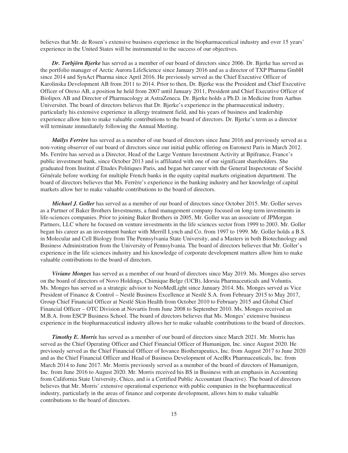believes that Mr. de Rosen's extensive business experience in the biopharmaceutical industry and over 15 years' experience in the United States will be instrumental to the success of our objectives.

*Dr. Torbjörn Bjerke* has served as a member of our board of directors since 2006. Dr. Bjerke has served as the portfolio manager of Arctic Aurora LifeScience since January 2016 and as a director of TXP Pharma GmbH since 2014 and SynAct Pharma since April 2016. He previously served as the Chief Executive Officer of Karolinska Development AB from 2011 to 2014. Prior to then, Dr. Bjerke was the President and Chief Executive Officer of Orexo AB, a position he held from 2007 until January 2011, President and Chief Executive Officer of Biolipox AB and Director of Pharmacology at AstraZeneca. Dr. Bjerke holds a Ph.D. in Medicine from Aarhus Universitet. The board of directors believes that Dr. Bjerke's experience in the pharmaceutical industry, particularly his extensive experience in allergy treatment field, and his years of business and leadership experience allow him to make valuable contributions to the board of directors. Dr. Bjerke's term as a director will terminate immediately following the Annual Meeting.

*Maïlys Ferrère* has served as a member of our board of directors since June 2016 and previously served as a non-voting observer of our board of directors since our initial public offering on Euronext Paris in March 2012. Ms. Ferrère has served as a Director, Head of the Large Venture Investment Activity at Bpifrance, France's public investment bank, since October 2013 and is affiliated with one of our significant shareholders. She graduated from Institut d'Etudes Politiques Paris, and began her career with the General Inspectorate of Société Générale before working for multiple French banks in the equity capital markets origination department. The board of directors believes that Ms. Ferrère's experience in the banking industry and her knowledge of capital markets allow her to make valuable contributions to the board of directors.

*Michael J. Goller* has served as a member of our board of directors since October 2015. Mr. Goller serves as a Partner of Baker Brothers Investments, a fund management company focused on long-term investments in life-sciences companies. Prior to joining Baker Brothers in 2005, Mr. Goller was an associate of JPMorgan Partners, LLC where he focused on venture investments in the life sciences sector from 1999 to 2003. Mr. Goller began his career as an investment banker with Merrill Lynch and Co. from 1997 to 1999. Mr. Goller holds a B.S. in Molecular and Cell Biology from The Pennsylvania State University, and a Masters in both Biotechnology and Business Administration from the University of Pennsylvania. The board of directors believes that Mr. Goller's experience in the life sciences industry and his knowledge of corporate development matters allow him to make valuable contributions to the board of directors.

*Viviane Monges* has served as a member of our board of directors since May 2019. Ms. Monges also serves on the board of directors of Novo Holdings, Chimique Belge (UCB), Idorsia Pharmaceuticals and Voluntis. Ms. Monges has served as a strategic advisor to NeoMedLight since January 2014. Ms. Monges served as Vice President of Finance & Control – Nestlé Business Excellence at Nestlé S.A. from February 2015 to May 2017, Group Chief Financial Officer at Nestlé Skin Health from October 2010 to February 2015 and Global Chief Financial Officer – OTC Division at Novartis from June 2008 to September 2010. Ms. Monges received an M.B.A. from ESCP Business School. The board of directors believes that Ms. Monges' extensive business experience in the biopharmaceutical industry allows her to make valuable contributions to the board of directors.

*Timothy E. Morris* has served as a member of our board of directors since March 2021. Mr. Morris has served as the Chief Operating Officer and Chief Financial Officer of Humanigen, Inc. since August 2020. He previously served as the Chief Financial Officer of Iovance Biotherapeutics, Inc. from August 2017 to June 2020 and as the Chief Financial Officer and Head of Business Development of AcelRx Pharmaceuticals, Inc. from March 2014 to June 2017. Mr. Morris previously served as a member of the board of directors of Humanigen, Inc. from June 2016 to August 2020. Mr. Morris received his BS in Business with an emphasis in Accounting from California State University, Chico, and is a Certified Public Accountant (Inactive). The board of directors believes that Mr. Morris' extensive operational experience with public companies in the biopharmaceutical industry, particularly in the areas of finance and corporate development, allows him to make valuable contributions to the board of directors.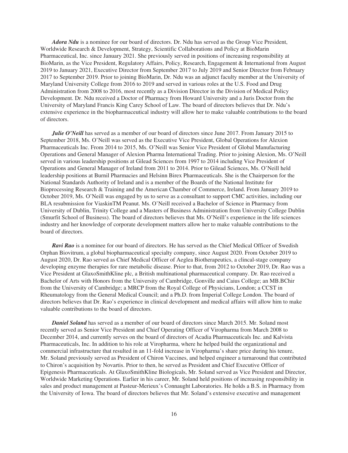*Adora Ndu* is a nominee for our board of directors. Dr. Ndu has served as the Group Vice President, Worldwide Research & Development, Strategy, Scientific Collaborations and Policy at BioMarin Pharmaceutical, Inc. since January 2021. She previously served in positions of increasing responsibility at BioMarin, as the Vice President, Regulatory Affairs, Policy, Research, Engagement & International from August 2019 to January 2021, Executive Director from September 2017 to July 2019 and Senior Director from February 2017 to September 2019. Prior to joining BioMarin, Dr. Ndu was an adjunct faculty member at the University of Maryland University College from 2016 to 2019 and served in various roles at the U.S. Food and Drug Administration from 2008 to 2016, most recently as a Division Director in the Division of Medical Policy Development. Dr. Ndu received a Doctor of Pharmacy from Howard University and a Juris Doctor from the University of Maryland Francis King Carey School of Law. The board of directors believes that Dr. Ndu's extensive experience in the biopharmaceutical industry will allow her to make valuable contributions to the board of directors.

*Julie O'Neill* has served as a member of our board of directors since June 2017. From January 2015 to September 2018, Ms. O'Neill was served as the Executive Vice President, Global Operations for Alexion Pharmaceuticals Inc. From 2014 to 2015, Ms. O'Neill was Senior Vice President of Global Manufacturing Operations and General Manager of Alexion Pharma International Trading. Prior to joining Alexion, Ms. O'Neill served in various leadership positions at Gilead Sciences from 1997 to 2014 including Vice President of Operations and General Manager of Ireland from 2011 to 2014. Prior to Gilead Sciences, Ms. O'Neill held leadership positions at Burnil Pharmacies and Helsinn Birex Pharmaceuticals. She is the Chairperson for the National Standards Authority of Ireland and is a member of the Boards of the National Institute for Bioprocessing Research & Training and the American Chamber of Commerce, Ireland. From January 2019 to October 2019, Ms. O'Neill was engaged by us to serve as a consultant to support CMC activities, including our BLA resubmission for ViaskinTM Peanut. Ms. O'Neill received a Bachelor of Science in Pharmacy from University of Dublin, Trinity College and a Masters of Business Administration from University College Dublin (Smurfit School of Business). The board of directors believes that Ms. O'Neill's experience in the life sciences industry and her knowledge of corporate development matters allow her to make valuable contributions to the board of directors.

*Ravi Rao* is a nominee for our board of directors. He has served as the Chief Medical Officer of Swedish Orphan Biovitrum, a global biopharmaceutical specialty company, since August 2020. From October 2019 to August 2020, Dr. Rao served as Chief Medical Officer of Aeglea Biotherapeutics, a clincal-stage company developing enzyme therapies for rare metabolic disease. Prior to that, from 2012 to October 2019, Dr. Rao was a Vice President at GlaxoSmithKline plc, a British multinational pharmaceutical company. Dr. Rao received a Bachelor of Arts with Honors from the University of Cambridge, Gonville and Caius College; an MB.BChir from the University of Cambridge; a MRCP from the Royal College of Physicians, London; a CCST in Rheumatology from the General Medical Council; and a Ph.D. from Imperial College London. The board of directors believes that Dr. Rao's experience in clinical development and medical affairs will allow him to make valuable contributions to the board of directors.

*Daniel Soland* has served as a member of our board of directors since March 2015. Mr. Soland most recently served as Senior Vice President and Chief Operating Officer of Viropharma from March 2008 to December 2014, and currently serves on the board of directors of Acadia Pharmaceuticals Inc. and Kalvista Pharmaceuticals, Inc. In addition to his role at Viropharma, where he helped build the organizational and commercial infrastructure that resulted in an 11-fold increase in Viropharma's share price during his tenure, Mr. Soland previously served as President of Chiron Vaccines, and helped engineer a turnaround that contributed to Chiron's acquisition by Novartis. Prior to then, he served as President and Chief Executive Officer of Epigenesis Pharmaceuticals. At GlaxoSmithKline Biologicals, Mr. Soland served as Vice President and Director, Worldwide Marketing Operations. Earlier in his career, Mr. Soland held positions of increasing responsibility in sales and product management at Pasteur-Merieux's Connaught Laboratories. He holds a B.S. in Pharmacy from the University of Iowa. The board of directors believes that Mr. Soland's extensive executive and management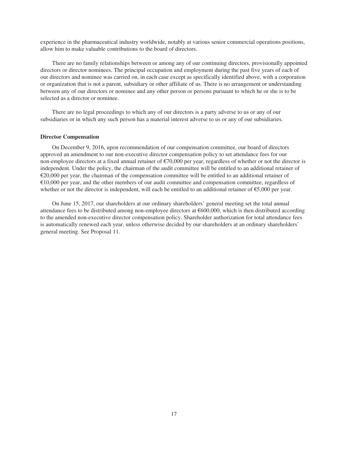experience in the pharmaceutical industry worldwide, notably at various senior commercial operations positions, allow him to make valuable contributions to the board of directors.

There are no family relationships between or among any of our continuing directors, provisionally appointed directors or director nominees. The principal occupation and employment during the past five years of each of our directors and nominee was carried on, in each case except as specifically identified above, with a corporation or organization that is not a parent, subsidiary or other affiliate of us. There is no arrangement or understanding between any of our directors or nominee and any other person or persons pursuant to which he or she is to be selected as a director or nominee.

There are no legal proceedings to which any of our directors is a party adverse to us or any of our subsidiaries or in which any such person has a material interest adverse to us or any of our subsidiaries.

### **Director Compensation**

On December 9, 2016, upon recommendation of our compensation committee, our board of directors approved an amendment to our non-executive director compensation policy to set attendance fees for our non-employee directors at a fixed annual retainer of  $\epsilon$ 70,000 per year, regardless of whether or not the director is independent. Under the policy, the chairman of the audit committee will be entitled to an additional retainer of €20,000 per year, the chairman of the compensation committee will be entitled to an additional retainer of €10,000 per year, and the other members of our audit committee and compensation committee, regardless of whether or not the director is independent, will each be entitled to an additional retainer of  $\epsilon$ 5,000 per year.

On June 15, 2017, our shareholders at our ordinary shareholders' general meeting set the total annual attendance fees to be distributed among non-employee directors at €600,000, which is then distributed according to the amended non-executive director compensation policy. Shareholder authorization for total attendance fees is automatically renewed each year, unless otherwise decided by our shareholders at an ordinary shareholders' general meeting. See Proposal 11.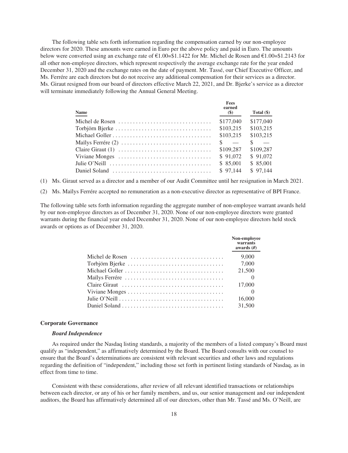The following table sets forth information regarding the compensation earned by our non-employee directors for 2020. These amounts were earned in Euro per the above policy and paid in Euro. The amounts below were converted using an exchange rate of €1.00=\$1.1422 for Mr. Michel de Rosen and €1.00=\$1.2143 for all other non-employee directors, which represent respectively the average exchange rate for the year ended December 31, 2020 and the exchange rates on the date of payment. Mr. Tassé, our Chief Executive Officer, and Ms. Ferrére are each directors but do not receive any additional compensation for their services as a director. Ms. Giraut resigned from our board of directors effective March 22, 2021, and Dr. Bjerke's service as a director will terminate immediately following the Annual General Meeting.

| <b>Name</b>                                                                            | Fees<br>earned<br>(S) | Total $(\$)$ |
|----------------------------------------------------------------------------------------|-----------------------|--------------|
|                                                                                        | \$177,040             | \$177,040    |
|                                                                                        | \$103.215             | \$103,215    |
|                                                                                        | \$103,215             | \$103,215    |
|                                                                                        | $\sim$                | $\sim$       |
|                                                                                        | \$109.287             | \$109.287    |
| Viviane Monges                                                                         | \$91.072              | \$91,072     |
| Julie O'Neill $\ldots, \ldots, \ldots, \ldots, \ldots, \ldots, \ldots, \ldots, \ldots$ | \$ 85,001             | \$ 85,001    |
|                                                                                        | \$97.144              | \$97,144     |

(1) Ms. Giraut served as a director and a member of our Audit Committee until her resignation in March 2021.

(2) Ms. Maïlys Ferrére accepted no remuneration as a non-executive director as representative of BPI France.

The following table sets forth information regarding the aggregate number of non-employee warrant awards held by our non-employee directors as of December 31, 2020. None of our non-employee directors were granted warrants during the financial year ended December 31, 2020. None of our non-employee directors held stock awards or options as of December 31, 2020.

| Non-employee<br>warrants<br>awards $(H)$ |
|------------------------------------------|
| 9,000                                    |
| 7,000                                    |
| 21,500                                   |
|                                          |
| 17,000                                   |
|                                          |
| 16,000                                   |
| 31,500                                   |

#### **Corporate Governance**

#### *Board Independence*

As required under the Nasdaq listing standards, a majority of the members of a listed company's Board must qualify as "independent," as affirmatively determined by the Board. The Board consults with our counsel to ensure that the Board's determinations are consistent with relevant securities and other laws and regulations regarding the definition of "independent," including those set forth in pertinent listing standards of Nasdaq, as in effect from time to time.

Consistent with these considerations, after review of all relevant identified transactions or relationships between each director, or any of his or her family members, and us, our senior management and our independent auditors, the Board has affirmatively determined all of our directors, other than Mr. Tassé and Ms. O'Neill, are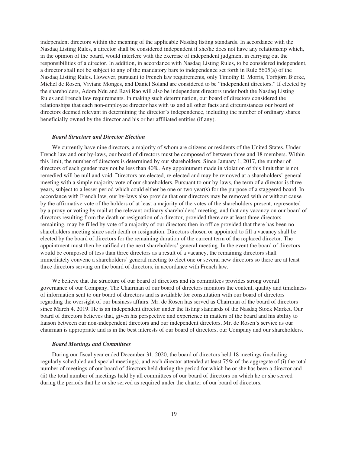independent directors within the meaning of the applicable Nasdaq listing standards. In accordance with the Nasdaq Listing Rules, a director shall be considered independent if she/he does not have any relationship which, in the opinion of the board, would interfere with the exercise of independent judgment in carrying out the responsibilities of a director. In addition, in accordance with Nasdaq Listing Rules, to be considered independent, a director shall not be subject to any of the mandatory bars to independence set forth in Rule 5605(a) of the Nasdaq Listing Rules. However, pursuant to French law requirements, only Timothy E. Morris, Torbjörn Bjerke, Michel de Rosen, Viviane Monges, and Daniel Soland are considered to be "independent directors." If elected by the shareholders, Adora Ndu and Ravi Rao will also be independent directors under both the Nasdaq Listing Rules and French law requirements. In making such determination, our board of directors considered the relationships that each non-employee director has with us and all other facts and circumstances our board of directors deemed relevant in determining the director's independence, including the number of ordinary shares beneficially owned by the director and his or her affiliated entities (if any).

## *Board Structure and Director Election*

We currently have nine directors, a majority of whom are citizens or residents of the United States. Under French law and our by-laws, our board of directors must be composed of between three and 18 members. Within this limit, the number of directors is determined by our shareholders. Since January 1, 2017, the number of directors of each gender may not be less than 40%. Any appointment made in violation of this limit that is not remedied will be null and void. Directors are elected, re-elected and may be removed at a shareholders' general meeting with a simple majority vote of our shareholders. Pursuant to our by-laws, the term of a director is three years, subject to a lesser period which could either be one or two year(s) for the purpose of a staggered board. In accordance with French law, our by-laws also provide that our directors may be removed with or without cause by the affirmative vote of the holders of at least a majority of the votes of the shareholders present, represented by a proxy or voting by mail at the relevant ordinary shareholders' meeting, and that any vacancy on our board of directors resulting from the death or resignation of a director, provided there are at least three directors remaining, may be filled by vote of a majority of our directors then in office provided that there has been no shareholders meeting since such death or resignation. Directors chosen or appointed to fill a vacancy shall be elected by the board of directors for the remaining duration of the current term of the replaced director. The appointment must then be ratified at the next shareholders' general meeting. In the event the board of directors would be composed of less than three directors as a result of a vacancy, the remaining directors shall immediately convene a shareholders' general meeting to elect one or several new directors so there are at least three directors serving on the board of directors, in accordance with French law.

We believe that the structure of our board of directors and its committees provides strong overall governance of our Company. The Chairman of our board of directors monitors the content, quality and timeliness of information sent to our board of directors and is available for consultation with our board of directors regarding the oversight of our business affairs. Mr. de Rosen has served as Chairman of the board of directors since March 4, 2019. He is an independent director under the listing standards of the Nasdaq Stock Market. Our board of directors believes that, given his perspective and experience in matters of the board and his ability to liaison between our non-independent directors and our independent directors, Mr. de Rosen's service as our chairman is appropriate and is in the best interests of our board of directors, our Company and our shareholders.

#### *Board Meetings and Committees*

During our fiscal year ended December 31, 2020, the board of directors held 18 meetings (including regularly scheduled and special meetings), and each director attended at least 75% of the aggregate of (i) the total number of meetings of our board of directors held during the period for which he or she has been a director and (ii) the total number of meetings held by all committees of our board of directors on which he or she served during the periods that he or she served as required under the charter of our board of directors.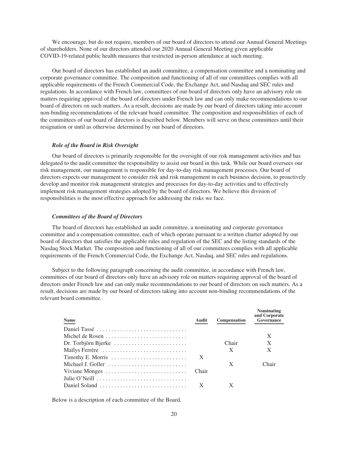We encourage, but do not require, members of our board of directors to attend our Annual General Meetings of shareholders. None of our directors attended our 2020 Annual General Meeting given applicable COVID-19-related public health measures that restricted in-person attendance at such meeting.

Our board of directors has established an audit committee, a compensation committee and a nominating and corporate governance committee. The composition and functioning of all of our committees complies with all applicable requirements of the French Commercial Code, the Exchange Act, and Nasdaq and SEC rules and regulations. In accordance with French law, committees of our board of directors only have an advisory role on matters requiring approval of the board of directors under French law and can only make recommendations to our board of directors on such matters. As a result, decisions are made by our board of directors taking into account non-binding recommendations of the relevant board committee. The composition and responsibilities of each of the committees of our board of directors is described below. Members will serve on these committees until their resignation or until as otherwise determined by our board of directors.

## *Role of the Board in Risk Oversight*

Our board of directors is primarily responsible for the oversight of our risk management activities and has delegated to the audit committee the responsibility to assist our board in this task. While our board oversees our risk management, our management is responsible for day-to-day risk management processes. Our board of directors expects our management to consider risk and risk management in each business decision, to proactively develop and monitor risk management strategies and processes for day-to-day activities and to effectively implement risk management strategies adopted by the board of directors. We believe this division of responsibilities is the most effective approach for addressing the risks we face.

## *Committees of the Board of Directors*

The board of directors has established an audit committee, a nominating and corporate governance committee and a compensation committee, each of which operate pursuant to a written charter adopted by our board of directors that satisfies the applicable rules and regulation of the SEC and the listing standards of the Nasdaq Stock Market. The composition and functioning of all of our committees complies with all applicable requirements of the French Commercial Code, the Exchange Act, Nasdaq, and SEC rules and regulations.

Subject to the following paragraph concerning the audit committee, in accordance with French law, committees of our board of directors only have an advisory role on matters requiring approval of the board of directors under French law and can only make recommendations to our board of directors on such matters. As a result, decisions are made by our board of directors taking into account non-binding recommendations of the relevant board committee.

| <b>Name</b>                                                     | Audit | <b>Compensation</b> | <b>Nominating</b><br>and Corporate<br>Governance |
|-----------------------------------------------------------------|-------|---------------------|--------------------------------------------------|
| Daniel Tassé                                                    |       |                     |                                                  |
| Michel de Rosen                                                 |       |                     | X                                                |
| Dr. Torbjörn Bjerke $\dots \dots \dots \dots \dots \dots \dots$ |       | Chair               | X                                                |
|                                                                 |       | X                   | X                                                |
| Timothy E. Morris                                               | X     |                     |                                                  |
| Michael J. Goller                                               |       | X                   | Chair                                            |
| Viviane Monges                                                  | Chair |                     |                                                  |
| Julie O'Neill                                                   |       |                     |                                                  |
| Daniel Soland Communication of the Communication                |       |                     |                                                  |
|                                                                 |       |                     |                                                  |

Below is a description of each committee of the Board.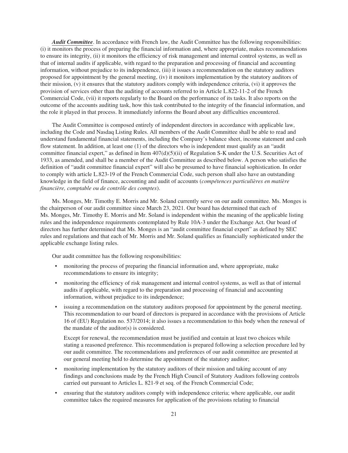*Audit Committee*. In accordance with French law, the Audit Committee has the following responsibilities: (i) it monitors the process of preparing the financial information and, where appropriate, makes recommendations to ensure its integrity, (ii) it monitors the efficiency of risk management and internal control systems, as well as that of internal audits if applicable, with regard to the preparation and processing of financial and accounting information, without prejudice to its independence, (iii) it issues a recommendation on the statutory auditors proposed for appointment by the general meeting, (iv) it monitors implementation by the statutory auditors of their mission, (v) it ensures that the statutory auditors comply with independence criteria, (vi) it approves the provision of services other than the auditing of accounts referred to in Article L.822-11-2 of the French Commercial Code, (vii) it reports regularly to the Board on the performance of its tasks. It also reports on the outcome of the accounts auditing task, how this task contributed to the integrity of the financial information, and the role it played in that process. It immediately informs the Board about any difficulties encountered.

The Audit Committee is composed entirely of independent directors in accordance with applicable law, including the Code and Nasdaq Listing Rules. All members of the Audit Committee shall be able to read and understand fundamental financial statements, including the Company's balance sheet, income statement and cash flow statement. In addition, at least one (1) of the directors who is independent must qualify as an "audit committee financial expert," as defined in Item 407(d)(5)(ii) of Regulation S-K under the U.S. Securities Act of 1933, as amended, and shall be a member of the Audit Committee as described below. A person who satisfies the definition of "audit committee financial expert" will also be presumed to have financial sophistication. In order to comply with article L.823-19 of the French Commercial Code, such person shall also have an outstanding knowledge in the field of finance, accounting and audit of accounts (*compétences particulières en matière financière, comptable ou de contrôle des comptes*).

Ms. Monges, Mr. Timothy E. Morris and Mr. Soland currently serve on our audit committee. Ms. Monges is the chairperson of our audit committee since March 23, 2021. Our board has determined that each of Ms. Monges, Mr. Timothy E. Morris and Mr. Soland is independent within the meaning of the applicable listing rules and the independence requirements contemplated by Rule 10A-3 under the Exchange Act. Our board of directors has further determined that Ms. Monges is an "audit committee financial expert" as defined by SEC rules and regulations and that each of Mr. Morris and Mr. Soland qualifies as financially sophisticated under the applicable exchange listing rules.

Our audit committee has the following responsibilities:

- monitoring the process of preparing the financial information and, where appropriate, make recommendations to ensure its integrity;
- monitoring the efficiency of risk management and internal control systems, as well as that of internal audits if applicable, with regard to the preparation and processing of financial and accounting information, without prejudice to its independence;
- issuing a recommendation on the statutory auditors proposed for appointment by the general meeting. This recommendation to our board of directors is prepared in accordance with the provisions of Article 16 of (EU) Regulation no. 537/2014; it also issues a recommendation to this body when the renewal of the mandate of the auditor(s) is considered.

Except for renewal, the recommendation must be justified and contain at least two choices while stating a reasoned preference. This recommendation is prepared following a selection procedure led by our audit committee. The recommendations and preferences of our audit committee are presented at our general meeting held to determine the appointment of the statutory auditor;

- monitoring implementation by the statutory auditors of their mission and taking account of any findings and conclusions made by the French High Council of Statutory Auditors following controls carried out pursuant to Articles L. 821-9 et seq. of the French Commercial Code;
- ensuring that the statutory auditors comply with independence criteria; where applicable, our audit committee takes the required measures for application of the provisions relating to financial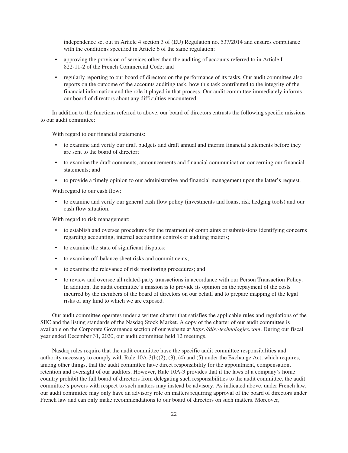independence set out in Article 4 section 3 of (EU) Regulation no. 537/2014 and ensures compliance with the conditions specified in Article 6 of the same regulation;

- approving the provision of services other than the auditing of accounts referred to in Article L. 822-11-2 of the French Commercial Code; and
- regularly reporting to our board of directors on the performance of its tasks. Our audit committee also reports on the outcome of the accounts auditing task, how this task contributed to the integrity of the financial information and the role it played in that process. Our audit committee immediately informs our board of directors about any difficulties encountered.

In addition to the functions referred to above, our board of directors entrusts the following specific missions to our audit committee:

With regard to our financial statements:

- to examine and verify our draft budgets and draft annual and interim financial statements before they are sent to the board of director;
- to examine the draft comments, announcements and financial communication concerning our financial statements; and
- to provide a timely opinion to our administrative and financial management upon the latter's request.

With regard to our cash flow:

• to examine and verify our general cash flow policy (investments and loans, risk hedging tools) and our cash flow situation.

With regard to risk management:

- to establish and oversee procedures for the treatment of complaints or submissions identifying concerns regarding accounting, internal accounting controls or auditing matters;
- to examine the state of significant disputes;
- to examine off-balance sheet risks and commitments;
- to examine the relevance of risk monitoring procedures; and
- to review and oversee all related-party transactions in accordance with our Person Transaction Policy. In addition, the audit committee's mission is to provide its opinion on the repayment of the costs incurred by the members of the board of directors on our behalf and to prepare mapping of the legal risks of any kind to which we are exposed.

Our audit committee operates under a written charter that satisfies the applicable rules and regulations of the SEC and the listing standards of the Nasdaq Stock Market. A copy of the charter of our audit committee is available on the Corporate Governance section of our website at *https://dbv-technologies.com*. During our fiscal year ended December 31, 2020, our audit committee held 12 meetings.

Nasdaq rules require that the audit committee have the specific audit committee responsibilities and authority necessary to comply with Rule 10A-3(b)(2), (3), (4) and (5) under the Exchange Act, which requires, among other things, that the audit committee have direct responsibility for the appointment, compensation, retention and oversight of our auditors. However, Rule 10A-3 provides that if the laws of a company's home country prohibit the full board of directors from delegating such responsibilities to the audit committee, the audit committee's powers with respect to such matters may instead be advisory. As indicated above, under French law, our audit committee may only have an advisory role on matters requiring approval of the board of directors under French law and can only make recommendations to our board of directors on such matters. Moreover,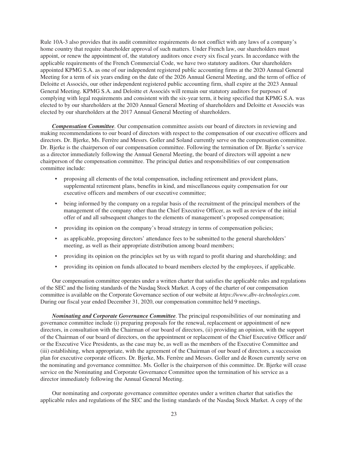Rule 10A-3 also provides that its audit committee requirements do not conflict with any laws of a company's home country that require shareholder approval of such matters. Under French law, our shareholders must appoint, or renew the appointment of, the statutory auditors once every six fiscal years. In accordance with the applicable requirements of the French Commercial Code, we have two statutory auditors. Our shareholders appointed KPMG S.A. as one of our independent registered public accounting firms at the 2020 Annual General Meeting for a term of six years ending on the date of the 2026 Annual General Meeting, and the term of office of Deloitte et Associés, our other independent registered public accounting firm, shall expire at the 2023 Annual General Meeting. KPMG S.A. and Deloitte et Associés will remain our statutory auditors for purposes of complying with legal requirements and consistent with the six-year term, it being specified that KPMG S.A. was elected to by our shareholders at the 2020 Annual General Meeting of shareholders and Deloitte et Associés was elected by our shareholders at the 2017 Annual General Meeting of shareholders.

*Compensation Committee.* Our compensation committee assists our board of directors in reviewing and making recommendations to our board of directors with respect to the compensation of our executive officers and directors. Dr. Bjerke, Ms. Ferrère and Messrs. Goller and Soland currently serve on the compensation committee. Dr. Bjerke is the chairperson of our compensation committee. Following the termination of Dr. Bjerke's service as a director immediately following the Annual General Meeting, the board of directors will appoint a new chairperson of the compensation committee. The principal duties and responsibilities of our compensation committee include:

- proposing all elements of the total compensation, including retirement and provident plans, supplemental retirement plans, benefits in kind, and miscellaneous equity compensation for our executive officers and members of our executive committee;
- being informed by the company on a regular basis of the recruitment of the principal members of the management of the company other than the Chief Executive Officer, as well as review of the initial offer of and all subsequent changes to the elements of management's proposed compensation;
- providing its opinion on the company's broad strategy in terms of compensation policies;
- as applicable, proposing directors' attendance fees to be submitted to the general shareholders' meeting, as well as their appropriate distribution among board members;
- providing its opinion on the principles set by us with regard to profit sharing and shareholding; and
- providing its opinion on funds allocated to board members elected by the employees, if applicable.

Our compensation committee operates under a written charter that satisfies the applicable rules and regulations of the SEC and the listing standards of the Nasdaq Stock Market. A copy of the charter of our compensation committee is available on the Corporate Governance section of our website at *https://www.dbv-technologies.com*. During our fiscal year ended December 31, 2020, our compensation committee held 9 meetings.

*Nominating and Corporate Governance Committee.* The principal responsibilities of our nominating and governance committee include (i) preparing proposals for the renewal, replacement or appointment of new directors, in consultation with the Chairman of our board of directors, (ii) providing an opinion, with the support of the Chairman of our board of directors, on the appointment or replacement of the Chief Executive Officer and/ or the Executive Vice Presidents, as the case may be, as well as the members of the Executive Committee and (iii) establishing, when appropriate, with the agreement of the Chairman of our board of directors, a succession plan for executive corporate officers. Dr. Bjerke, Ms. Ferrère and Messrs. Goller and de Rosen currently serve on the nominating and governance committee. Ms. Goller is the chairperson of this committee. Dr. Bjerke will cease service on the Nominating and Corporate Governance Committee upon the termination of his service as a director immediately following the Annual General Meeting.

Our nominating and corporate governance committee operates under a written charter that satisfies the applicable rules and regulations of the SEC and the listing standards of the Nasdaq Stock Market. A copy of the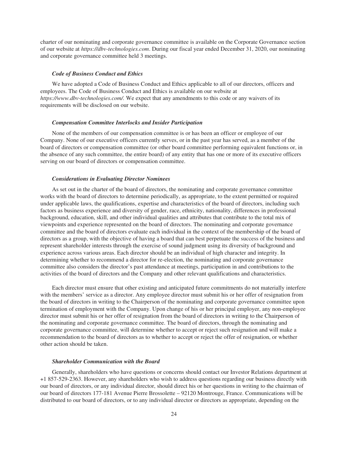charter of our nominating and corporate governance committee is available on the Corporate Governance section of our website at *https://dbv-technologies.com*. During our fiscal year ended December 31, 2020, our nominating and corporate governance committee held 3 meetings.

## *Code of Business Conduct and Ethics*

We have adopted a Code of Business Conduct and Ethics applicable to all of our directors, officers and employees. The Code of Business Conduct and Ethics is available on our website at *https://www.dbv-technologies.com/.* We expect that any amendments to this code or any waivers of its requirements will be disclosed on our website.

### *Compensation Committee Interlocks and Insider Participation*

None of the members of our compensation committee is or has been an officer or employee of our Company. None of our executive officers currently serves, or in the past year has served, as a member of the board of directors or compensation committee (or other board committee performing equivalent functions or, in the absence of any such committee, the entire board) of any entity that has one or more of its executive officers serving on our board of directors or compensation committee.

## *Considerations in Evaluating Director Nominees*

As set out in the charter of the board of directors, the nominating and corporate governance committee works with the board of directors to determine periodically, as appropriate, to the extent permitted or required under applicable laws, the qualifications, expertise and characteristics of the board of directors, including such factors as business experience and diversity of gender, race, ethnicity, nationality, differences in professional background, education, skill, and other individual qualities and attributes that contribute to the total mix of viewpoints and experience represented on the board of directors. The nominating and corporate governance committee and the board of directors evaluate each individual in the context of the membership of the board of directors as a group, with the objective of having a board that can best perpetuate the success of the business and represent shareholder interests through the exercise of sound judgment using its diversity of background and experience across various areas. Each director should be an individual of high character and integrity. In determining whether to recommend a director for re-election, the nominating and corporate governance committee also considers the director's past attendance at meetings, participation in and contributions to the activities of the board of directors and the Company and other relevant qualifications and characteristics.

Each director must ensure that other existing and anticipated future commitments do not materially interfere with the members' service as a director. Any employee director must submit his or her offer of resignation from the board of directors in writing to the Chairperson of the nominating and corporate governance committee upon termination of employment with the Company. Upon change of his or her principal employer, any non-employee director must submit his or her offer of resignation from the board of directors in writing to the Chairperson of the nominating and corporate governance committee. The board of directors, through the nominating and corporate governance committee, will determine whether to accept or reject such resignation and will make a recommendation to the board of directors as to whether to accept or reject the offer of resignation, or whether other action should be taken.

## *Shareholder Communication with the Board*

Generally, shareholders who have questions or concerns should contact our Investor Relations department at +1 857-529-2363. However, any shareholders who wish to address questions regarding our business directly with our board of directors, or any individual director, should direct his or her questions in writing to the chairman of our board of directors 177-181 Avenue Pierre Brossolette – 92120 Montrouge, France. Communications will be distributed to our board of directors, or to any individual director or directors as appropriate, depending on the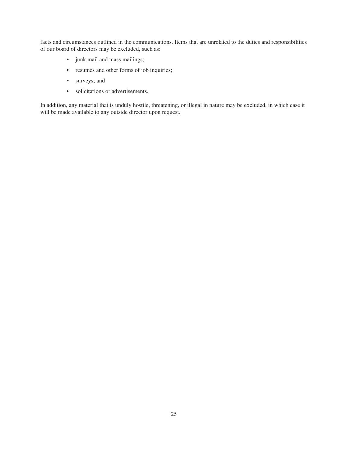facts and circumstances outlined in the communications. Items that are unrelated to the duties and responsibilities of our board of directors may be excluded, such as:

- junk mail and mass mailings;
- resumes and other forms of job inquiries;
- surveys; and
- solicitations or advertisements.

In addition, any material that is unduly hostile, threatening, or illegal in nature may be excluded, in which case it will be made available to any outside director upon request.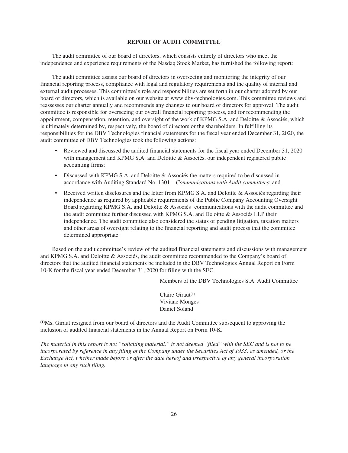### **REPORT OF AUDIT COMMITTEE**

The audit committee of our board of directors, which consists entirely of directors who meet the independence and experience requirements of the Nasdaq Stock Market, has furnished the following report:

The audit committee assists our board of directors in overseeing and monitoring the integrity of our financial reporting process, compliance with legal and regulatory requirements and the quality of internal and external audit processes. This committee's role and responsibilities are set forth in our charter adopted by our board of directors, which is available on our website at www.dbv-technologies.com. This committee reviews and reassesses our charter annually and recommends any changes to our board of directors for approval. The audit committee is responsible for overseeing our overall financial reporting process, and for recommending the appointment, compensation, retention, and oversight of the work of KPMG S.A. and Deloitte & Associés, which is ultimately determined by, respectively, the board of directors or the shareholders. In fulfilling its responsibilities for the DBV Technologies financial statements for the fiscal year ended December 31, 2020, the audit committee of DBV Technologies took the following actions:

- Reviewed and discussed the audited financial statements for the fiscal year ended December 31, 2020 with management and KPMG S.A. and Deloitte & Associés, our independent registered public accounting firms;
- Discussed with KPMG S.A. and Deloitte & Associés the matters required to be discussed in accordance with Auditing Standard No. 1301 – *Communications with Audit committees*; and
- Received written disclosures and the letter from KPMG S.A. and Deloitte & Associés regarding their independence as required by applicable requirements of the Public Company Accounting Oversight Board regarding KPMG S.A. and Deloitte & Associés' communications with the audit committee and the audit committee further discussed with KPMG S.A. and Deloitte & Associés LLP their independence. The audit committee also considered the status of pending litigation, taxation matters and other areas of oversight relating to the financial reporting and audit process that the committee determined appropriate.

Based on the audit committee's review of the audited financial statements and discussions with management and KPMG S.A. and Deloitte & Associés, the audit committee recommended to the Company's board of directors that the audited financial statements be included in the DBV Technologies Annual Report on Form 10-K for the fiscal year ended December 31, 2020 for filing with the SEC.

Members of the DBV Technologies S.A. Audit Committee

Claire Giraut(1) Viviane Monges Daniel Soland

**(1)**Ms. Giraut resigned from our board of directors and the Audit Committee subsequent to approving the inclusion of audited financial statements in the Annual Report on Form 10-K.

*The material in this report is not "soliciting material," is not deemed "filed" with the SEC and is not to be incorporated by reference in any filing of the Company under the Securities Act of 1933, as amended, or the Exchange Act, whether made before or after the date hereof and irrespective of any general incorporation language in any such filing.*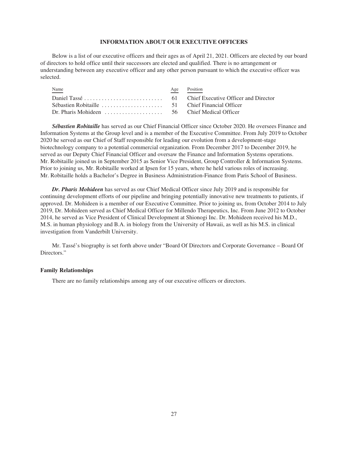### **INFORMATION ABOUT OUR EXECUTIVE OFFICERS**

Below is a list of our executive officers and their ages as of April 21, 2021. Officers are elected by our board of directors to hold office until their successors are elected and qualified. There is no arrangement or understanding between any executive officer and any other person pursuant to which the executive officer was selected.

| Name | Age Position |
|------|--------------|
|      |              |
|      |              |
|      |              |
|      |              |

*Sébastien Robitaille* has served as our Chief Financial Officer since October 2020. He oversees Finance and Information Systems at the Group level and is a member of the Executive Committee. From July 2019 to October 2020 he served as our Chief of Staff responsible for leading our evolution from a development-stage biotechnology company to a potential commercial organization. From December 2017 to December 2019, he served as our Deputy Chief Financial Officer and oversaw the Finance and Information Systems operations. Mr. Robitaille joined us in September 2015 as Senior Vice President, Group Controller & Information Systems. Prior to joining us, Mr. Robitaille worked at Ipsen for 15 years, where he held various roles of increasing. Mr. Robitaille holds a Bachelor's Degree in Business Administration-Finance from Paris School of Business.

*Dr. Pharis Mohideen* has served as our Chief Medical Officer since July 2019 and is responsible for continuing development efforts of our pipeline and bringing potentially innovative new treatments to patients, if approved. Dr. Mohideen is a member of our Executive Committee. Prior to joining us, from October 2014 to July 2019, Dr. Mohideen served as Chief Medical Officer for Millendo Therapeutics, Inc. From June 2012 to October 2014, he served as Vice President of Clinical Development at Shionogi Inc. Dr. Mohideen received his M.D., M.S. in human physiology and B.A. in biology from the University of Hawaii, as well as his M.S. in clinical investigation from Vanderbilt University.

Mr. Tassé's biography is set forth above under "Board Of Directors and Corporate Governance – Board Of Directors."

#### **Family Relationships**

There are no family relationships among any of our executive officers or directors.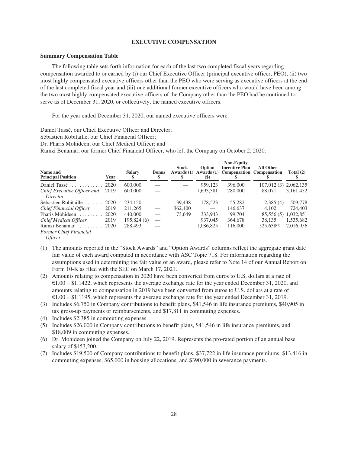#### **EXECUTIVE COMPENSATION**

### **Summary Compensation Table**

The following table sets forth information for each of the last two completed fiscal years regarding compensation awarded to or earned by (i) our Chief Executive Officer (principal executive officer, PEO), (ii) two most highly compensated executive officers other than the PEO who were serving as executive officers at the end of the last completed fiscal year and (iii) one additional former executive officers who would have been among the two most highly compensated executive officers of the Company other than the PEO had he continued to serve as of December 31, 2020, or collectively, the named executive officers.

For the year ended December 31, 2020, our named executive officers were:

Daniel Tassé, our Chief Executive Officer and Director;

Sébastien Robitaille, our Chief Financial Officer;

Dr. Pharis Mohideen, our Chief Medical Officer; and

Ramzi Benamar, our former Chief Financial Officer, who left the Company on October 2, 2020.

| Name and<br><b>Principal Position</b>               | Year | <b>Salary</b> | <b>Bonus</b>             | <b>Stock</b><br>Awards $(1)$ | Option<br>Awards $(1)$<br><b>(S)</b> | <b>Non-Equity</b><br><b>Incentive Plan</b><br><b>Compensation Compensation</b> | <b>All Other</b>      | Total $(2)$ |
|-----------------------------------------------------|------|---------------|--------------------------|------------------------------|--------------------------------------|--------------------------------------------------------------------------------|-----------------------|-------------|
| Daniel Tassé                                        | 2020 | 600,000       |                          |                              | 959.123                              | 396,000                                                                        | 107,012 (3) 2,062,135 |             |
| Chief Executive Officer and<br>Director             | 2019 | 600,000       |                          |                              | 1,693,381                            | 780,000                                                                        | 88,071                | 3,161,452   |
| Sébastien Robitaille                                | 2020 | 234,150       | $\overline{\phantom{m}}$ | 39.438                       | 178,523                              | 55,282                                                                         | 2,385(4)              | 509,778     |
| Chief Financial Officer                             | 2019 | 211,265       | $\hspace{0.05cm}$        | 362,400                      |                                      | 146.637                                                                        | 4.102                 | 724,403     |
| Pharis Mohideen<br>.                                | 2020 | 440,000       |                          | 73,649                       | 333.943                              | 99.704                                                                         | 85,556 (5)            | 1,032,851   |
| Chief Medical Officer                               | 2019 | 195,824 (6)   |                          |                              | 937,045                              | 364,678                                                                        | 38.135                | 1,535,682   |
| Ramzi Benamar<br>.<br><b>Former Chief Financial</b> | 2020 | 288,493       |                          |                              | 1.086.825                            | 116,000                                                                        | 525,638(7)            | 2.016.956   |

*Officer*

- (1) The amounts reported in the "Stock Awards" and "Option Awards" columns reflect the aggregate grant date fair value of each award computed in accordance with ASC Topic 718. For information regarding the assumptions used in determining the fair value of an award, please refer to Note 14 of our Annual Report on Form 10-K as filed with the SEC on March 17, 2021.
- (2) Amounts relating to compensation in 2020 have been converted from euros to U.S. dollars at a rate of  $\text{\textsterling}1.00 = \text{\$1.1422}$ , which represents the average exchange rate for the year ended December 31, 2020, and amounts relating to compensation in 2019 have been converted from euros to U.S. dollars at a rate of  $\epsilon$ 1.00 = \$1.1195, which represents the average exchange rate for the year ended December 31, 2019.
- (3) Includes \$6,750 in Company contributions to benefit plans, \$41,546 in life insurance premiums, \$40,905 in tax gross-up payments or reimbursements, and \$17,811 in commuting expenses.
- (4) Includes \$2,385 in commuting expenses.
- (5) Includes \$26,000 in Company contributions to benefit plans, \$41,546 in life insurance premiums, and \$18,009 in commuting expenses.
- (6) Dr. Mohideen joined the Company on July 22, 2019. Represents the pro-rated portion of an annual base salary of \$453,200.
- (7) Includes \$19,500 of Company contributions to benefit plans, \$37,722 in life insurance premiums, \$13,416 in commuting expenses, \$65,000 in housing allocations, and \$390,000 in severance payments.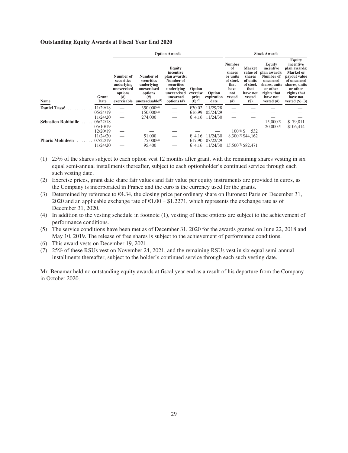#### **Outstanding Equity Awards at Fiscal Year End 2020**

|                             |               | <b>Option Awards</b>                                                                 |                                                                                                       |                                                                                                                         |                                          | <b>Stock Awards</b>          |                                                                                              |                                                                                                    |                                                                                                                                      |                                                                                                                                                                       |
|-----------------------------|---------------|--------------------------------------------------------------------------------------|-------------------------------------------------------------------------------------------------------|-------------------------------------------------------------------------------------------------------------------------|------------------------------------------|------------------------------|----------------------------------------------------------------------------------------------|----------------------------------------------------------------------------------------------------|--------------------------------------------------------------------------------------------------------------------------------------|-----------------------------------------------------------------------------------------------------------------------------------------------------------------------|
| <b>Name</b>                 | Grant<br>Date | Number of<br>securities<br>underlying<br>unexercised<br>options<br>#)<br>exercisable | Number of<br>securities<br>underlying<br>unexercised<br>options<br>#<br>unexerciseable <sup>(1)</sup> | Equity<br>incentive<br>plan awards:<br>Number of<br>securities<br>underlying<br>unexercised<br>unearned<br>options $#)$ | Option<br>exercise<br>price<br>$(€)$ (2) | Option<br>expiration<br>date | <b>Number</b><br>of<br>shares<br>or units<br>of stock<br>that<br>have<br>not<br>vested<br>#) | <b>Market</b><br>value of<br>shares<br>of units<br>of stock<br>that<br>have not<br>vested<br>$($)$ | Equity<br>incentive<br>plan awards:<br>Number of<br>unearned<br>shares, units<br>or other<br>rights that<br>have not<br>vested $(H)$ | <b>Equity</b><br>incentive<br>plan awards:<br>Market or<br>payout value<br>of unearned<br>shares, units<br>or other<br>rights that<br>have not<br>vested $(\$)$ $(3)$ |
| <b>Daniel Tassé</b>         | 11/29/18      |                                                                                      | $350,000^{(4)}$                                                                                       |                                                                                                                         | €30.02                                   | 11/29/28                     |                                                                                              |                                                                                                    |                                                                                                                                      |                                                                                                                                                                       |
|                             | 05/24/19      |                                                                                      | 150,000(4)                                                                                            | $\overline{\phantom{m}}$                                                                                                | €16.99                                   | 05/24/29                     |                                                                                              |                                                                                                    |                                                                                                                                      |                                                                                                                                                                       |
|                             | 11/24/20      |                                                                                      | 274,000                                                                                               |                                                                                                                         | € 4.16                                   | 11/24/30                     |                                                                                              |                                                                                                    |                                                                                                                                      |                                                                                                                                                                       |
| <b>Sébastien Robitaille</b> | 06/22/18      |                                                                                      |                                                                                                       |                                                                                                                         |                                          |                              |                                                                                              |                                                                                                    | $15,000^{(5)}$                                                                                                                       | \$79,811                                                                                                                                                              |
|                             | 05/10/19      |                                                                                      |                                                                                                       |                                                                                                                         |                                          |                              |                                                                                              |                                                                                                    | $20,000^{(5)}$                                                                                                                       | \$106,414                                                                                                                                                             |
|                             | 12/20/19      |                                                                                      |                                                                                                       |                                                                                                                         |                                          |                              | $100^{(6)}$ \$                                                                               | 532                                                                                                |                                                                                                                                      |                                                                                                                                                                       |
|                             | 11/24/20      |                                                                                      | 51,000                                                                                                |                                                                                                                         | $\epsilon$ 4.16                          | 11/24/30                     |                                                                                              | 8,300 <sup>(7)</sup> \$44,162                                                                      |                                                                                                                                      |                                                                                                                                                                       |
| <b>Pharis Mohideen</b>      | 07/22/19      |                                                                                      | $75,000^{(4)}$                                                                                        |                                                                                                                         | €17.90                                   | 07/22/29                     |                                                                                              |                                                                                                    |                                                                                                                                      |                                                                                                                                                                       |
|                             | 11/24/20      |                                                                                      | 95,400                                                                                                |                                                                                                                         | $\epsilon$ 4.16                          | 11/24/30                     |                                                                                              | 15.500 <sup>(7)</sup> \$82,471                                                                     |                                                                                                                                      |                                                                                                                                                                       |

- (1) 25% of the shares subject to each option vest 12 months after grant, with the remaining shares vesting in six equal semi-annual installments thereafter, subject to each optionholder's continued service through each such vesting date.
- (2) Exercise prices, grant date share fair values and fair value per equity instruments are provided in euros, as the Company is incorporated in France and the euro is the currency used for the grants.
- (3) Determined by reference to €4.34, the closing price per ordinary share on Euronext Paris on December 31, 2020 and an applicable exchange rate of  $\epsilon$ 1.00 = \$1.2271, which represents the exchange rate as of December 31, 2020.
- (4) In addition to the vesting schedule in footnote (1), vesting of these options are subject to the achievement of performance conditions.
- (5) The service conditions have been met as of December 31, 2020 for the awards granted on June 22, 2018 and May 10, 2019. The release of free shares is subject to the achievement of performance conditions.
- (6) This award vests on December 19, 2021.
- (7) 25% of these RSUs vest on November 24, 2021, and the remaining RSUs vest in six equal semi-annual installments thereafter, subject to the holder's continued service through each such vesting date.

Mr. Benamar held no outstanding equity awards at fiscal year end as a result of his departure from the Company in October 2020.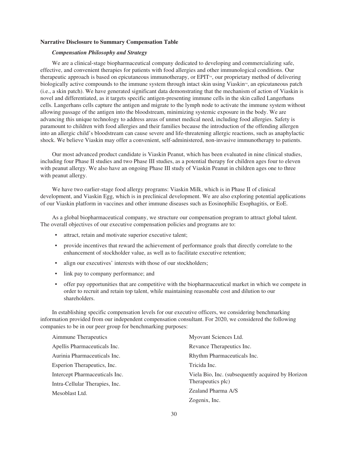### **Narrative Disclosure to Summary Compensation Table**

# *Compensation Philosophy and Strategy*

We are a clinical-stage biopharmaceutical company dedicated to developing and commercializing safe, effective, and convenient therapies for patients with food allergies and other immunological conditions. Our therapeutic approach is based on epicutaneous immunotherapy, or EPIT<sup> $<sub>m</sub>$ </sup>, our proprietary method of delivering</sup></sub> biologically active compounds to the immune system through intact skin using Viaskin™, an epicutaneous patch (i.e., a skin patch). We have generated significant data demonstrating that the mechanism of action of Viaskin is novel and differentiated, as it targets specific antigen-presenting immune cells in the skin called Langerhans cells. Langerhans cells capture the antigen and migrate to the lymph node to activate the immune system without allowing passage of the antigen into the bloodstream, minimizing systemic exposure in the body. We are advancing this unique technology to address areas of unmet medical need, including food allergies. Safety is paramount to children with food allergies and their families because the introduction of the offending allergen into an allergic child's bloodstream can cause severe and life-threatening allergic reactions, such as anaphylactic shock. We believe Viaskin may offer a convenient, self-administered, non-invasive immunotherapy to patients.

Our most advanced product candidate is Viaskin Peanut, which has been evaluated in nine clinical studies, including four Phase II studies and two Phase III studies, as a potential therapy for children ages four to eleven with peanut allergy. We also have an ongoing Phase III study of Viaskin Peanut in children ages one to three with peanut allergy.

We have two earlier-stage food allergy programs: Viaskin Milk, which is in Phase II of clinical development, and Viaskin Egg, which is in preclinical development. We are also exploring potential applications of our Viaskin platform in vaccines and other immune diseases such as Eosinophilic Esophagitis, or EoE.

As a global biopharmaceutical company, we structure our compensation program to attract global talent. The overall objectives of our executive compensation policies and programs are to:

- attract, retain and motivate superior executive talent;
- provide incentives that reward the achievement of performance goals that directly correlate to the enhancement of stockholder value, as well as to facilitate executive retention;
- align our executives' interests with those of our stockholders;
- link pay to company performance; and
- offer pay opportunities that are competitive with the biopharmaceutical market in which we compete in order to recruit and retain top talent, while maintaining reasonable cost and dilution to our shareholders.

In establishing specific compensation levels for our executive officers, we considering benchmarking information provided from our independent compensation consultant. For 2020, we considered the following companies to be in our peer group for benchmarking purposes:

| Aimmune Therapeutics           | Myovant Sciences Ltd.                             |
|--------------------------------|---------------------------------------------------|
| Apellis Pharmaceuticals Inc.   | Revance Therapeutics Inc.                         |
| Aurinia Pharmaceuticals Inc.   | Rhythm Pharmaceuticals Inc.                       |
| Esperion Therapeutics, Inc.    | Tricida Inc.                                      |
| Intercept Pharmaceuticals Inc. | Viela Bio, Inc. (subsequently acquired by Horizon |
| Intra-Cellular Therapies, Inc. | Therapeutics plc)                                 |
| Mesoblast Ltd.                 | Zealand Pharma A/S                                |
|                                | Zogenix, Inc.                                     |
|                                |                                                   |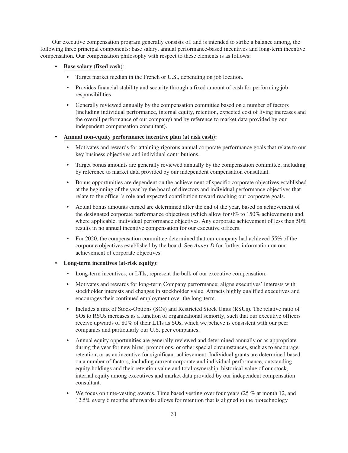Our executive compensation program generally consists of, and is intended to strike a balance among, the following three principal components: base salary, annual performance-based incentives and long-term incentive compensation. Our compensation philosophy with respect to these elements is as follows:

- **Base salary (fixed cash)**:
	- Target market median in the French or U.S., depending on job location.
	- Provides financial stability and security through a fixed amount of cash for performing job responsibilities.
	- Generally reviewed annually by the compensation committee based on a number of factors (including individual performance, internal equity, retention, expected cost of living increases and the overall performance of our company) and by reference to market data provided by our independent compensation consultant).
- **• Annual non-equity performance incentive plan (at risk cash):**
	- Motivates and rewards for attaining rigorous annual corporate performance goals that relate to our key business objectives and individual contributions.
	- Target bonus amounts are generally reviewed annually by the compensation committee, including by reference to market data provided by our independent compensation consultant.
	- Bonus opportunities are dependent on the achievement of specific corporate objectives established at the beginning of the year by the board of directors and individual performance objectives that relate to the officer's role and expected contribution toward reaching our corporate goals.
	- Actual bonus amounts earned are determined after the end of the year, based on achievement of the designated corporate performance objectives (which allow for 0% to 150% achievement) and, where applicable, individual performance objectives. Any corporate achievement of less than 50% results in no annual incentive compensation for our executive officers.
	- For 2020, the compensation committee determined that our company had achieved 55% of the corporate objectives established by the board. See *Annex D* for further information on our achievement of corporate objectives.
- **Long-term incentives (at-risk equity)**:
	- Long-term incentives, or LTIs, represent the bulk of our executive compensation.
	- Motivates and rewards for long-term Company performance; aligns executives' interests with stockholder interests and changes in stockholder value. Attracts highly qualified executives and encourages their continued employment over the long-term.
	- Includes a mix of Stock-Options (SOs) and Restricted Stock Units (RSUs). The relative ratio of SOs to RSUs increases as a function of organizational seniority, such that our executive officers receive upwards of 80% of their LTIs as SOs, which we believe is consistent with our peer companies and particularly our U.S. peer companies.
	- Annual equity opportunities are generally reviewed and determined annually or as appropriate during the year for new hires, promotions, or other special circumstances, such as to encourage retention, or as an incentive for significant achievement. Individual grants are determined based on a number of factors, including current corporate and individual performance, outstanding equity holdings and their retention value and total ownership, historical value of our stock, internal equity among executives and market data provided by our independent compensation consultant.
	- We focus on time-vesting awards. Time based vesting over four years  $(25\%$  at month 12, and 12.5% every 6 months afterwards) allows for retention that is aligned to the biotechnology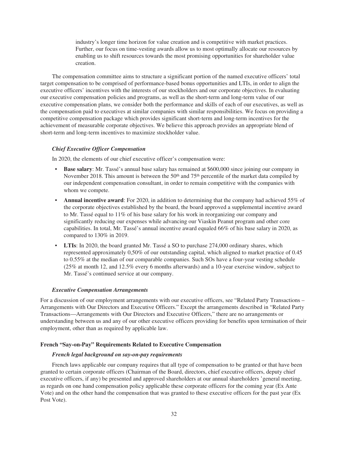industry's longer time horizon for value creation and is competitive with market practices. Further, our focus on time-vesting awards allow us to most optimally allocate our resources by enabling us to shift resources towards the most promising opportunities for shareholder value creation.

The compensation committee aims to structure a significant portion of the named executive officers' total target compensation to be comprised of performance-based bonus opportunities and LTIs, in order to align the executive officers' incentives with the interests of our stockholders and our corporate objectives. In evaluating our executive compensation policies and programs, as well as the short-term and long-term value of our executive compensation plans, we consider both the performance and skills of each of our executives, as well as the compensation paid to executives at similar companies with similar responsibilities. We focus on providing a competitive compensation package which provides significant short-term and long-term incentives for the achievement of measurable corporate objectives. We believe this approach provides an appropriate blend of short-term and long-term incentives to maximize stockholder value.

# *Chief Executive Officer Compensation*

In 2020, the elements of our chief executive officer's compensation were:

- **Base salary**: Mr. Tassé's annual base salary has remained at \$600,000 since joining our company in November 2018. This amount is between the  $50<sup>th</sup>$  and  $75<sup>th</sup>$  percentile of the market data compiled by our independent compensation consultant, in order to remain competitive with the companies with whom we compete.
- **Annual incentive award**: For 2020, in addition to determining that the company had achieved 55% of the corporate objectives established by the board, the board approved a supplemental incentive award to Mr. Tassé equal to 11% of his base salary for his work in reorganizing our company and significantly reducing our expenses while advancing our Viaskin Peanut program and other core capabilities. In total, Mr. Tassé's annual incentive award equaled 66% of his base salary in 2020, as compared to 130% in 2019.
- **LTIs**: In 2020, the board granted Mr. Tassé a SO to purchase 274,000 ordinary shares, which represented approximately 0,50% of our outstanding capital, which aligned to market practice of 0.45 to 0.55% at the median of our comparable companies. Such SOs have a four-year vesting schedule (25% at month 12, and 12.5% every 6 months afterwards) and a 10-year exercise window, subject to Mr. Tassé's continued service at our company.

### *Executive Compensation Arrangements*

For a discussion of our employment arrangements with our executive officers, see "Related Party Transactions – Arrangements with Our Directors and Executive Officers." Except the arrangements described in "Related Party Transactions—Arrangements with Our Directors and Executive Officers," there are no arrangements or understanding between us and any of our other executive officers providing for benefits upon termination of their employment, other than as required by applicable law.

#### **French "Say-on-Pay" Requirements Related to Executive Compensation**

## *French legal background on say-on-pay requirements*

French laws applicable our company requires that all type of compensation to be granted or that have been granted to certain corporate officers (Chairman of the Board, directors, chief executive officers, deputy chief executive officers, if any) be presented and approved shareholders at our annual shareholders 'general meeting, as regards on one hand compensation policy applicable these corporate officers for the coming year (Ex Ante Vote) and on the other hand the compensation that was granted to these executive officers for the past year (Ex Post Vote).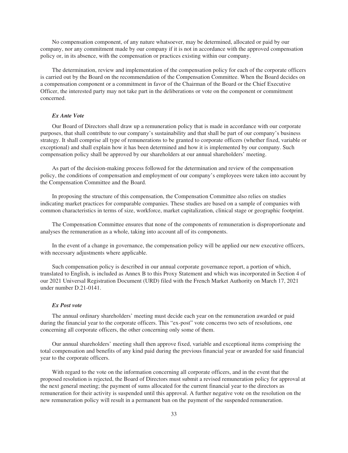No compensation component, of any nature whatsoever, may be determined, allocated or paid by our company, nor any commitment made by our company if it is not in accordance with the approved compensation policy or, in its absence, with the compensation or practices existing within our company.

The determination, review and implementation of the compensation policy for each of the corporate officers is carried out by the Board on the recommendation of the Compensation Committee. When the Board decides on a compensation component or a commitment in favor of the Chairman of the Board or the Chief Executive Officer, the interested party may not take part in the deliberations or vote on the component or commitment concerned.

## *Ex Ante Vote*

Our Board of Directors shall draw up a remuneration policy that is made in accordance with our corporate purposes, that shall contribute to our company's sustainability and that shall be part of our company's business strategy. It shall comprise all type of remunerations to be granted to corporate officers (whether fixed, variable or exceptional) and shall explain how it has been determined and how it is implemented by our company. Such compensation policy shall be approved by our shareholders at our annual shareholders' meeting.

As part of the decision-making process followed for the determination and review of the compensation policy, the conditions of compensation and employment of our company's employees were taken into account by the Compensation Committee and the Board.

In proposing the structure of this compensation, the Compensation Committee also relies on studies indicating market practices for comparable companies. These studies are based on a sample of companies with common characteristics in terms of size, workforce, market capitalization, clinical stage or geographic footprint.

The Compensation Committee ensures that none of the components of remuneration is disproportionate and analyses the remuneration as a whole, taking into account all of its components.

In the event of a change in governance, the compensation policy will be applied our new executive officers, with necessary adjustments where applicable.

Such compensation policy is described in our annual corporate governance report, a portion of which, translated to English, is included as Annex B to this Proxy Statement and which was incorporated in Section 4 of our 2021 Universal Registration Document (URD) filed with the French Market Authority on March 17, 2021 under number D.21-0141.

#### *Ex Post vote*

The annual ordinary shareholders' meeting must decide each year on the remuneration awarded or paid during the financial year to the corporate officers. This "ex-post" vote concerns two sets of resolutions, one concerning all corporate officers, the other concerning only some of them.

Our annual shareholders' meeting shall then approve fixed, variable and exceptional items comprising the total compensation and benefits of any kind paid during the previous financial year or awarded for said financial year to the corporate officers.

With regard to the vote on the information concerning all corporate officers, and in the event that the proposed resolution is rejected, the Board of Directors must submit a revised remuneration policy for approval at the next general meeting; the payment of sums allocated for the current financial year to the directors as remuneration for their activity is suspended until this approval. A further negative vote on the resolution on the new remuneration policy will result in a permanent ban on the payment of the suspended remuneration.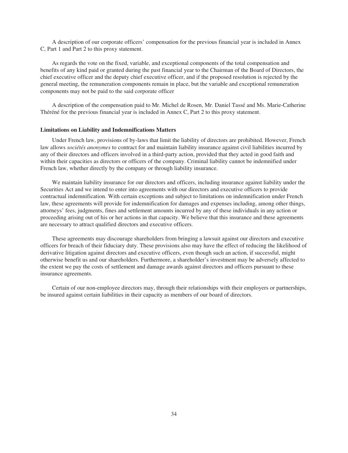A description of our corporate officers' compensation for the previous financial year is included in Annex C, Part 1 and Part 2 to this proxy statement.

As regards the vote on the fixed, variable, and exceptional components of the total compensation and benefits of any kind paid or granted during the past financial year to the Chairman of the Board of Directors, the chief executive officer and the deputy chief executive officer, and if the proposed resolution is rejected by the general meeting, the remuneration components remain in place, but the variable and exceptional remuneration components may not be paid to the said corporate officer

A description of the compensation paid to Mr. Michel de Rosen, Mr. Daniel Tassé and Ms. Marie-Catherine Théréné for the previous financial year is included in Annex C, Part 2 to this proxy statement.

#### **Limitations on Liability and Indemnifications Matters**

Under French law, provisions of by-laws that limit the liability of directors are prohibited. However, French law allows *sociétés anonymes* to contract for and maintain liability insurance against civil liabilities incurred by any of their directors and officers involved in a third-party action, provided that they acted in good faith and within their capacities as directors or officers of the company. Criminal liability cannot be indemnified under French law, whether directly by the company or through liability insurance.

We maintain liability insurance for our directors and officers, including insurance against liability under the Securities Act and we intend to enter into agreements with our directors and executive officers to provide contractual indemnification. With certain exceptions and subject to limitations on indemnification under French law, these agreements will provide for indemnification for damages and expenses including, among other things, attorneys' fees, judgments, fines and settlement amounts incurred by any of these individuals in any action or proceeding arising out of his or her actions in that capacity. We believe that this insurance and these agreements are necessary to attract qualified directors and executive officers.

These agreements may discourage shareholders from bringing a lawsuit against our directors and executive officers for breach of their fiduciary duty. These provisions also may have the effect of reducing the likelihood of derivative litigation against directors and executive officers, even though such an action, if successful, might otherwise benefit us and our shareholders. Furthermore, a shareholder's investment may be adversely affected to the extent we pay the costs of settlement and damage awards against directors and officers pursuant to these insurance agreements.

Certain of our non-employee directors may, through their relationships with their employers or partnerships, be insured against certain liabilities in their capacity as members of our board of directors.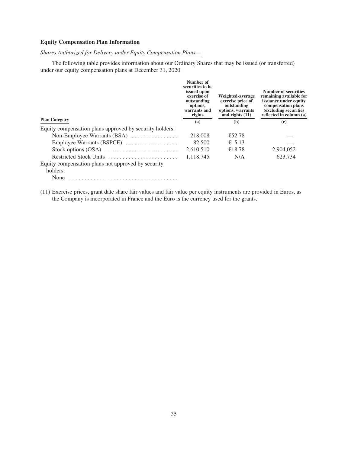# **Equity Compensation Plan Information**

# *Shares Authorized for Delivery under Equity Compensation Plans—*

The following table provides information about our Ordinary Shares that may be issued (or transferred) under our equity compensation plans at December 31, 2020:

|                                                         | Number of<br>securities to be<br>issued upon<br>exercise of<br>outstanding<br>options,<br>warrants and<br>rights | <b>Weighted-average</b><br>exercise price of<br>outstanding<br>options, warrants<br>and rights $(11)$ | Number of securities<br>remaining available for<br>issuance under equity<br>compensation plans<br>(excluding securities)<br>reflected in column (a) |
|---------------------------------------------------------|------------------------------------------------------------------------------------------------------------------|-------------------------------------------------------------------------------------------------------|-----------------------------------------------------------------------------------------------------------------------------------------------------|
| <b>Plan Category</b>                                    | (a)                                                                                                              | (b)                                                                                                   | (c)                                                                                                                                                 |
| Equity compensation plans approved by security holders: |                                                                                                                  |                                                                                                       |                                                                                                                                                     |
| Non-Employee Warrants $(BSA)$                           | 218,008                                                                                                          | €52.78                                                                                                |                                                                                                                                                     |
| Employee Warrants (BSPCE)                               | 82,500                                                                                                           | $\epsilon$ 5.13                                                                                       |                                                                                                                                                     |
|                                                         | 2,610,510                                                                                                        | €18.78                                                                                                | 2,904,052                                                                                                                                           |
| Restricted Stock Units                                  | 1.118.745                                                                                                        | N/A                                                                                                   | 623.734                                                                                                                                             |
| Equity compensation plans not approved by security      |                                                                                                                  |                                                                                                       |                                                                                                                                                     |
| holders:                                                |                                                                                                                  |                                                                                                       |                                                                                                                                                     |
| None                                                    |                                                                                                                  |                                                                                                       |                                                                                                                                                     |

(11) Exercise prices, grant date share fair values and fair value per equity instruments are provided in Euros, as the Company is incorporated in France and the Euro is the currency used for the grants.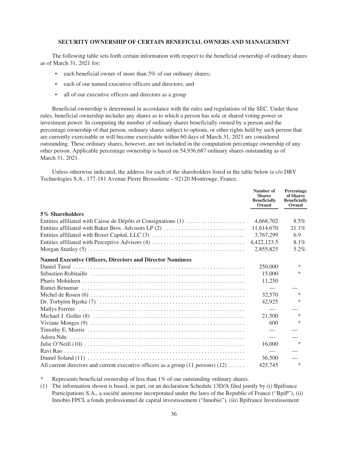### **SECURITY OWNERSHIP OF CERTAIN BENEFICIAL OWNERS AND MANAGEMENT**

The following table sets forth certain information with respect to the beneficial ownership of ordinary shares as of March 31, 2021 for:

- each beneficial owner of more than 5% of our ordinary shares;
- each of our named executive officers and directors; and
- all of our executive officers and directors as a group

Beneficial ownership is determined in accordance with the rules and regulations of the SEC. Under these rules, beneficial ownership includes any shares as to which a person has sole or shared voting power or investment power. In computing the number of ordinary shares beneficially owned by a person and the percentage ownership of that person, ordinary shares subject to options, or other rights held by such person that are currently exercisable or will become exercisable within 60 days of March 31, 2021 are considered outstanding. These ordinary shares, however, are not included in the computation percentage ownership of any other person. Applicable percentage ownership is based on 54,936,687 ordinary shares outstanding as of March 31, 2021.

Unless otherwise indicated, the address for each of the shareholders listed in the table below is c/o DBV Technologies S.A., 177-181 Avenue Pierre Brossolette – 92120 Montrouge, France.

|                                                                                                                     | Number of<br><b>Shares</b><br><b>Beneficially</b><br>Owned | Percentage<br>of Shares<br><b>Beneficially</b><br>Owned |
|---------------------------------------------------------------------------------------------------------------------|------------------------------------------------------------|---------------------------------------------------------|
| 5% Shareholders                                                                                                     |                                                            |                                                         |
| Entities affiliated with Caisse de Dépôts et Consignations (1)                                                      | 4,668,702                                                  | 8.5%                                                    |
| Entities affiliated with Baker Bros. Advisors LP (2)                                                                | 11,614,670                                                 | 21.1%                                                   |
| Entities affiliated with Boxer Capital, LLC (3)                                                                     | 3,767,299                                                  | 6.9                                                     |
| Entities affiliated with Perceptive Advisors (4)                                                                    | 4,422,123.5                                                | 8.1%                                                    |
|                                                                                                                     | 2,855,825                                                  | 5.2%                                                    |
| <b>Named Executive Officers, Directors and Director Nominees</b>                                                    |                                                            |                                                         |
|                                                                                                                     | 250,000                                                    | ∗                                                       |
|                                                                                                                     | 15,000                                                     | ∗                                                       |
|                                                                                                                     | 11,250                                                     |                                                         |
|                                                                                                                     |                                                            |                                                         |
|                                                                                                                     | 32,570                                                     | $\ast$                                                  |
| $Dr. Torbjörn Bjerk (7) \ldots \ldots \ldots \ldots \ldots \ldots \ldots \ldots \ldots \ldots \ldots \ldots \ldots$ | 42,925                                                     | $\ast$                                                  |
|                                                                                                                     |                                                            |                                                         |
|                                                                                                                     | 21,500                                                     | $\ast$                                                  |
|                                                                                                                     | 600                                                        | ∗                                                       |
|                                                                                                                     |                                                            |                                                         |
|                                                                                                                     |                                                            |                                                         |
|                                                                                                                     | 16,000                                                     | *                                                       |
|                                                                                                                     |                                                            |                                                         |
|                                                                                                                     | 36,500                                                     |                                                         |
| All current directors and current executive officers as a group (11 persons) (12)                                   | 425,745                                                    | $\ast$                                                  |

Represents beneficial ownership of less than  $1\%$  of our outstanding ordinary shares.

(1) The information shown is based, in part, on an declaration Schedule 13D/A filed jointly by (i) Bpifrance Participations S.A., a société anonyme incorporated under the laws of the Republic of France ("BpiP"), (ii) Innobio FPCI, a fonds professionnel de capital investissement ("Innobio"), (iii) Bpifrance Investissement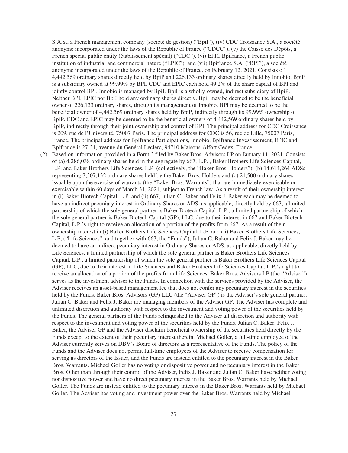S.A.S., a French management company (société de gestion) ("BpiI"), (iv) CDC Croissance S.A., a société anonyme incorporated under the laws of the Republic of France ("CDCC"), (v) the Caisse des Dépôts, a French special public entity (établissement spécial) ("CDC"), (vi) EPIC Bpifrance, a French public institution of industrial and commercial nature ("EPIC"), and (vii) Bpifrance S.A. ("BPI"), a société anonyme incorporated under the laws of the Republic of France, on February 12, 2021. Consists of 4,442,569 ordinary shares directly held by BpiP and 226,133 ordinary shares directly held by Innobio. BpiP is a subsidiary owned at 99.99% by BPI. CDC and EPIC each hold 49.2% of the share capital of BPI and jointly control BPI. Innobio is managed by BpiI. BpiI is a wholly-owned, indirect subsidiary of BpiP. Neither BPI, EPIC nor BpiI hold any ordinary shares directly. BpiI may be deemed to be the beneficial owner of 226,133 ordinary shares, through its management of Innobio. BPI may be deemed to be the beneficial owner of 4,442,569 ordinary shares held by BpiP, indirectly through its 99.99% ownership of BpiP. CDC and EPIC may be deemed to be the beneficial owners of 4,442,569 ordinary shares held by BpiP, indirectly through their joint ownership and control of BPI. The principal address for CDC Croissance is 209, rue de l'Université, 75007 Paris. The principal address for CDC is 56, rue de Lille, 75007 Paris, France. The principal address for Bpifrance Participations, Innobio, Bpifrance Investissement, EPIC and Bpifrance is 27-31, avenue du Général Leclerc, 94710 Maisons-Alfort Cedex, France.

(2) Based on information provided in a Form 3 filed by Baker Bros. Advisors LP on January 11, 2021. Consists of (a) 4,286,038 ordinary shares held in the aggregate by 667, L.P. , Baker Brothers Life Sciences Capital, L.P. and Baker Brothers Life Sciences, L.P. (collectively, the "Baker Bros. Holders"), (b) 14,614,264 ADSs representing 7,307,132 ordinary shares held by the Baker Bros. Holders and (c) 21,500 ordinary shares issuable upon the exercise of warrants (the "Baker Bros. Warrants") that are immediately exercisable or exercisable within 60 days of March 31, 2021, subject to French law. As a result of their ownership interest in (i) Baker Biotech Capital, L.P. and (ii) 667, Julian C. Baker and Felix J. Baker each may be deemed to have an indirect pecuniary interest in Ordinary Shares or ADS, as applicable, directly held by 667, a limited partnership of which the sole general partner is Baker Biotech Capital, L.P., a limited partnership of which the sole general partner is Baker Biotech Capital (GP), LLC, due to their interest in 667 and Baker Biotech Capital, L.P.'s right to receive an allocation of a portion of the profits from 667. As a result of their ownership interest in (i) Baker Brothers Life Sciences Capital, L.P. and (ii) Baker Brothers Life Sciences, L.P, ("Life Sciences", and together with 667, the "Funds"), Julian C. Baker and Felix J. Baker may be deemed to have an indirect pecuniary interest in Ordinary Shares or ADS, as applicable, directly held by Life Sciences, a limited partnership of which the sole general partner is Baker Brothers Life Sciences Capital, L.P., a limited partnership of which the sole general partner is Baker Brothers Life Sciences Capital (GP), LLC, due to their interest in Life Sciences and Baker Brothers Life Sciences Capital, L.P.'s right to receive an allocation of a portion of the profits from Life Sciences. Baker Bros. Advisors LP (the "Adviser") serves as the investment adviser to the Funds. In connection with the services provided by the Adviser, the Adviser receives an asset-based management fee that does not confer any pecuniary interest in the securities held by the Funds. Baker Bros. Advisors (GP) LLC (the "Adviser GP") is the Adviser's sole general partner. Julian C. Baker and Felix J. Baker are managing members of the Adviser GP. The Adviser has complete and unlimited discretion and authority with respect to the investment and voting power of the securities held by the Funds. The general partners of the Funds relinquished to the Adviser all discretion and authority with respect to the investment and voting power of the securities held by the Funds. Julian C. Baker, Felix J. Baker, the Adviser GP and the Adviser disclaim beneficial ownership of the securities held directly by the Funds except to the extent of their pecuniary interest therein. Michael Goller, a full-time employee of the Adviser currently serves on DBV's Board of directors as a representative of the Funds. The policy of the Funds and the Adviser does not permit full-time employees of the Adviser to receive compensation for serving as directors of the Issuer, and the Funds are instead entitled to the pecuniary interest in the Baker Bros. Warrants. Michael Goller has no voting or dispositive power and no pecuniary interest in the Baker Bros. Other than through their control of the Adviser, Felix J. Baker and Julian C. Baker have neither voting nor dispositive power and have no direct pecuniary interest in the Baker Bros. Warrants held by Michael Goller. The Funds are instead entitled to the pecuniary interest in the Baker Bros. Warrants held by Michael Goller. The Adviser has voting and investment power over the Baker Bros. Warrants held by Michael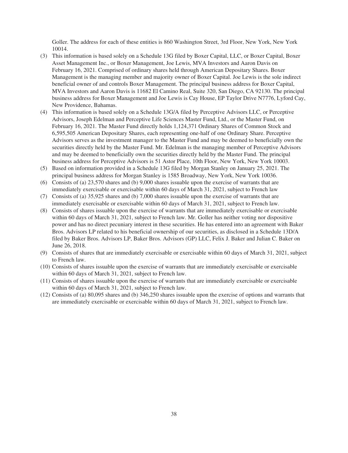Goller. The address for each of these entities is 860 Washington Street, 3rd Floor, New York, New York 10014.

- (3) This information is based solely on a Schedule 13G filed by Boxer Capital, LLC, or Boxer Capital, Boxer Asset Management Inc., or Boxer Management, Joe Lewis, MVA Investors and Aaron Davis on February 16, 2021. Comprised of ordinary shares held through American Depositary Shares. Boxer Management is the managing member and majority owner of Boxer Capital. Joe Lewis is the sole indirect beneficial owner of and controls Boxer Management. The principal business address for Boxer Capital, MVA Investors and Aaron Davis is 11682 El Camino Real, Suite 320, San Diego, CA 92130. The principal business address for Boxer Management and Joe Lewis is Cay House, EP Taylor Drive N7776, Lyford Cay, New Providence, Bahamas.
- (4) This information is based solely on a Schedule 13G/A filed by Perceptive Advisors LLC, or Perceptive Advisors, Joseph Edelman and Perceptive Life Sciences Master Fund, Ltd., or the Master Fund, on February 16, 2021. The Master Fund directly holds 1,124,371 Ordinary Shares of Common Stock and 6,595,505 American Depositary Shares, each representing one-half of one Ordinary Share. Perceptive Advisors serves as the investment manager to the Master Fund and may be deemed to beneficially own the securities directly held by the Master Fund. Mr. Edelman is the managing member of Perceptive Advisors and may be deemed to beneficially own the securities directly held by the Master Fund. The principal business address for Perceptive Advisors is 51 Astor Place, 10th Floor, New York, New York 10003.
- (5) Based on information provided in a Schedule 13G filed by Morgan Stanley on January 25, 2021. The principal business address for Morgan Stanley is 1585 Broadway, New York, New York 10036.
- (6) Consists of (a) 23,570 shares and (b) 9,000 shares issuable upon the exercise of warrants that are immediately exercisable or exercisable within 60 days of March 31, 2021, subject to French law
- (7) Consists of (a) 35,925 shares and (b) 7,000 shares issuable upon the exercise of warrants that are immediately exercisable or exercisable within 60 days of March 31, 2021, subject to French law.
- (8) Consists of shares issuable upon the exercise of warrants that are immediately exercisable or exercisable within 60 days of March 31, 2021, subject to French law. Mr. Goller has neither voting nor dispositive power and has no direct pecuniary interest in these securities. He has entered into an agreement with Baker Bros. Advisors LP related to his beneficial ownership of our securities, as disclosed in a Schedule 13D/A filed by Baker Bros. Advisors LP, Baker Bros. Advisors (GP) LLC, Felix J. Baker and Julian C. Baker on June 26, 2018.
- (9) Consists of shares that are immediately exercisable or exercisable within 60 days of March 31, 2021, subject to French law.
- (10) Consists of shares issuable upon the exercise of warrants that are immediately exercisable or exercisable within 60 days of March 31, 2021, subject to French law.
- (11) Consists of shares issuable upon the exercise of warrants that are immediately exercisable or exercisable within 60 days of March 31, 2021, subject to French law.
- (12) Consists of (a) 80,095 shares and (b) 346,250 shares issuable upon the exercise of options and warrants that are immediately exercisable or exercisable within 60 days of March 31, 2021, subject to French law.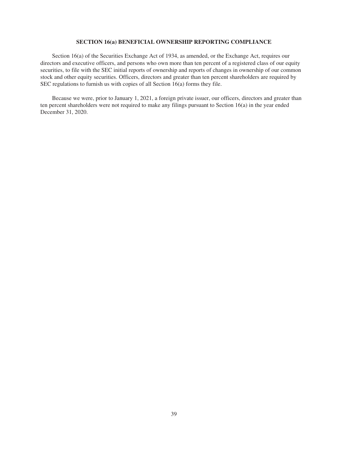# **SECTION 16(a) BENEFICIAL OWNERSHIP REPORTING COMPLIANCE**

Section 16(a) of the Securities Exchange Act of 1934, as amended, or the Exchange Act, requires our directors and executive officers, and persons who own more than ten percent of a registered class of our equity securities, to file with the SEC initial reports of ownership and reports of changes in ownership of our common stock and other equity securities. Officers, directors and greater than ten percent shareholders are required by SEC regulations to furnish us with copies of all Section 16(a) forms they file.

Because we were, prior to January 1, 2021, a foreign private issuer, our officers, directors and greater than ten percent shareholders were not required to make any filings pursuant to Section 16(a) in the year ended December 31, 2020.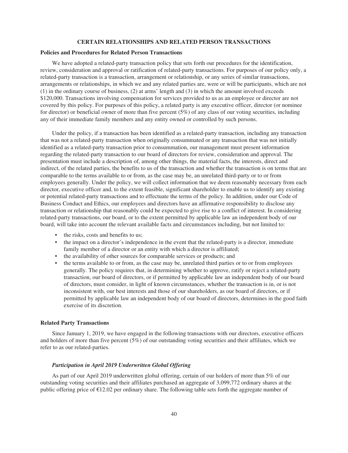#### **CERTAIN RELATIONSHIPS AND RELATED PERSON TRANSACTIONS**

### **Policies and Procedures for Related Person Transactions**

We have adopted a related-party transaction policy that sets forth our procedures for the identification, review, consideration and approval or ratification of related-party transactions. For purposes of our policy only, a related-party transaction is a transaction, arrangement or relationship, or any series of similar transactions, arrangements or relationships, in which we and any related parties are, were or will be participants, which are not (1) in the ordinary course of business, (2) at arms' length and (3) in which the amount involved exceeds \$120,000. Transactions involving compensation for services provided to us as an employee or director are not covered by this policy. For purposes of this policy, a related party is any executive officer, director (or nominee for director) or beneficial owner of more than five percent  $(5%)$  of any class of our voting securities, including any of their immediate family members and any entity owned or controlled by such persons.

Under the policy, if a transaction has been identified as a related-party transaction, including any transaction that was not a related-party transaction when originally consummated or any transaction that was not initially identified as a related-party transaction prior to consummation, our management must present information regarding the related-party transaction to our board of directors for review, consideration and approval. The presentation must include a description of, among other things, the material facts, the interests, direct and indirect, of the related parties, the benefits to us of the transaction and whether the transaction is on terms that are comparable to the terms available to or from, as the case may be, an unrelated third-party or to or from employees generally. Under the policy, we will collect information that we deem reasonably necessary from each director, executive officer and, to the extent feasible, significant shareholder to enable us to identify any existing or potential related-party transactions and to effectuate the terms of the policy. In addition, under our Code of Business Conduct and Ethics, our employees and directors have an affirmative responsibility to disclose any transaction or relationship that reasonably could be expected to give rise to a conflict of interest. In considering related-party transactions, our board, or to the extent permitted by applicable law an independent body of our board, will take into account the relevant available facts and circumstances including, but not limited to:

- the risks, costs and benefits to us;
- the impact on a director's independence in the event that the related-party is a director, immediate family member of a director or an entity with which a director is affiliated;
- the availability of other sources for comparable services or products; and
- the terms available to or from, as the case may be, unrelated third parties or to or from employees generally. The policy requires that, in determining whether to approve, ratify or reject a related-party transaction, our board of directors, or if permitted by applicable law an independent body of our board of directors, must consider, in light of known circumstances, whether the transaction is in, or is not inconsistent with, our best interests and those of our shareholders, as our board of directors, or if permitted by applicable law an independent body of our board of directors, determines in the good faith exercise of its discretion.

### **Related Party Transactions**

Since January 1, 2019, we have engaged in the following transactions with our directors, executive officers and holders of more than five percent (5%) of our outstanding voting securities and their affiliates, which we refer to as our related-parties.

## *Participation in April 2019 Underwritten Global Offering*

As part of our April 2019 underwritten global offering, certain of our holders of more than 5% of our outstanding voting securities and their affiliates purchased an aggregate of 3,099,772 ordinary shares at the public offering price of €12.02 per ordinary share. The following table sets forth the aggregate number of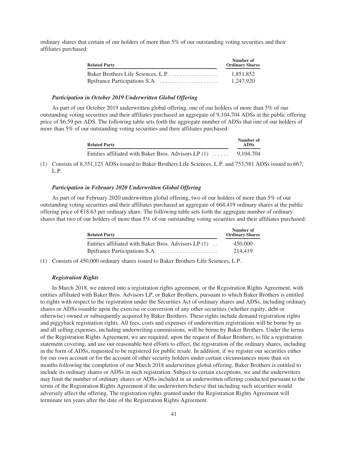ordinary shares that certain of our holders of more than 5% of our outstanding voting securities and their affiliates purchased:

| <b>Related Party</b>               | Number of<br><b>Ordinary Shares</b> |
|------------------------------------|-------------------------------------|
| Baker Brothers Life Sciences, L.P. | 1.851.852                           |
|                                    | 1.247.920                           |

## *Participation in October 2019 Underwritten Global Offering*

As part of our October 2019 underwritten global offering, one of our holders of more than 5% of our outstanding voting securities and their affiliates purchased an aggregate of 9,104,704 ADSs at the public offering price of \$6.59 per ADS. The following table sets forth the aggregate number of ADSs that one of our holders of more than 5% of our outstanding voting securities and their affiliates purchased:

| <b>Related Party</b>                                   | Number of<br><b>ADSs</b> |
|--------------------------------------------------------|--------------------------|
| Entities affiliated with Baker Bros. Advisors LP $(1)$ | 9.104.704                |

(1) Consists of 8,351,123 ADSs issued to Baker Brothers Life Sciences, L.P. and 753,581 ADSs issued to 667, L.P.

### *Participation in February 2020 Underwritten Global Offering*

As part of our February 2020 underwritten global offering, two of our holders of more than 5% of our outstanding voting securities and their affiliates purchased an aggregate of 664,419 ordinary shares at the public offering price of  $\epsilon$ 18.63 per ordinary share. The following table sets forth the aggregate number of ordinary shares that two of our holders of more than 5% of our outstanding voting securities and their affiliates purchased:

| <b>Related Party</b>                                    | Number of<br><b>Ordinary Shares</b> |
|---------------------------------------------------------|-------------------------------------|
| Entities affiliated with Baker Bros. Advisors $LP(1)$ . | 450,000                             |
|                                                         | 214.419                             |

(1) Consists of 450,000 ordinary shares issued to Baker Brothers Life Sciences, L.P.

## *Registration Rights*

In March 2018, we entered into a registration rights agreement, or the Registration Rights Agreement, with entities affiliated with Baker Bros. Advisors LP, or Baker Brothers, pursuant to which Baker Brothers is entitled to rights with respect to the registration under the Securities Act of ordinary shares and ADSs, including ordinary shares or ADSs issuable upon the exercise or conversion of any other securities (whether equity, debt or otherwise) owned or subsequently acquired by Baker Brothers. These rights include demand registration rights and piggyback registration rights. All fees, costs and expenses of underwritten registrations will be borne by us and all selling expenses, including underwriting commissions, will be borne by Baker Brothers. Under the terms of the Registration Rights Agreement, we are required, upon the request of Baker Brothers, to file a registration statement covering, and use our reasonable best efforts to effect, the registration of the ordinary shares, including in the form of ADSs, requested to be registered for public resale. In addition, if we register our securities either for our own account or for the account of other security holders under certain circumstances more than six months following the completion of our March 2018 underwritten global offering, Baker Brothers is entitled to include its ordinary shares or ADSs in such registration. Subject to certain exceptions, we and the underwriters may limit the number of ordinary shares or ADSs included in an underwritten offering conducted pursuant to the terms of the Registration Rights Agreement if the underwriters believe that including such securities would adversely affect the offering. The registration rights granted under the Registration Rights Agreement will terminate ten years after the date of the Registration Rights Agreement.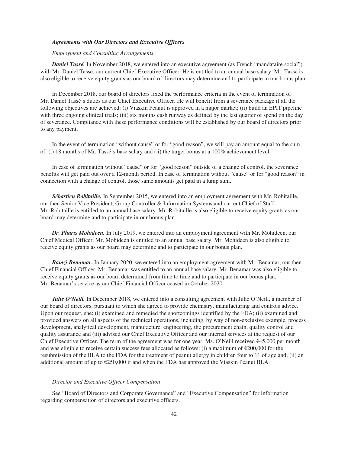#### *Agreements with Our Directors and Executive Officers*

# *Employment and Consulting Arrangements*

**Daniel Tassé.** In November 2018, we entered into an executive agreement (as French "mandataire social") with Mr. Daniel Tassé, our current Chief Executive Officer. He is entitled to an annual base salary. Mr. Tassé is also eligible to receive equity grants as our board of directors may determine and to participate in our bonus plan.

In December 2018, our board of directors fixed the performance criteria in the event of termination of Mr. Daniel Tassé's duties as our Chief Executive Officer. He will benefit from a severance package if all the following objectives are achieved: (i) Viaskin Peanut is approved in a major market; (ii) build an EPIT pipeline with three ongoing clinical trials; (iii) six months cash runway as defined by the last quarter of spend on the day of severance. Compliance with these performance conditions will be established by our board of directors prior to any payment.

In the event of termination "without cause" or for "good reason", we will pay an amount equal to the sum of: (i) 18 months of Mr. Tassé's base salary and (ii) the target bonus at a 100% achievement level.

In case of termination without "cause" or for "good reason" outside of a change of control, the severance benefits will get paid out over a 12-month period. In case of termination without "cause" or for "good reason" in connection with a change of control, those same amounts get paid in a lump sum.

*Sébastien Robitaille.* In September 2015, we entered into an employment agreement with Mr. Robitaille, our then Senior Vice President, Group Controller & Information Systems and current Chief of Staff. Mr. Robitaille is entitled to an annual base salary. Mr. Robitaille is also eligible to receive equity grants as our board may determine and to participate in our bonus plan.

*Dr. Pharis Mohideen.* In July 2019, we entered into an employment agreement with Mr. Mohideen, our Chief Medical Officer. Mr. Mohideen is entitled to an annual base salary. Mr. Mohideen is also eligible to receive equity grants as our board may determine and to participate in our bonus plan.

*Ramzi Benamar***.** In January 2020, we entered into an employment agreement with Mr. Benamar, our then-Chief Financial Officer. Mr. Benamar was entitled to an annual base salary. Mr. Benamar was also eligible to receive equity grants as our board determined from time to time and to participate in our bonus plan. Mr. Benamar's service as our Chief Financial Officer ceased in October 2020.

*Julie O'Neill.* In December 2018, we entered into a consulting agreement with Julie O'Neill, a member of our board of directors, pursuant to which she agreed to provide chemistry, manufacturing and controls advice. Upon our request, she: (i) examined and remedied the shortcomings identified by the FDA; (ii) examined and provided answers on all aspects of the technical operations, including, by way of non-exclusive example, process development, analytical development, manufacture, engineering, the procurement chain, quality control and quality assurance and (iii) advised our Chief Executive Officer and our internal services at the request of our Chief Executive Officer. The term of the agreement was for one year. Ms. O'Neill received  $\epsilon$ 45,000 per month and was eligible to receive certain success fees allocated as follows: (i) a maximum of  $\epsilon$ 200,000 for the resubmission of the BLA to the FDA for the treatment of peanut allergy in children four to 11 of age and; (ii) an additional amount of up to  $\epsilon$ 250,000 if and when the FDA has approved the Viaskin Peanut BLA.

#### *Director and Executive Officer Compensation*

See "Board of Directors and Corporate Governance" and "Executive Compensation" for information regarding compensation of directors and executive officers.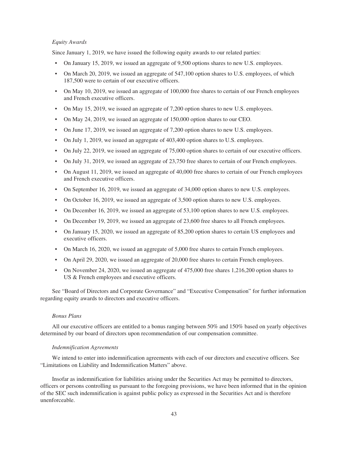### *Equity Awards*

Since January 1, 2019, we have issued the following equity awards to our related parties:

- On January 15, 2019, we issued an aggregate of 9,500 options shares to new U.S. employees.
- On March 20, 2019, we issued an aggregate of 547,100 option shares to U.S. employees, of which 187,500 were to certain of our executive officers.
- On May 10, 2019, we issued an aggregate of 100,000 free shares to certain of our French employees and French executive officers.
- On May 15, 2019, we issued an aggregate of 7,200 option shares to new U.S. employees.
- On May 24, 2019, we issued an aggregate of 150,000 option shares to our CEO.
- On June 17, 2019, we issued an aggregate of 7,200 option shares to new U.S. employees.
- On July 1, 2019, we issued an aggregate of 403,400 option shares to U.S. employees.
- On July 22, 2019, we issued an aggregate of 75,000 option shares to certain of our executive officers.
- On July 31, 2019, we issued an aggregate of 23,750 free shares to certain of our French employees.
- On August 11, 2019, we issued an aggregate of 40,000 free shares to certain of our French employees and French executive officers.
- On September 16, 2019, we issued an aggregate of 34,000 option shares to new U.S. employees.
- On October 16, 2019, we issued an aggregate of 3,500 option shares to new U.S. employees.
- On December 16, 2019, we issued an aggregate of 53,100 option shares to new U.S. employees.
- On December 19, 2019, we issued an aggregate of 23,600 free shares to all French employees.
- On January 15, 2020, we issued an aggregate of 85,200 option shares to certain US employees and executive officers.
- On March 16, 2020, we issued an aggregate of 5,000 free shares to certain French employees.
- On April 29, 2020, we issued an aggregate of 20,000 free shares to certain French employees.
- On November 24, 2020, we issued an aggregate of 475,000 free shares 1,216,200 option shares to US & French employees and executive officers.

See "Board of Directors and Corporate Governance" and "Executive Compensation" for further information regarding equity awards to directors and executive officers.

# *Bonus Plans*

All our executive officers are entitled to a bonus ranging between 50% and 150% based on yearly objectives determined by our board of directors upon recommendation of our compensation committee.

### *Indemnification Agreements*

We intend to enter into indemnification agreements with each of our directors and executive officers. See "Limitations on Liability and Indemnification Matters" above.

Insofar as indemnification for liabilities arising under the Securities Act may be permitted to directors, officers or persons controlling us pursuant to the foregoing provisions, we have been informed that in the opinion of the SEC such indemnification is against public policy as expressed in the Securities Act and is therefore unenforceable.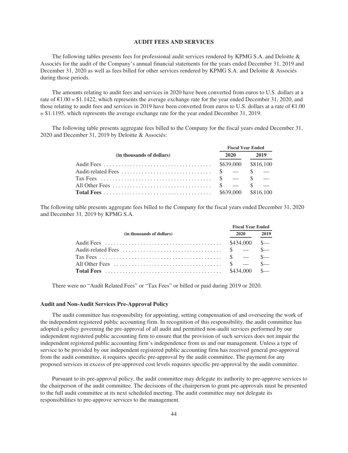## **AUDIT FEES AND SERVICES**

The following tables presents fees for professional audit services rendered by KPMG S.A. and Deloitte & Associés for the audit of the Company's annual financial statements for the years ended December 31, 2019 and December 31, 2020 as well as fees billed for other services rendered by KPMG S.A. and Deloitte & Associés during those periods.

The amounts relating to audit fees and services in 2020 have been converted from euros to U.S. dollars at a rate of  $\text{\$1.00 = \$1.1422},$  which represents the average exchange rate for the year ended December 31, 2020, and those relating to audit fees and services in 2019 have been converted from euros to U.S. dollars at a rate of  $\epsilon$ 1.00 = \$1.1195, which represents the average exchange rate for the year ended December 31, 2019.

The following table presents aggregate fees billed to the Company for the fiscal years ended December 31, 2020 and December 31, 2019 by Deloitte & Associés:

|                           | <b>Fiscal Year Ended</b> |      |  |  |
|---------------------------|--------------------------|------|--|--|
| (in thousands of dollars) | 2020                     | 2019 |  |  |
|                           |                          |      |  |  |
|                           |                          |      |  |  |
|                           |                          |      |  |  |
|                           |                          |      |  |  |
|                           |                          |      |  |  |

The following table presents aggregate fees billed to the Company for the fiscal years ended December 31, 2020 and December 31, 2019 by KPMG S.A.

|                           | <b>Fiscal Year Ended</b> |      |
|---------------------------|--------------------------|------|
| (in thousands of dollars) | 2020                     | 2019 |
| Audit Fees                | $$434,000$ \$            |      |
|                           |                          |      |
|                           |                          |      |
|                           |                          |      |
|                           |                          |      |

There were no "Audit Related Fees" or "Tax Fees" or billed or paid during 2019 or 2020.

### **Audit and Non-Audit Services Pre-Approval Policy**

The audit committee has responsibility for appointing, setting compensation of and overseeing the work of the independent registered public accounting firm. In recognition of this responsibility, the audit committee has adopted a policy governing the pre-approval of all audit and permitted non-audit services performed by our independent registered public accounting firm to ensure that the provision of such services does not impair the independent registered public accounting firm's independence from us and our management. Unless a type of service to be provided by our independent registered public accounting firm has received general pre-approval from the audit committee, it requires specific pre-approval by the audit committee. The payment for any proposed services in excess of pre-approved cost levels requires specific pre-approval by the audit committee.

Pursuant to its pre-approval policy, the audit committee may delegate its authority to pre-approve services to the chairperson of the audit committee. The decisions of the chairperson to grant pre-approvals must be presented to the full audit committee at its next scheduled meeting. The audit committee may not delegate its responsibilities to pre-approve services to the management.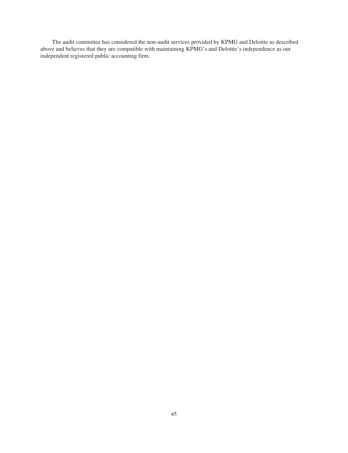The audit committee has considered the non-audit services provided by KPMG and Deloitte as described above and believes that they are compatible with maintaining KPMG's and Deloitte's independence as our independent registered public accounting firm.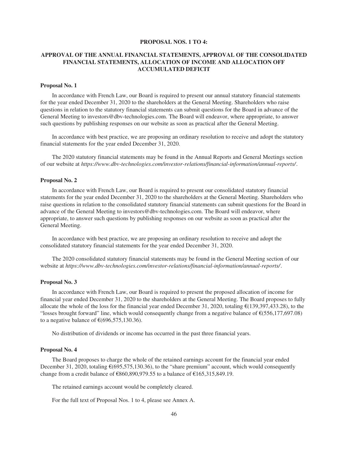### **PROPOSAL NOS. 1 TO 4:**

# **APPROVAL OF THE ANNUAL FINANCIAL STATEMENTS, APPROVAL OF THE CONSOLIDATED FINANCIAL STATEMENTS, ALLOCATION OF INCOME AND ALLOCATION OFF ACCUMULATED DEFICIT**

#### **Proposal No. 1**

In accordance with French Law, our Board is required to present our annual statutory financial statements for the year ended December 31, 2020 to the shareholders at the General Meeting. Shareholders who raise questions in relation to the statutory financial statements can submit questions for the Board in advance of the General Meeting to investors@dbv-technologies.com. The Board will endeavor, where appropriate, to answer such questions by publishing responses on our website as soon as practical after the General Meeting.

In accordance with best practice, we are proposing an ordinary resolution to receive and adopt the statutory financial statements for the year ended December 31, 2020.

The 2020 statutory financial statements may be found in the Annual Reports and General Meetings section of our website at *https://www.dbv-technologies.com/investor-relations/financial-information/annual-reports/*.

#### **Proposal No. 2**

In accordance with French Law, our Board is required to present our consolidated statutory financial statements for the year ended December 31, 2020 to the shareholders at the General Meeting. Shareholders who raise questions in relation to the consolidated statutory financial statements can submit questions for the Board in advance of the General Meeting to investors@dbv-technologies.com. The Board will endeavor, where appropriate, to answer such questions by publishing responses on our website as soon as practical after the General Meeting.

In accordance with best practice, we are proposing an ordinary resolution to receive and adopt the consolidated statutory financial statements for the year ended December 31, 2020.

The 2020 consolidated statutory financial statements may be found in the General Meeting section of our website at *https://www.dbv-technologies.com/investor-relations/financial-information/annual-reports/*.

### **Proposal No. 3**

In accordance with French Law, our Board is required to present the proposed allocation of income for financial year ended December 31, 2020 to the shareholders at the General Meeting. The Board proposes to fully allocate the whole of the loss for the financial year ended December 31, 2020, totaling  $\epsilon$ (139,397,433.28), to the "losses brought forward" line, which would consequently change from a negative balance of  $\epsilon$ (556,177,697.08) to a negative balance of  $\epsilon$ (696,575,130.36).

No distribution of dividends or income has occurred in the past three financial years.

#### **Proposal No. 4**

The Board proposes to charge the whole of the retained earnings account for the financial year ended December 31, 2020, totaling  $\epsilon$ (695,575,130.36), to the "share premium" account, which would consequently change from a credit balance of  $\epsilon$ 860,890,979.55 to a balance of  $\epsilon$ 165,315,849.19.

The retained earnings account would be completely cleared.

For the full text of Proposal Nos. 1 to 4, please see Annex A.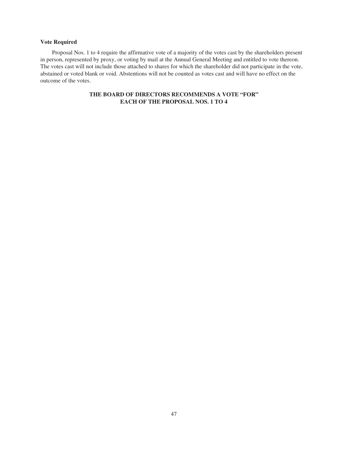# **Vote Required**

Proposal Nos. 1 to 4 require the affirmative vote of a majority of the votes cast by the shareholders present in person, represented by proxy, or voting by mail at the Annual General Meeting and entitled to vote thereon. The votes cast will not include those attached to shares for which the shareholder did not participate in the vote, abstained or voted blank or void. Abstentions will not be counted as votes cast and will have no effect on the outcome of the votes.

# **THE BOARD OF DIRECTORS RECOMMENDS A VOTE "FOR" EACH OF THE PROPOSAL NOS. 1 TO 4**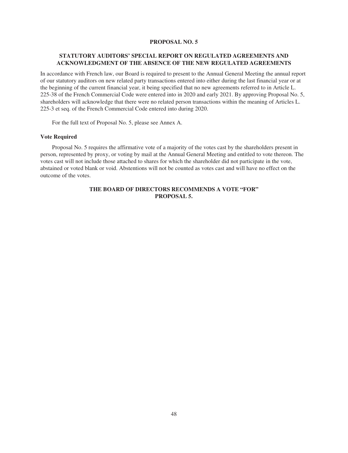## **PROPOSAL NO. 5**

# **STATUTORY AUDITORS' SPECIAL REPORT ON REGULATED AGREEMENTS AND ACKNOWLEDGMENT OF THE ABSENCE OF THE NEW REGULATED AGREEMENTS**

In accordance with French law, our Board is required to present to the Annual General Meeting the annual report of our statutory auditors on new related party transactions entered into either during the last financial year or at the beginning of the current financial year, it being specified that no new agreements referred to in Article L. 225-38 of the French Commercial Code were entered into in 2020 and early 2021. By approving Proposal No. 5, shareholders will acknowledge that there were no related person transactions within the meaning of Articles L. 225-3 et seq. of the French Commercial Code entered into during 2020.

For the full text of Proposal No. 5, please see Annex A.

#### **Vote Required**

Proposal No. 5 requires the affirmative vote of a majority of the votes cast by the shareholders present in person, represented by proxy, or voting by mail at the Annual General Meeting and entitled to vote thereon. The votes cast will not include those attached to shares for which the shareholder did not participate in the vote, abstained or voted blank or void. Abstentions will not be counted as votes cast and will have no effect on the outcome of the votes.

# **THE BOARD OF DIRECTORS RECOMMENDS A VOTE "FOR" PROPOSAL 5.**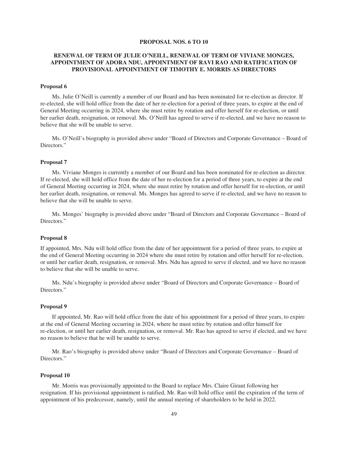#### **PROPOSAL NOS. 6 TO 10**

# **RENEWAL OF TERM OF JULIE O'NEILL, RENEWAL OF TERM OF VIVIANE MONGES, APPOINTMENT OF ADORA NDU, APPOINTMENT OF RAVI RAO AND RATIFICATION OF PROVISIONAL APPOINTMENT OF TIMOTHY E. MORRIS AS DIRECTORS**

#### **Proposal 6**

Ms. Julie O'Neill is currently a member of our Board and has been nominated for re-election as director. If re-elected, she will hold office from the date of her re-election for a period of three years, to expire at the end of General Meeting occurring in 2024, where she must retire by rotation and offer herself for re-election, or until her earlier death, resignation, or removal. Ms. O'Neill has agreed to serve if re-elected, and we have no reason to believe that she will be unable to serve.

Ms. O'Neill's biography is provided above under "Board of Directors and Corporate Governance – Board of Directors."

## **Proposal 7**

Ms. Viviane Monges is currently a member of our Board and has been nominated for re-election as director. If re-elected, she will hold office from the date of her re-election for a period of three years, to expire at the end of General Meeting occurring in 2024, where she must retire by rotation and offer herself for re-election, or until her earlier death, resignation, or removal. Ms. Monges has agreed to serve if re-elected, and we have no reason to believe that she will be unable to serve.

Ms. Monges' biography is provided above under "Board of Directors and Corporate Governance – Board of Directors."

#### **Proposal 8**

If appointed, Mrs. Ndu will hold office from the date of her appointment for a period of three years, to expire at the end of General Meeting occurring in 2024 where she must retire by rotation and offer herself for re-election, or until her earlier death, resignation, or removal. Mrs. Ndu has agreed to serve if elected, and we have no reason to believe that she will be unable to serve.

Ms. Ndu's biography is provided above under "Board of Directors and Corporate Governance – Board of Directors."

### **Proposal 9**

If appointed, Mr. Rao will hold office from the date of his appointment for a period of three years, to expire at the end of General Meeting occurring in 2024, where he must retire by rotation and offer himself for re-election, or until her earlier death, resignation, or removal. Mr. Rao has agreed to serve if elected, and we have no reason to believe that he will be unable to serve.

Mr. Rao's biography is provided above under "Board of Directors and Corporate Governance – Board of Directors."

#### **Proposal 10**

Mr. Morris was provisionally appointed to the Board to replace Mrs. Claire Giraut following her resignation. If his provisional appointment is ratified, Mr. Rao will hold office until the expiration of the term of appointment of his predecessor, namely, until the annual meeting of shareholders to be held in 2022.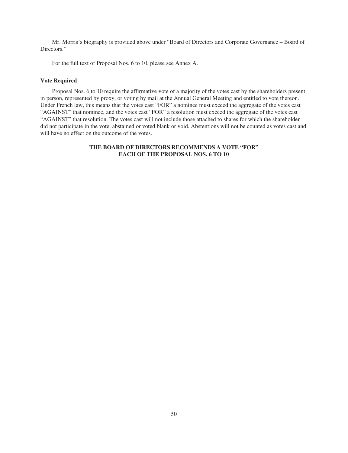Mr. Morris's biography is provided above under "Board of Directors and Corporate Governance – Board of Directors."

For the full text of Proposal Nos. 6 to 10, please see Annex A.

## **Vote Required**

Proposal Nos. 6 to 10 require the affirmative vote of a majority of the votes cast by the shareholders present in person, represented by proxy, or voting by mail at the Annual General Meeting and entitled to vote thereon. Under French law, this means that the votes cast "FOR" a nominee must exceed the aggregate of the votes cast "AGAINST" that nominee, and the votes cast "FOR" a resolution must exceed the aggregate of the votes cast "AGAINST" that resolution. The votes cast will not include those attached to shares for which the shareholder did not participate in the vote, abstained or voted blank or void. Abstentions will not be counted as votes cast and will have no effect on the outcome of the votes.

# **THE BOARD OF DIRECTORS RECOMMENDS A VOTE "FOR" EACH OF THE PROPOSAL NOS. 6 TO 10**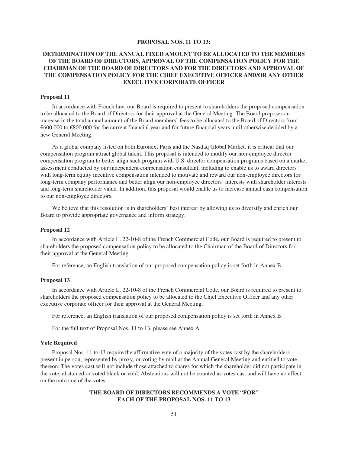## **PROPOSAL NOS. 11 TO 13:**

# **DETERMINATION OF THE ANNUAL FIXED AMOUNT TO BE ALLOCATED TO THE MEMBERS OF THE BOARD OF DIRECTORS, APPROVAL OF THE COMPENSATION POLICY FOR THE CHAIRMAN OF THE BOARD OF DIRECTORS AND FOR THE DIRECTORS AND APPROVAL OF THE COMPENSATION POLICY FOR THE CHIEF EXECUTIVE OFFICER AND/OR ANY OTHER EXECUTIVE CORPORATE OFFICER**

## **Proposal 11**

In accordance with French law, our Board is required to present to shareholders the proposed compensation to be allocated to the Board of Directors for their approval at the General Meeting. The Board proposes an increase in the total annual amount of the Board members' fees to be allocated to the Board of Directors from €600,000 to €800,000 for the current financial year and for future financial years until otherwise decided by a new General Meeting.

As a global company listed on both Euronext Paris and the Nasdaq Global Market, it is critical that our compensation program attract global talent. This proposal is intended to modify our non-employee director compensation program to better align such program with U.S. director compensation programs based on a market assessment conducted by our independent compensation consultant, including to enable us to award directors with long-term equity incentive compensation intended to motivate and reward our non-employee directors for long-term company performance and better align our non-employee directors' interests with shareholder interests and long-term shareholder value. In addition, this proposal would enable us to increase annual cash compensation to our non-employee directors.

We believe that this resolution is in shareholders' best interest by allowing us to diversify and enrich our Board to provide appropriate governance and inform strategy.

### **Proposal 12**

In accordance with Article L. 22-10-8 of the French Commercial Code, our Board is required to present to shareholders the proposed compensation policy to be allocated to the Chairman of the Board of Directors for their approval at the General Meeting.

For reference, an English translation of our proposed compensation policy is set forth in Annex B.

# **Proposal 13**

In accordance with Article L. 22-10-8 of the French Commercial Code, our Board is required to present to shareholders the proposed compensation policy to be allocated to the Chief Executive Officer and any other executive corporate officer for their approval at the General Meeting.

For reference, an English translation of our proposed compensation policy is set forth in Annex B.

For the full text of Proposal Nos. 11 to 13, please see Annex A.

# **Vote Required**

Proposal Nos. 11 to 13 require the affirmative vote of a majority of the votes cast by the shareholders present in person, represented by proxy, or voting by mail at the Annual General Meeting and entitled to vote thereon. The votes cast will not include those attached to shares for which the shareholder did not participate in the vote, abstained or voted blank or void. Abstentions will not be counted as votes cast and will have no effect on the outcome of the votes.

# **THE BOARD OF DIRECTORS RECOMMENDS A VOTE "FOR" EACH OF THE PROPOSAL NOS. 11 TO 13**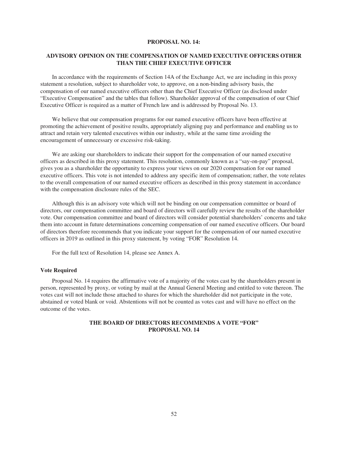## **PROPOSAL NO. 14:**

# **ADVISORY OPINION ON THE COMPENSATION OF NAMED EXECUTIVE OFFICERS OTHER THAN THE CHIEF EXECUTIVE OFFICER**

In accordance with the requirements of Section 14A of the Exchange Act, we are including in this proxy statement a resolution, subject to shareholder vote, to approve, on a non-binding advisory basis, the compensation of our named executive officers other than the Chief Executive Officer (as disclosed under "Executive Compensation" and the tables that follow). Shareholder approval of the compensation of our Chief Executive Officer is required as a matter of French law and is addressed by Proposal No. 13.

We believe that our compensation programs for our named executive officers have been effective at promoting the achievement of positive results, appropriately aligning pay and performance and enabling us to attract and retain very talented executives within our industry, while at the same time avoiding the encouragement of unnecessary or excessive risk-taking.

We are asking our shareholders to indicate their support for the compensation of our named executive officers as described in this proxy statement. This resolution, commonly known as a "say-on-pay" proposal, gives you as a shareholder the opportunity to express your views on our 2020 compensation for our named executive officers. This vote is not intended to address any specific item of compensation; rather, the vote relates to the overall compensation of our named executive officers as described in this proxy statement in accordance with the compensation disclosure rules of the SEC.

Although this is an advisory vote which will not be binding on our compensation committee or board of directors, our compensation committee and board of directors will carefully review the results of the shareholder vote. Our compensation committee and board of directors will consider potential shareholders' concerns and take them into account in future determinations concerning compensation of our named executive officers. Our board of directors therefore recommends that you indicate your support for the compensation of our named executive officers in 2019 as outlined in this proxy statement, by voting "FOR" Resolution 14.

For the full text of Resolution 14, please see Annex A.

#### **Vote Required**

Proposal No. 14 requires the affirmative vote of a majority of the votes cast by the shareholders present in person, represented by proxy, or voting by mail at the Annual General Meeting and entitled to vote thereon. The votes cast will not include those attached to shares for which the shareholder did not participate in the vote, abstained or voted blank or void. Abstentions will not be counted as votes cast and will have no effect on the outcome of the votes.

# **THE BOARD OF DIRECTORS RECOMMENDS A VOTE "FOR" PROPOSAL NO. 14**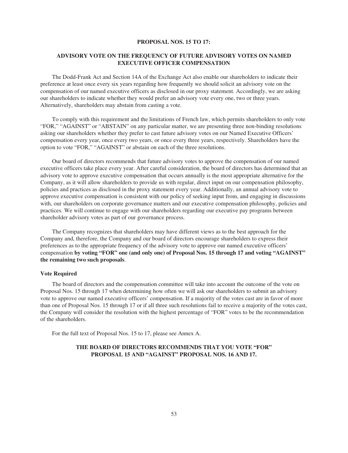#### **PROPOSAL NOS. 15 TO 17:**

# **ADVISORY VOTE ON THE FREQUENCY OF FUTURE ADVISORY VOTES ON NAMED EXECUTIVE OFFICER COMPENSATION**

The Dodd-Frank Act and Section 14A of the Exchange Act also enable our shareholders to indicate their preference at least once every six years regarding how frequently we should solicit an advisory vote on the compensation of our named executive officers as disclosed in our proxy statement. Accordingly, we are asking our shareholders to indicate whether they would prefer an advisory vote every one, two or three years. Alternatively, shareholders may abstain from casting a vote.

To comply with this requirement and the limitations of French law, which permits shareholders to only vote "FOR," "AGAINST" or "ABSTAIN" on any particular matter, we are presenting three non-binding resolutions asking our shareholders whether they prefer to cast future advisory votes on our Named Executive Officers' compensation every year, once every two years, or once every three years, respectively. Shareholders have the option to vote "FOR," "AGAINST" or abstain on each of the three resolutions.

Our board of directors recommends that future advisory votes to approve the compensation of our named executive officers take place every year. After careful consideration, the board of directors has determined that an advisory vote to approve executive compensation that occurs annually is the most appropriate alternative for the Company, as it will allow shareholders to provide us with regular, direct input on our compensation philosophy, policies and practices as disclosed in the proxy statement every year. Additionally, an annual advisory vote to approve executive compensation is consistent with our policy of seeking input from, and engaging in discussions with, our shareholders on corporate governance matters and our executive compensation philosophy, policies and practices. We will continue to engage with our shareholders regarding our executive pay programs between shareholder advisory votes as part of our governance process.

The Company recognizes that shareholders may have different views as to the best approach for the Company and, therefore, the Company and our board of directors encourage shareholders to express their preferences as to the appropriate frequency of the advisory vote to approve our named executive officers' compensation **by voting "FOR" one (and only one) of Proposal Nos. 15 through 17 and voting "AGAINST" the remaining two such proposals**.

#### **Vote Required**

The board of directors and the compensation committee will take into account the outcome of the vote on Proposal Nos. 15 through 17 when determining how often we will ask our shareholders to submit an advisory vote to approve our named executive officers' compensation. If a majority of the votes cast are in favor of more than one of Proposal Nos. 15 through 17 or if all three such resolutions fail to receive a majority of the votes cast, the Company will consider the resolution with the highest percentage of "FOR" votes to be the recommendation of the shareholders.

For the full text of Proposal Nos. 15 to 17, please see Annex A.

# **THE BOARD OF DIRECTORS RECOMMENDS THAT YOU VOTE "FOR" PROPOSAL 15 AND "AGAINST" PROPOSAL NOS. 16 AND 17.**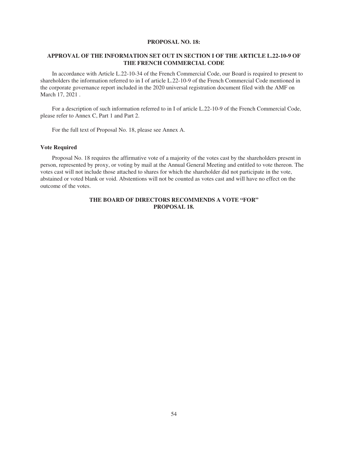## **PROPOSAL NO. 18:**

# **APPROVAL OF THE INFORMATION SET OUT IN SECTION I OF THE ARTICLE L.22-10-9 OF THE FRENCH COMMERCIAL CODE**

In accordance with Article L.22-10-34 of the French Commercial Code, our Board is required to present to shareholders the information referred to in I of article L.22-10-9 of the French Commercial Code mentioned in the corporate governance report included in the 2020 universal registration document filed with the AMF on March 17, 2021 .

For a description of such information referred to in I of article L.22-10-9 of the French Commercial Code, please refer to Annex C, Part 1 and Part 2.

For the full text of Proposal No. 18, please see Annex A.

### **Vote Required**

Proposal No. 18 requires the affirmative vote of a majority of the votes cast by the shareholders present in person, represented by proxy, or voting by mail at the Annual General Meeting and entitled to vote thereon. The votes cast will not include those attached to shares for which the shareholder did not participate in the vote, abstained or voted blank or void. Abstentions will not be counted as votes cast and will have no effect on the outcome of the votes.

# **THE BOARD OF DIRECTORS RECOMMENDS A VOTE "FOR" PROPOSAL 18.**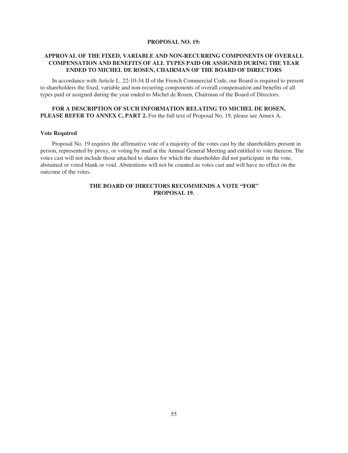## **PROPOSAL NO. 19:**

# **APPROVAL OF THE FIXED, VARIABLE AND NON-RECURRING COMPONENTS OF OVERALL COMPENSATION AND BENEFITS OF ALL TYPES PAID OR ASSIGNED DURING THE YEAR ENDED TO MICHEL DE ROSEN, CHAIRMAN OF THE BOARD OF DIRECTORS**

In accordance with Article L. 22-10-34 II of the French Commercial Code, our Board is required to present to shareholders the fixed, variable and non-recurring components of overall compensation and benefits of all types paid or assigned during the year ended to Michel de Rosen, Chairman of the Board of Directors.

# **FOR A DESCRIPTION OF SUCH INFORMATION RELATING TO MICHEL DE ROSEN, PLEASE REFER TO ANNEX C, PART 2.** For the full text of Proposal No. 19, please see Annex A.

## **Vote Required**

Proposal No. 19 requires the affirmative vote of a majority of the votes cast by the shareholders present in person, represented by proxy, or voting by mail at the Annual General Meeting and entitled to vote thereon. The votes cast will not include those attached to shares for which the shareholder did not participate in the vote, abstained or voted blank or void. Abstentions will not be counted as votes cast and will have no effect on the outcome of the votes.

# **THE BOARD OF DIRECTORS RECOMMENDS A VOTE "FOR" PROPOSAL 19.**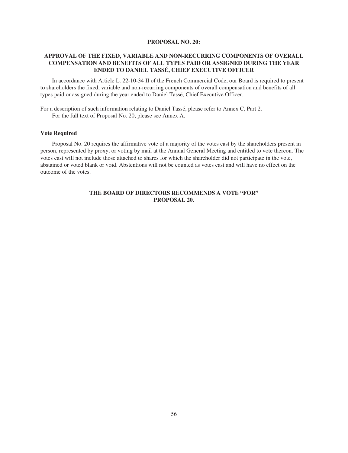## **PROPOSAL NO. 20:**

# **APPROVAL OF THE FIXED, VARIABLE AND NON-RECURRING COMPONENTS OF OVERALL COMPENSATION AND BENEFITS OF ALL TYPES PAID OR ASSIGNED DURING THE YEAR ENDED TO DANIEL TASSÉ, CHIEF EXECUTIVE OFFICER**

In accordance with Article L. 22-10-34 II of the French Commercial Code, our Board is required to present to shareholders the fixed, variable and non-recurring components of overall compensation and benefits of all types paid or assigned during the year ended to Daniel Tassé, Chief Executive Officer.

For a description of such information relating to Daniel Tassé, please refer to Annex C, Part 2. For the full text of Proposal No. 20, please see Annex A.

# **Vote Required**

Proposal No. 20 requires the affirmative vote of a majority of the votes cast by the shareholders present in person, represented by proxy, or voting by mail at the Annual General Meeting and entitled to vote thereon. The votes cast will not include those attached to shares for which the shareholder did not participate in the vote, abstained or voted blank or void. Abstentions will not be counted as votes cast and will have no effect on the outcome of the votes.

# **THE BOARD OF DIRECTORS RECOMMENDS A VOTE "FOR" PROPOSAL 20.**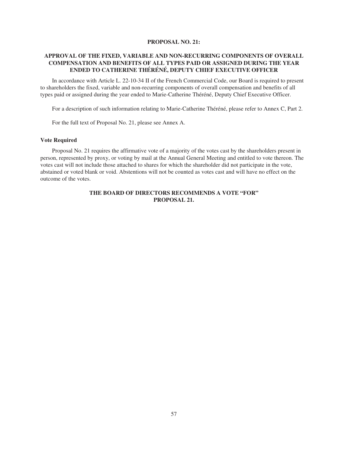## **PROPOSAL NO. 21:**

# **APPROVAL OF THE FIXED, VARIABLE AND NON-RECURRING COMPONENTS OF OVERALL COMPENSATION AND BENEFITS OF ALL TYPES PAID OR ASSIGNED DURING THE YEAR ENDED TO CATHERINE THÉRÉNÉ, DEPUTY CHIEF EXECUTIVE OFFICER**

In accordance with Article L. 22-10-34 II of the French Commercial Code, our Board is required to present to shareholders the fixed, variable and non-recurring components of overall compensation and benefits of all types paid or assigned during the year ended to Marie-Catherine Théréné, Deputy Chief Executive Officer.

For a description of such information relating to Marie-Catherine Théréné, please refer to Annex C, Part 2.

For the full text of Proposal No. 21, please see Annex A.

# **Vote Required**

Proposal No. 21 requires the affirmative vote of a majority of the votes cast by the shareholders present in person, represented by proxy, or voting by mail at the Annual General Meeting and entitled to vote thereon. The votes cast will not include those attached to shares for which the shareholder did not participate in the vote, abstained or voted blank or void. Abstentions will not be counted as votes cast and will have no effect on the outcome of the votes.

# **THE BOARD OF DIRECTORS RECOMMENDS A VOTE "FOR" PROPOSAL 21.**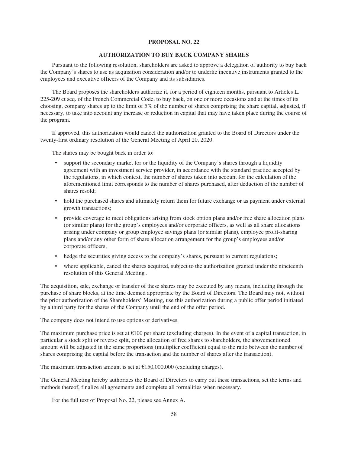### **PROPOSAL NO. 22**

# **AUTHORIZATION TO BUY BACK COMPANY SHARES**

Pursuant to the following resolution, shareholders are asked to approve a delegation of authority to buy back the Company's shares to use as acquisition consideration and/or to underlie incentive instruments granted to the employees and executive officers of the Company and its subsidiaries.

The Board proposes the shareholders authorize it, for a period of eighteen months, pursuant to Articles L. 225-209 et seq. of the French Commercial Code, to buy back, on one or more occasions and at the times of its choosing, company shares up to the limit of 5% of the number of shares comprising the share capital, adjusted, if necessary, to take into account any increase or reduction in capital that may have taken place during the course of the program.

If approved, this authorization would cancel the authorization granted to the Board of Directors under the twenty-first ordinary resolution of the General Meeting of April 20, 2020.

The shares may be bought back in order to:

- support the secondary market for or the liquidity of the Company's shares through a liquidity agreement with an investment service provider, in accordance with the standard practice accepted by the regulations, in which context, the number of shares taken into account for the calculation of the aforementioned limit corresponds to the number of shares purchased, after deduction of the number of shares resold;
- hold the purchased shares and ultimately return them for future exchange or as payment under external growth transactions;
- provide coverage to meet obligations arising from stock option plans and/or free share allocation plans (or similar plans) for the group's employees and/or corporate officers, as well as all share allocations arising under company or group employee savings plans (or similar plans), employee profit-sharing plans and/or any other form of share allocation arrangement for the group's employees and/or corporate officers;
- hedge the securities giving access to the company's shares, pursuant to current regulations;
- where applicable, cancel the shares acquired, subject to the authorization granted under the nineteenth resolution of this General Meeting .

The acquisition, sale, exchange or transfer of these shares may be executed by any means, including through the purchase of share blocks, at the time deemed appropriate by the Board of Directors. The Board may not, without the prior authorization of the Shareholders' Meeting, use this authorization during a public offer period initiated by a third party for the shares of the Company until the end of the offer period.

The company does not intend to use options or derivatives.

The maximum purchase price is set at  $\epsilon$ 100 per share (excluding charges). In the event of a capital transaction, in particular a stock split or reverse split, or the allocation of free shares to shareholders, the abovementioned amount will be adjusted in the same proportions (multiplier coefficient equal to the ratio between the number of shares comprising the capital before the transaction and the number of shares after the transaction).

The maximum transaction amount is set at  $£150,000,000$  (excluding charges).

The General Meeting hereby authorizes the Board of Directors to carry out these transactions, set the terms and methods thereof, finalize all agreements and complete all formalities when necessary.

For the full text of Proposal No. 22, please see Annex A.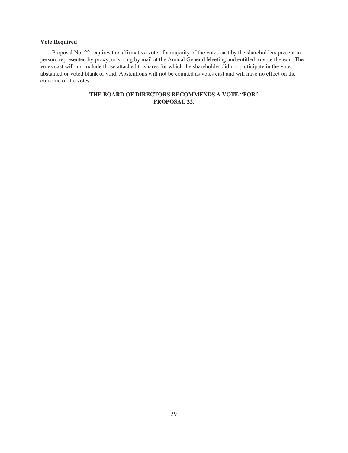# **Vote Required**

Proposal No. 22 requires the affirmative vote of a majority of the votes cast by the shareholders present in person, represented by proxy, or voting by mail at the Annual General Meeting and entitled to vote thereon. The votes cast will not include those attached to shares for which the shareholder did not participate in the vote, abstained or voted blank or void. Abstentions will not be counted as votes cast and will have no effect on the outcome of the votes.

# **THE BOARD OF DIRECTORS RECOMMENDS A VOTE "FOR" PROPOSAL 22.**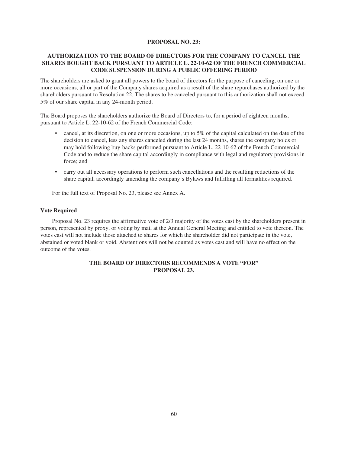# **PROPOSAL NO. 23:**

# **AUTHORIZATION TO THE BOARD OF DIRECTORS FOR THE COMPANY TO CANCEL THE SHARES BOUGHT BACK PURSUANT TO ARTICLE L. 22-10-62 OF THE FRENCH COMMERCIAL CODE SUSPENSION DURING A PUBLIC OFFERING PERIOD**

The shareholders are asked to grant all powers to the board of directors for the purpose of canceling, on one or more occasions, all or part of the Company shares acquired as a result of the share repurchases authorized by the shareholders pursuant to Resolution 22. The shares to be canceled pursuant to this authorization shall not exceed 5% of our share capital in any 24-month period.

The Board proposes the shareholders authorize the Board of Directors to, for a period of eighteen months, pursuant to Article L. 22-10-62 of the French Commercial Code:

- cancel, at its discretion, on one or more occasions, up to 5% of the capital calculated on the date of the decision to cancel, less any shares canceled during the last 24 months, shares the company holds or may hold following buy-backs performed pursuant to Article L. 22-10-62 of the French Commercial Code and to reduce the share capital accordingly in compliance with legal and regulatory provisions in force; and
- carry out all necessary operations to perform such cancellations and the resulting reductions of the share capital, accordingly amending the company's Bylaws and fulfilling all formalities required.

For the full text of Proposal No. 23, please see Annex A.

# **Vote Required**

Proposal No. 23 requires the affirmative vote of 2/3 majority of the votes cast by the shareholders present in person, represented by proxy, or voting by mail at the Annual General Meeting and entitled to vote thereon. The votes cast will not include those attached to shares for which the shareholder did not participate in the vote, abstained or voted blank or void. Abstentions will not be counted as votes cast and will have no effect on the outcome of the votes.

# **THE BOARD OF DIRECTORS RECOMMENDS A VOTE "FOR" PROPOSAL 23.**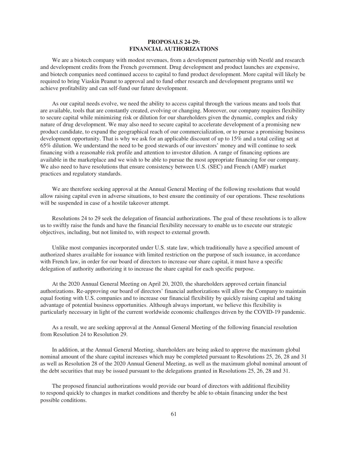## **PROPOSALS 24-29: FINANCIAL AUTHORIZATIONS**

We are a biotech company with modest revenues, from a development partnership with Nestlé and research and development credits from the French government. Drug development and product launches are expensive, and biotech companies need continued access to capital to fund product development. More capital will likely be required to bring Viaskin Peanut to approval and to fund other research and development programs until we achieve profitability and can self-fund our future development.

As our capital needs evolve, we need the ability to access capital through the various means and tools that are available, tools that are constantly created, evolving or changing. Moreover, our company requires flexibility to secure capital while minimizing risk or dilution for our shareholders given the dynamic, complex and risky nature of drug development. We may also need to secure capital to accelerate development of a promising new product candidate, to expand the geographical reach of our commercialization, or to pursue a promising business development opportunity. That is why we ask for an applicable discount of up to 15% and a total ceiling set at 65% dilution. We understand the need to be good stewards of our investors' money and will continue to seek financing with a reasonable risk profile and attention to investor dilution. A range of financing options are available in the marketplace and we wish to be able to pursue the most appropriate financing for our company. We also need to have resolutions that ensure consistency between U.S. (SEC) and French (AMF) market practices and regulatory standards.

We are therefore seeking approval at the Annual General Meeting of the following resolutions that would allow raising capital even in adverse situations, to best ensure the continuity of our operations. These resolutions will be suspended in case of a hostile takeover attempt.

Resolutions 24 to 29 seek the delegation of financial authorizations. The goal of these resolutions is to allow us to swiftly raise the funds and have the financial flexibility necessary to enable us to execute our strategic objectives, including, but not limited to, with respect to external growth.

Unlike most companies incorporated under U.S. state law, which traditionally have a specified amount of authorized shares available for issuance with limited restriction on the purpose of such issuance, in accordance with French law, in order for our board of directors to increase our share capital, it must have a specific delegation of authority authorizing it to increase the share capital for each specific purpose.

At the 2020 Annual General Meeting on April 20, 2020, the shareholders approved certain financial authorizations. Re-approving our board of directors' financial authorizations will allow the Company to maintain equal footing with U.S. companies and to increase our financial flexibility by quickly raising capital and taking advantage of potential business opportunities. Although always important, we believe this flexibility is particularly necessary in light of the current worldwide economic challenges driven by the COVID-19 pandemic.

As a result, we are seeking approval at the Annual General Meeting of the following financial resolution from Resolution 24 to Resolution 29.

In addition, at the Annual General Meeting, shareholders are being asked to approve the maximum global nominal amount of the share capital increases which may be completed pursuant to Resolutions 25, 26, 28 and 31 as well as Resolution 28 of the 2020 Annual General Meeting, as well as the maximum global nominal amount of the debt securities that may be issued pursuant to the delegations granted in Resolutions 25, 26, 28 and 31.

The proposed financial authorizations would provide our board of directors with additional flexibility to respond quickly to changes in market conditions and thereby be able to obtain financing under the best possible conditions.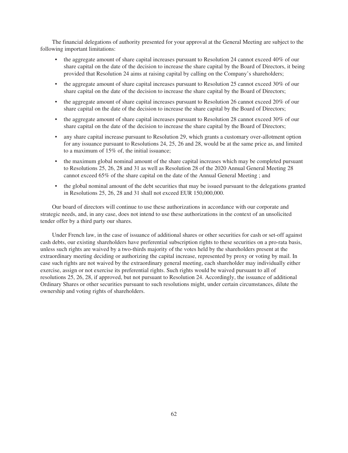The financial delegations of authority presented for your approval at the General Meeting are subject to the following important limitations:

- the aggregate amount of share capital increases pursuant to Resolution 24 cannot exceed 40% of our share capital on the date of the decision to increase the share capital by the Board of Directors, it being provided that Resolution 24 aims at raising capital by calling on the Company's shareholders;
- the aggregate amount of share capital increases pursuant to Resolution 25 cannot exceed 30% of our share capital on the date of the decision to increase the share capital by the Board of Directors;
- the aggregate amount of share capital increases pursuant to Resolution 26 cannot exceed 20% of our share capital on the date of the decision to increase the share capital by the Board of Directors;
- the aggregate amount of share capital increases pursuant to Resolution 28 cannot exceed 30% of our share capital on the date of the decision to increase the share capital by the Board of Directors;
- any share capital increase pursuant to Resolution 29, which grants a customary over-allotment option for any issuance pursuant to Resolutions 24, 25, 26 and 28, would be at the same price as, and limited to a maximum of 15% of, the initial issuance;
- the maximum global nominal amount of the share capital increases which may be completed pursuant to Resolutions 25, 26, 28 and 31 as well as Resolution 28 of the 2020 Annual General Meeting 28 cannot exceed 65% of the share capital on the date of the Annual General Meeting ; and
- the global nominal amount of the debt securities that may be issued pursuant to the delegations granted in Resolutions 25, 26, 28 and 31 shall not exceed EUR 150,000,000.

Our board of directors will continue to use these authorizations in accordance with our corporate and strategic needs, and, in any case, does not intend to use these authorizations in the context of an unsolicited tender offer by a third party our shares.

Under French law, in the case of issuance of additional shares or other securities for cash or set-off against cash debts, our existing shareholders have preferential subscription rights to these securities on a pro-rata basis, unless such rights are waived by a two-thirds majority of the votes held by the shareholders present at the extraordinary meeting deciding or authorizing the capital increase, represented by proxy or voting by mail. In case such rights are not waived by the extraordinary general meeting, each shareholder may individually either exercise, assign or not exercise its preferential rights. Such rights would be waived pursuant to all of resolutions 25, 26, 28, if approved, but not pursuant to Resolution 24. Accordingly, the issuance of additional Ordinary Shares or other securities pursuant to such resolutions might, under certain circumstances, dilute the ownership and voting rights of shareholders.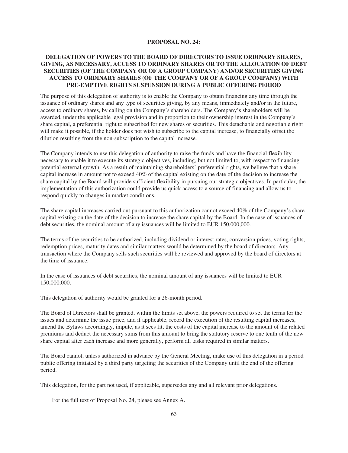#### **PROPOSAL NO. 24:**

# **DELEGATION OF POWERS TO THE BOARD OF DIRECTORS TO ISSUE ORDINARY SHARES, GIVING, AS NECESSARY, ACCESS TO ORDINARY SHARES OR TO THE ALLOCATION OF DEBT SECURITIES (OF THE COMPANY OR OF A GROUP COMPANY) AND/OR SECURITIES GIVING ACCESS TO ORDINARY SHARES (OF THE COMPANY OR OF A GROUP COMPANY) WITH PRE-EMPTIVE RIGHTS SUSPENSION DURING A PUBLIC OFFERING PERIOD**

The purpose of this delegation of authority is to enable the Company to obtain financing any time through the issuance of ordinary shares and any type of securities giving, by any means, immediately and/or in the future, access to ordinary shares, by calling on the Company's shareholders. The Company's shareholders will be awarded, under the applicable legal provision and in proportion to their ownership interest in the Company's share capital, a preferential right to subscribed for new shares or securities. This detachable and negotiable right will make it possible, if the holder does not wish to subscribe to the capital increase, to financially offset the dilution resulting from the non-subscription to the capital increase.

The Company intends to use this delegation of authority to raise the funds and have the financial flexibility necessary to enable it to execute its strategic objectives, including, but not limited to, with respect to financing potential external growth. As a result of maintaining shareholders' preferential rights, we believe that a share capital increase in amount not to exceed 40% of the capital existing on the date of the decision to increase the share capital by the Board will provide sufficient flexibility in pursuing our strategic objectives. In particular, the implementation of this authorization could provide us quick access to a source of financing and allow us to respond quickly to changes in market conditions.

The share capital increases carried out pursuant to this authorization cannot exceed 40% of the Company's share capital existing on the date of the decision to increase the share capital by the Board. In the case of issuances of debt securities, the nominal amount of any issuances will be limited to EUR 150,000,000.

The terms of the securities to be authorized, including dividend or interest rates, conversion prices, voting rights, redemption prices, maturity dates and similar matters would be determined by the board of directors. Any transaction where the Company sells such securities will be reviewed and approved by the board of directors at the time of issuance.

In the case of issuances of debt securities, the nominal amount of any issuances will be limited to EUR 150,000,000.

This delegation of authority would be granted for a 26-month period.

The Board of Directors shall be granted, within the limits set above, the powers required to set the terms for the issues and determine the issue price, and if applicable, record the execution of the resulting capital increases, amend the Bylaws accordingly, impute, as it sees fit, the costs of the capital increase to the amount of the related premiums and deduct the necessary sums from this amount to bring the statutory reserve to one tenth of the new share capital after each increase and more generally, perform all tasks required in similar matters.

The Board cannot, unless authorized in advance by the General Meeting, make use of this delegation in a period public offering initiated by a third party targeting the securities of the Company until the end of the offering period.

This delegation, for the part not used, if applicable, supersedes any and all relevant prior delegations.

For the full text of Proposal No. 24, please see Annex A.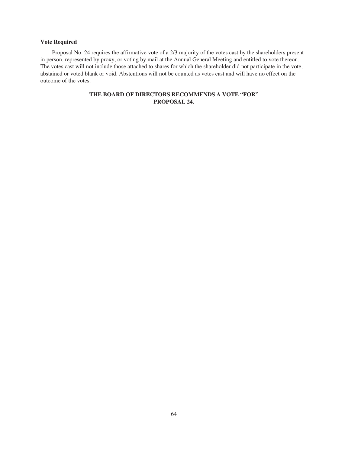# **Vote Required**

Proposal No. 24 requires the affirmative vote of a 2/3 majority of the votes cast by the shareholders present in person, represented by proxy, or voting by mail at the Annual General Meeting and entitled to vote thereon. The votes cast will not include those attached to shares for which the shareholder did not participate in the vote, abstained or voted blank or void. Abstentions will not be counted as votes cast and will have no effect on the outcome of the votes.

# **THE BOARD OF DIRECTORS RECOMMENDS A VOTE "FOR" PROPOSAL 24.**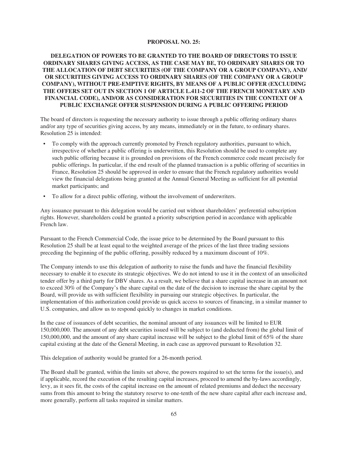### **PROPOSAL NO. 25:**

# **DELEGATION OF POWERS TO BE GRANTED TO THE BOARD OF DIRECTORS TO ISSUE ORDINARY SHARES GIVING ACCESS, AS THE CASE MAY BE, TO ORDINARY SHARES OR TO THE ALLOCATION OF DEBT SECURITIES (OF THE COMPANY OR A GROUP COMPANY), AND/ OR SECURITIES GIVING ACCESS TO ORDINARY SHARES (OF THE COMPANY OR A GROUP COMPANY), WITHOUT PRE-EMPTIVE RIGHTS, BY MEANS OF A PUBLIC OFFER (EXCLUDING THE OFFERS SET OUT IN SECTION 1 OF ARTICLE L.411-2 OF THE FRENCH MONETARY AND FINANCIAL CODE), AND/OR AS CONSIDERATION FOR SECURITIES IN THE CONTEXT OF A PUBLIC EXCHANGE OFFER SUSPENSION DURING A PUBLIC OFFERING PERIOD**

The board of directors is requesting the necessary authority to issue through a public offering ordinary shares and/or any type of securities giving access, by any means, immediately or in the future, to ordinary shares. Resolution 25 is intended:

- To comply with the approach currently promoted by French regulatory authorities, pursuant to which, irrespective of whether a public offering is underwritten, this Resolution should be used to complete any such public offering because it is grounded on provisions of the French commerce code meant precisely for public offerings. In particular, if the end result of the planned transaction is a public offering of securities in France, Resolution 25 should be approved in order to ensure that the French regulatory authorities would view the financial delegations being granted at the Annual General Meeting as sufficient for all potential market participants; and
- To allow for a direct public offering, without the involvement of underwriters.

Any issuance pursuant to this delegation would be carried out without shareholders' preferential subscription rights. However, shareholders could be granted a priority subscription period in accordance with applicable French law.

Pursuant to the French Commercial Code, the issue price to be determined by the Board pursuant to this Resolution 25 shall be at least equal to the weighted average of the prices of the last three trading sessions preceding the beginning of the public offering, possibly reduced by a maximum discount of 10%.

The Company intends to use this delegation of authority to raise the funds and have the financial flexibility necessary to enable it to execute its strategic objectives. We do not intend to use it in the context of an unsolicited tender offer by a third party for DBV shares. As a result, we believe that a share capital increase in an amount not to exceed 30% of the Company's the share capital on the date of the decision to increase the share capital by the Board, will provide us with sufficient flexibility in pursuing our strategic objectives. In particular, the implementation of this authorization could provide us quick access to sources of financing, in a similar manner to U.S. companies, and allow us to respond quickly to changes in market conditions.

In the case of issuances of debt securities, the nominal amount of any issuances will be limited to EUR 150,000,000. The amount of any debt securities issued will be subject to (and deducted from) the global limit of 150,000,000, and the amount of any share capital increase will be subject to the global limit of 65% of the share capital existing at the date of the General Meeting, in each case as approved pursuant to Resolution 32.

This delegation of authority would be granted for a 26-month period.

The Board shall be granted, within the limits set above, the powers required to set the terms for the issue(s), and if applicable, record the execution of the resulting capital increases, proceed to amend the by-laws accordingly, levy, as it sees fit, the costs of the capital increase on the amount of related premiums and deduct the necessary sums from this amount to bring the statutory reserve to one-tenth of the new share capital after each increase and, more generally, perform all tasks required in similar matters.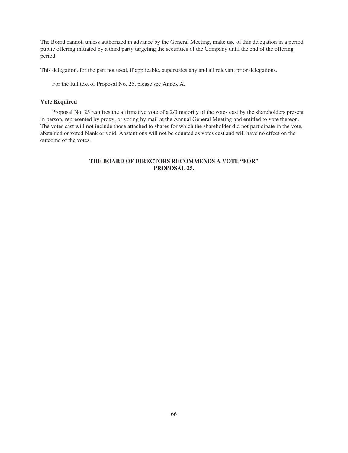The Board cannot, unless authorized in advance by the General Meeting, make use of this delegation in a period public offering initiated by a third party targeting the securities of the Company until the end of the offering period.

This delegation, for the part not used, if applicable, supersedes any and all relevant prior delegations.

For the full text of Proposal No. 25, please see Annex A.

### **Vote Required**

Proposal No. 25 requires the affirmative vote of a 2/3 majority of the votes cast by the shareholders present in person, represented by proxy, or voting by mail at the Annual General Meeting and entitled to vote thereon. The votes cast will not include those attached to shares for which the shareholder did not participate in the vote, abstained or voted blank or void. Abstentions will not be counted as votes cast and will have no effect on the outcome of the votes.

# **THE BOARD OF DIRECTORS RECOMMENDS A VOTE "FOR" PROPOSAL 25.**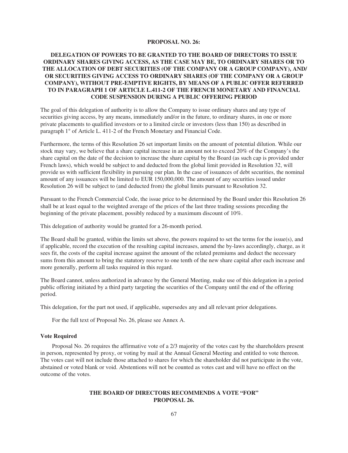### **PROPOSAL NO. 26:**

# **DELEGATION OF POWERS TO BE GRANTED TO THE BOARD OF DIRECTORS TO ISSUE ORDINARY SHARES GIVING ACCESS, AS THE CASE MAY BE, TO ORDINARY SHARES OR TO THE ALLOCATION OF DEBT SECURITIES (OF THE COMPANY OR A GROUP COMPANY), AND/ OR SECURITIES GIVING ACCESS TO ORDINARY SHARES (OF THE COMPANY OR A GROUP COMPANY), WITHOUT PRE-EMPTIVE RIGHTS, BY MEANS OF A PUBLIC OFFER REFERRED TO IN PARAGRAPH 1 OF ARTICLE L.411-2 OF THE FRENCH MONETARY AND FINANCIAL CODE SUSPENSION DURING A PUBLIC OFFERING PERIOD**

The goal of this delegation of authority is to allow the Company to issue ordinary shares and any type of securities giving access, by any means, immediately and/or in the future, to ordinary shares, in one or more private placements to qualified investors or to a limited circle or investors (less than 150) as described in paragraph 1° of Article L. 411-2 of the French Monetary and Financial Code.

Furthermore, the terms of this Resolution 26 set important limits on the amount of potential dilution. While our stock may vary, we believe that a share capital increase in an amount not to exceed 20% of the Company's the share capital on the date of the decision to increase the share capital by the Board (as such cap is provided under French laws), which would be subject to and deducted from the global limit provided in Resolution 32, will provide us with sufficient flexibility in pursuing our plan. In the case of issuances of debt securities, the nominal amount of any issuances will be limited to EUR 150,000,000. The amount of any securities issued under Resolution 26 will be subject to (and deducted from) the global limits pursuant to Resolution 32.

Pursuant to the French Commercial Code, the issue price to be determined by the Board under this Resolution 26 shall be at least equal to the weighted average of the prices of the last three trading sessions preceding the beginning of the private placement, possibly reduced by a maximum discount of 10%.

This delegation of authority would be granted for a 26-month period.

The Board shall be granted, within the limits set above, the powers required to set the terms for the issue(s), and if applicable, record the execution of the resulting capital increases, amend the by-laws accordingly, charge, as it sees fit, the costs of the capital increase against the amount of the related premiums and deduct the necessary sums from this amount to bring the statutory reserve to one tenth of the new share capital after each increase and more generally, perform all tasks required in this regard.

The Board cannot, unless authorized in advance by the General Meeting, make use of this delegation in a period public offering initiated by a third party targeting the securities of the Company until the end of the offering period.

This delegation, for the part not used, if applicable, supersedes any and all relevant prior delegations.

For the full text of Proposal No. 26, please see Annex A.

#### **Vote Required**

Proposal No. 26 requires the affirmative vote of a 2/3 majority of the votes cast by the shareholders present in person, represented by proxy, or voting by mail at the Annual General Meeting and entitled to vote thereon. The votes cast will not include those attached to shares for which the shareholder did not participate in the vote, abstained or voted blank or void. Abstentions will not be counted as votes cast and will have no effect on the outcome of the votes.

# **THE BOARD OF DIRECTORS RECOMMENDS A VOTE "FOR" PROPOSAL 26.**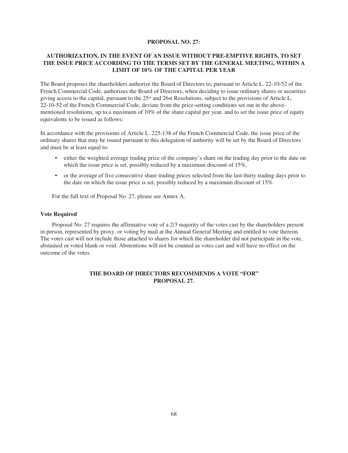### **PROPOSAL NO. 27:**

# **AUTHORIZATION, IN THE EVENT OF AN ISSUE WITHOUT PRE-EMPTIVE RIGHTS, TO SET THE ISSUE PRICE ACCORDING TO THE TERMS SET BY THE GENERAL MEETING, WITHIN A LIMIT OF 10% OF THE CAPITAL PER YEAR**

The Board proposes the shareholders authorize the Board of Directors to, pursuant to Article L. 22-10-52 of the French Commercial Code, authorizes the Board of Directors, when deciding to issue ordinary shares or securities giving access to the capital, pursuant to the 25st and 26st Resolutions*,* subject to the provisions of Article L. 22-10-52 of the French Commercial Code, deviate from the price-setting conditions set out in the abovementioned resolutions, up to a maximum of 10% of the share capital per year, and to set the issue price of equity equivalents to be issued as follows:

In accordance with the provisions of Article L. 225-138 of the French Commercial Code, the issue price of the ordinary shares that may be issued pursuant to this delegation of authority will be set by the Board of Directors and must be at least equal to:

- either the weighted average trading price of the company's share on the trading day prior to the date on which the issue price is set, possibly reduced by a maximum discount of 15%,
- or the average of five consecutive share trading prices selected from the last thirty trading days prior to the date on which the issue price is set, possibly reduced by a maximum discount of 15%.

For the full text of Proposal No. 27, please see Annex A.

### **Vote Required**

Proposal No. 27 requires the affirmative vote of a 2/3 majority of the votes cast by the shareholders present in person, represented by proxy, or voting by mail at the Annual General Meeting and entitled to vote thereon. The votes cast will not include those attached to shares for which the shareholder did not participate in the vote, abstained or voted blank or void. Abstentions will not be counted as votes cast and will have no effect on the outcome of the votes.

# **THE BOARD OF DIRECTORS RECOMMENDS A VOTE "FOR" PROPOSAL 27.**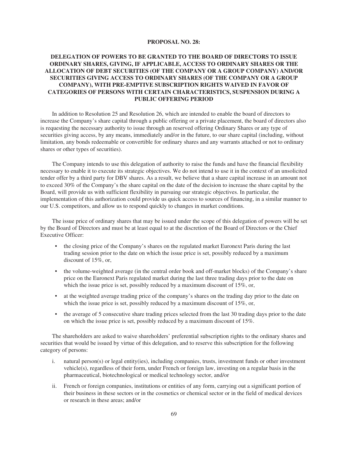### **PROPOSAL NO. 28:**

# **DELEGATION OF POWERS TO BE GRANTED TO THE BOARD OF DIRECTORS TO ISSUE ORDINARY SHARES, GIVING, IF APPLICABLE, ACCESS TO ORDINARY SHARES OR THE ALLOCATION OF DEBT SECURITIES (OF THE COMPANY OR A GROUP COMPANY) AND/OR SECURITIES GIVING ACCESS TO ORDINARY SHARES (OF THE COMPANY OR A GROUP COMPANY), WITH PRE-EMPTIVE SUBSCRIPTION RIGHTS WAIVED IN FAVOR OF CATEGORIES OF PERSONS WITH CERTAIN CHARACTERISTICS, SUSPENSION DURING A PUBLIC OFFERING PERIOD**

In addition to Resolution 25 and Resolution 26, which are intended to enable the board of directors to increase the Company's share capital through a public offering or a private placement, the board of directors also is requesting the necessary authority to issue through an reserved offering Ordinary Shares or any type of securities giving access, by any means, immediately and/or in the future, to our share capital (including, without limitation, any bonds redeemable or convertible for ordinary shares and any warrants attached or not to ordinary shares or other types of securities).

The Company intends to use this delegation of authority to raise the funds and have the financial flexibility necessary to enable it to execute its strategic objectives. We do not intend to use it in the context of an unsolicited tender offer by a third party for DBV shares. As a result, we believe that a share capital increase in an amount not to exceed 30% of the Company's the share capital on the date of the decision to increase the share capital by the Board, will provide us with sufficient flexibility in pursuing our strategic objectives. In particular, the implementation of this authorization could provide us quick access to sources of financing, in a similar manner to our U.S. competitors, and allow us to respond quickly to changes in market conditions.

The issue price of ordinary shares that may be issued under the scope of this delegation of powers will be set by the Board of Directors and must be at least equal to at the discretion of the Board of Directors or the Chief Executive Officer:

- the closing price of the Company's shares on the regulated market Euronext Paris during the last trading session prior to the date on which the issue price is set, possibly reduced by a maximum discount of 15%, or,
- the volume-weighted average (in the central order book and off-market blocks) of the Company's share price on the Euronext Paris regulated market during the last three trading days prior to the date on which the issue price is set, possibly reduced by a maximum discount of 15%, or,
- at the weighted average trading price of the company's shares on the trading day prior to the date on which the issue price is set, possibly reduced by a maximum discount of 15%, or,
- the average of 5 consecutive share trading prices selected from the last 30 trading days prior to the date on which the issue price is set, possibly reduced by a maximum discount of 15%.

The shareholders are asked to waive shareholders' preferential subscription rights to the ordinary shares and securities that would be issued by virtue of this delegation, and to reserve this subscription for the following category of persons:

- i. natural person(s) or legal entity(ies), including companies, trusts, investment funds or other investment vehicle(s), regardless of their form, under French or foreign law, investing on a regular basis in the pharmaceutical, biotechnological or medical technology sector, and/or
- ii. French or foreign companies, institutions or entities of any form, carrying out a significant portion of their business in these sectors or in the cosmetics or chemical sector or in the field of medical devices or research in these areas; and/or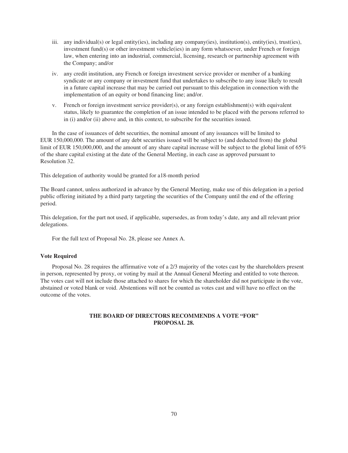- iii. any individual(s) or legal entity(ies), including any company(ies), institution(s), entity(ies), trust(ies), investment fund(s) or other investment vehicle(ies) in any form whatsoever, under French or foreign law, when entering into an industrial, commercial, licensing, research or partnership agreement with the Company; and/or
- iv. any credit institution, any French or foreign investment service provider or member of a banking syndicate or any company or investment fund that undertakes to subscribe to any issue likely to result in a future capital increase that may be carried out pursuant to this delegation in connection with the implementation of an equity or bond financing line; and/or.
- v. French or foreign investment service provider(s), or any foreign establishment(s) with equivalent status, likely to guarantee the completion of an issue intended to be placed with the persons referred to in (i) and/or (ii) above and, in this context, to subscribe for the securities issued.

In the case of issuances of debt securities, the nominal amount of any issuances will be limited to EUR 150,000,000. The amount of any debt securities issued will be subject to (and deducted from) the global limit of EUR 150,000,000, and the amount of any share capital increase will be subject to the global limit of 65% of the share capital existing at the date of the General Meeting, in each case as approved pursuant to Resolution 32.

This delegation of authority would be granted for a18-month period

The Board cannot, unless authorized in advance by the General Meeting, make use of this delegation in a period public offering initiated by a third party targeting the securities of the Company until the end of the offering period.

This delegation, for the part not used, if applicable, supersedes, as from today's date, any and all relevant prior delegations.

For the full text of Proposal No. 28, please see Annex A.

#### **Vote Required**

Proposal No. 28 requires the affirmative vote of a 2/3 majority of the votes cast by the shareholders present in person, represented by proxy, or voting by mail at the Annual General Meeting and entitled to vote thereon. The votes cast will not include those attached to shares for which the shareholder did not participate in the vote, abstained or voted blank or void. Abstentions will not be counted as votes cast and will have no effect on the outcome of the votes.

# **THE BOARD OF DIRECTORS RECOMMENDS A VOTE "FOR" PROPOSAL 28.**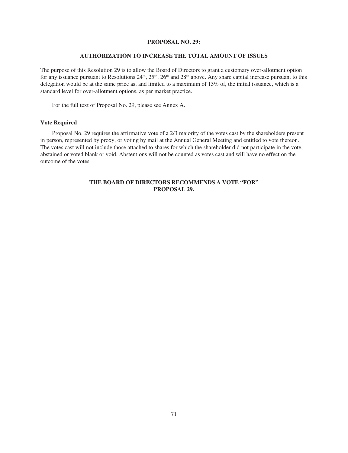### **PROPOSAL NO. 29:**

#### **AUTHORIZATION TO INCREASE THE TOTAL AMOUNT OF ISSUES**

The purpose of this Resolution 29 is to allow the Board of Directors to grant a customary over-allotment option for any issuance pursuant to Resolutions  $24<sup>th</sup>$ ,  $25<sup>th</sup>$ ,  $26<sup>th</sup>$  and  $28<sup>th</sup>$  above. Any share capital increase pursuant to this delegation would be at the same price as, and limited to a maximum of 15% of, the initial issuance, which is a standard level for over-allotment options, as per market practice.

For the full text of Proposal No. 29, please see Annex A.

### **Vote Required**

Proposal No. 29 requires the affirmative vote of a 2/3 majority of the votes cast by the shareholders present in person, represented by proxy, or voting by mail at the Annual General Meeting and entitled to vote thereon. The votes cast will not include those attached to shares for which the shareholder did not participate in the vote, abstained or voted blank or void. Abstentions will not be counted as votes cast and will have no effect on the outcome of the votes.

# **THE BOARD OF DIRECTORS RECOMMENDS A VOTE "FOR" PROPOSAL 29.**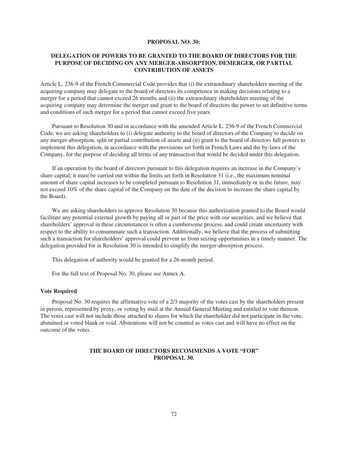#### **PROPOSAL NO. 30:**

# **DELEGATION OF POWERS TO BE GRANTED TO THE BOARD OF DIRECTORS FOR THE PURPOSE OF DECIDING ON ANY MERGER-ABSORPTION, DEMERGER, OR PARTIAL CONTRIBUTION OF ASSETS**

Article L. 236-9 of the French Commercial Code provides that (i) the extraordinary shareholders meeting of the acquiring company may delegate to the board of directors its competence in making decisions relating to a merger for a period that cannot exceed 26 months and (ii) the extraordinary shareholders meeting of the acquiring company may determine the merger and grant to the board of directors the power to set definitive terms and conditions of such merger for a period that cannot exceed five years.

Pursuant to Resolution 30 and in accordance with the amended Article L. 236-9 of the French Commercial Code, we are asking shareholders to (i) delegate authority to the board of directors of the Company to decide on any merger-absorption, split or partial contribution of assets and (ii) grant to the board of directors full powers to implement this delegation, in accordance with the provisions set forth in French Laws and the by-laws of the Company, for the purpose of deciding all terms of any transaction that would be decided under this delegation.

If an operation by the board of directors pursuant to this delegation requires an increase in the Company's share capital, it must be carried out within the limits set forth in Resolution 31 (i.e., the maximum nominal amount of share capital increases to be completed pursuant to Resolution 31, immediately or in the future, may not exceed 10% of the share capital of the Company on the date of the decision to increase the share capital by the Board).

We are asking shareholders to approve Resolution 30 because this authorization granted to the Board would facilitate any potential external growth by paying all or part of the price with our securities, and we believe that shareholders' approval in these circumstances is often a cumbersome process, and could create uncertainty with respect to the ability to consummate such a transaction. Additionally, we believe that the process of submitting such a transaction for shareholders' approval could prevent us from seizing opportunities in a timely manner. The delegation provided for in Resolution 30 is intended to simplify the merger-absorption process.

This delegation of authority would be granted for a 26-month period.

For the full text of Proposal No. 30, please see Annex A.

#### **Vote Required**

Proposal No. 30 requires the affirmative vote of a 2/3 majority of the votes cast by the shareholders present in person, represented by proxy, or voting by mail at the Annual General Meeting and entitled to vote thereon. The votes cast will not include those attached to shares for which the shareholder did not participate in the vote, abstained or voted blank or void. Abstentions will not be counted as votes cast and will have no effect on the outcome of the votes.

## **THE BOARD OF DIRECTORS RECOMMENDS A VOTE "FOR" PROPOSAL 30.**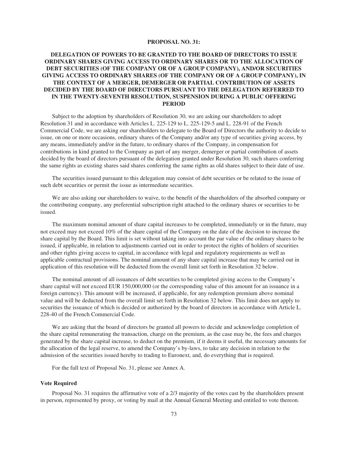### **PROPOSAL NO. 31:**

# **DELEGATION OF POWERS TO BE GRANTED TO THE BOARD OF DIRECTORS TO ISSUE ORDINARY SHARES GIVING ACCESS TO ORDINARY SHARES OR TO THE ALLOCATION OF DEBT SECURITIES (OF THE COMPANY OR OF A GROUP COMPANY), AND/OR SECURITIES GIVING ACCESS TO ORDINARY SHARES (OF THE COMPANY OR OF A GROUP COMPANY), IN THE CONTEXT OF A MERGER, DEMERGER OR PARTIAL CONTRIBUTION OF ASSETS DECIDED BY THE BOARD OF DIRECTORS PURSUANT TO THE DELEGATION REFERRED TO IN THE TWENTY-SEVENTH RESOLUTION, SUSPENSION DURING A PUBLIC OFFERING PERIOD**

Subject to the adoption by shareholders of Resolution 30, we are asking our shareholders to adopt Resolution 31 and in accordance with Articles L. 225-129 to L. 225-129-5 and L. 228-91 of the French Commercial Code, we are asking our shareholders to delegate to the Board of Directors the authority to decide to issue, on one or more occasions, ordinary shares of the Company and/or any type of securities giving access, by any means, immediately and/or in the future, to ordinary shares of the Company, in compensation for contributions in kind granted to the Company as part of any merger, demerger or partial contribution of assets decided by the board of directors pursuant of the delegation granted under Resolution 30, such shares conferring the same rights as existing shares said shares conferring the same rights as old shares subject to their date of use.

The securities issued pursuant to this delegation may consist of debt securities or be related to the issue of such debt securities or permit the issue as intermediate securities.

We are also asking our shareholders to waive, to the benefit of the shareholders of the absorbed company or the contributing company, any preferential subscription right attached to the ordinary shares or securities to be issued.

The maximum nominal amount of share capital increases to be completed, immediately or in the future, may not exceed may not exceed 10% of the share capital of the Company on the date of the decision to increase the share capital by the Board. This limit is set without taking into account the par value of the ordinary shares to be issued, if applicable, in relation to adjustments carried out in order to protect the rights of holders of securities and other rights giving access to capital, in accordance with legal and regulatory requirements as well as applicable contractual provisions. The nominal amount of any share capital increase that may be carried out in application of this resolution will be deducted from the overall limit set forth in Resolution 32 below.

The nominal amount of all issuances of debt securities to be completed giving access to the Company's share capital will not exceed EUR 150,000,000 (or the corresponding value of this amount for an issuance in a foreign currency). This amount will be increased, if applicable, for any redemption premium above nominal value and will be deducted from the overall limit set forth in Resolution 32 below. This limit does not apply to securities the issuance of which is decided or authorized by the board of directors in accordance with Article L. 228-40 of the French Commercial Code.

We are asking that the board of directors be granted all powers to decide and acknowledge completion of the share capital remunerating the transaction, charge on the premium, as the case may be, the fees and charges generated by the share capital increase, to deduct on the premium, if it deems it useful, the necessary amounts for the allocation of the legal reserve, to amend the Company's by-laws, to take any decision in relation to the admission of the securities issued hereby to trading to Euronext, and, do everything that is required.

For the full text of Proposal No. 31, please see Annex A.

### **Vote Required**

Proposal No. 31 requires the affirmative vote of a 2/3 majority of the votes cast by the shareholders present in person, represented by proxy, or voting by mail at the Annual General Meeting and entitled to vote thereon.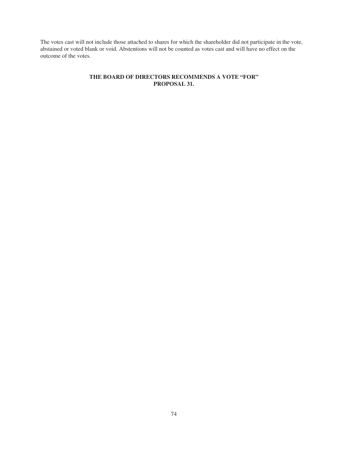The votes cast will not include those attached to shares for which the shareholder did not participate in the vote, abstained or voted blank or void. Abstentions will not be counted as votes cast and will have no effect on the outcome of the votes.

# **THE BOARD OF DIRECTORS RECOMMENDS A VOTE "FOR" PROPOSAL 31.**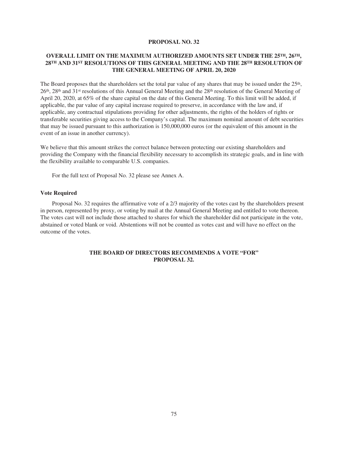### **PROPOSAL NO. 32**

# **OVERALL LIMIT ON THE MAXIMUM AUTHORIZED AMOUNTS SET UNDER THE 25TH, 26TH, 28TH AND 31ST RESOLUTIONS OF THIS GENERAL MEETING AND THE 28TH RESOLUTION OF THE GENERAL MEETING OF APRIL 20, 2020**

The Board proposes that the shareholders set the total par value of any shares that may be issued under the  $25<sup>th</sup>$ , 26th, 28th and 31st resolutions of this Annual General Meeting and the 28th resolution of the General Meeting of April 20, 2020, at 65% of the share capital on the date of this General Meeting. To this limit will be added, if applicable, the par value of any capital increase required to preserve, in accordance with the law and, if applicable, any contractual stipulations providing for other adjustments, the rights of the holders of rights or transferable securities giving access to the Company's capital. The maximum nominal amount of debt securities that may be issued pursuant to this authorization is 150,000,000 euros (or the equivalent of this amount in the event of an issue in another currency).

We believe that this amount strikes the correct balance between protecting our existing shareholders and providing the Company with the financial flexibility necessary to accomplish its strategic goals, and in line with the flexibility available to comparable U.S. companies.

For the full text of Proposal No. 32 please see Annex A.

#### **Vote Required**

Proposal No. 32 requires the affirmative vote of a 2/3 majority of the votes cast by the shareholders present in person, represented by proxy, or voting by mail at the Annual General Meeting and entitled to vote thereon. The votes cast will not include those attached to shares for which the shareholder did not participate in the vote, abstained or voted blank or void. Abstentions will not be counted as votes cast and will have no effect on the outcome of the votes.

# **THE BOARD OF DIRECTORS RECOMMENDS A VOTE "FOR" PROPOSAL 32.**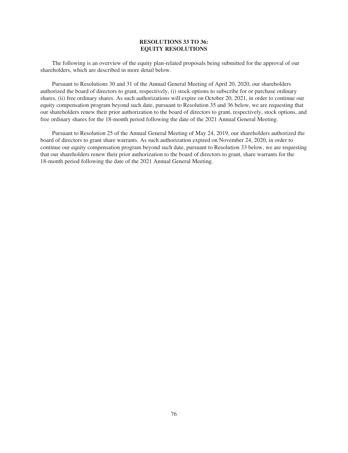## **RESOLUTIONS 33 TO 36: EQUITY RESOLUTIONS**

The following is an overview of the equity plan-related proposals being submitted for the approval of our shareholders, which are described in more detail below.

Pursuant to Resolutions 30 and 31 of the Annual General Meeting of April 20, 2020, our shareholders authorized the board of directors to grant, respectively, (i) stock options to subscribe for or purchase ordinary shares, (ii) free ordinary shares. As such authorizations will expire on October 20, 2021, in order to continue our equity compensation program beyond such date, pursuant to Resolution 35 and 36 below, we are requesting that our shareholders renew their prior authorization to the board of directors to grant, respectively, stock options, and free ordinary shares for the 18-month period following the date of the 2021 Annual General Meeting.

Pursuant to Resolution 25 of the Annual General Meeting of May 24, 2019, our shareholders authorized the board of directors to grant share warrants. As such authorization expired on November 24, 2020, in order to continue our equity compensation program beyond such date, pursuant to Resolution 33 below, we are requesting that our shareholders renew their prior authorization to the board of directors to grant, share warrants for the 18-month period following the date of the 2021 Annual General Meeting.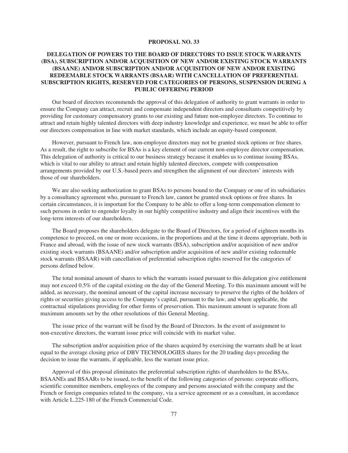#### **PROPOSAL NO. 33**

# **DELEGATION OF POWERS TO THE BOARD OF DIRECTORS TO ISSUE STOCK WARRANTS (BSA), SUBSCRIPTION AND/OR ACQUISITION OF NEW AND/OR EXISTING STOCK WARRANTS (BSAANE) AND/OR SUBSCRIPTION AND/OR ACQUISITION OF NEW AND/OR EXISTING REDEEMABLE STOCK WARRANTS (BSAAR) WITH CANCELLATION OF PREFERENTIAL SUBSCRIPTION RIGHTS, RESERVED FOR CATEGORIES OF PERSONS, SUSPENSION DURING A PUBLIC OFFERING PERIOD**

Our board of directors recommends the approval of this delegation of authority to grant warrants in order to ensure the Company can attract, recruit and compensate independent directors and consultants competitively by providing for customary compensatory grants to our existing and future non-employee directors. To continue to attract and retain highly talented directors with deep industry knowledge and experience, we must be able to offer our directors compensation in line with market standards, which include an equity-based component.

However, pursuant to French law, non-employee directors may not be granted stock options or free shares. As a result, the right to subscribe for BSAs is a key element of our current non-employee director compensation. This delegation of authority is critical to our business strategy because it enables us to continue issuing BSAs, which is vital to our ability to attract and retain highly talented directors, compete with compensation arrangements provided by our U.S.-based peers and strengthen the alignment of our directors' interests with those of our shareholders.

We are also seeking authorization to grant BSAs to persons bound to the Company or one of its subsidiaries by a consultancy agreement who, pursuant to French law, cannot be granted stock options or free shares. In certain circumstances, it is important for the Company to be able to offer a long-term compensation element to such persons in order to engender loyalty in our highly competitive industry and align their incentives with the long-term interests of our shareholders.

The Board proposes the shareholders delegate to the Board of Directors, for a period of eighteen months its competence to proceed, on one or more occasions, in the proportions and at the time it deems appropriate, both in France and abroad, with the issue of new stock warrants (BSA), subscription and/or acquisition of new and/or existing stock warrants (BSAANE) and/or subscription and/or acquisition of new and/or existing redeemable stock warrants (BSAAR) with cancellation of preferential subscription rights reserved for the categories of persons defined below.

The total nominal amount of shares to which the warrants issued pursuant to this delegation give entitlement may not exceed 0.5% of the capital existing on the day of the General Meeting. To this maximum amount will be added, as necessary, the nominal amount of the capital increase necessary to preserve the rights of the holders of rights or securities giving access to the Company's capital, pursuant to the law, and where applicable, the contractual stipulations providing for other forms of preservation. This maximum amount is separate from all maximum amounts set by the other resolutions of this General Meeting.

The issue price of the warrant will be fixed by the Board of Directors. In the event of assignment to non-executive directors, the warrant issue price will coincide with its market value.

The subscription and/or acquisition price of the shares acquired by exercising the warrants shall be at least equal to the average closing price of DBV TECHNOLOGIES shares for the 20 trading days preceding the decision to issue the warrants, if applicable, less the warrant issue price.

Approval of this proposal eliminates the preferential subscription rights of shareholders to the BSAs, BSAANEs and BSAARs to be issued, to the benefit of the following categories of persons: corporate officers, scientific committee members, employees of the company and persons associated with the company and the French or foreign companies related to the company, via a service agreement or as a consultant, in accordance with Article L.225-180 of the French Commercial Code.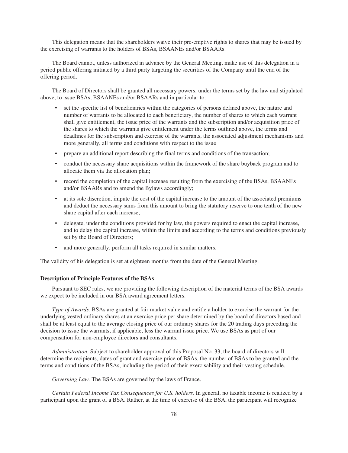This delegation means that the shareholders waive their pre-emptive rights to shares that may be issued by the exercising of warrants to the holders of BSAs, BSAANEs and/or BSAARs.

The Board cannot, unless authorized in advance by the General Meeting, make use of this delegation in a period public offering initiated by a third party targeting the securities of the Company until the end of the offering period.

The Board of Directors shall be granted all necessary powers, under the terms set by the law and stipulated above, to issue BSAs, BSAANEs and/or BSAARs and in particular to:

- set the specific list of beneficiaries within the categories of persons defined above, the nature and number of warrants to be allocated to each beneficiary, the number of shares to which each warrant shall give entitlement, the issue price of the warrants and the subscription and/or acquisition price of the shares to which the warrants give entitlement under the terms outlined above, the terms and deadlines for the subscription and exercise of the warrants, the associated adjustment mechanisms and more generally, all terms and conditions with respect to the issue
- prepare an additional report describing the final terms and conditions of the transaction;
- conduct the necessary share acquisitions within the framework of the share buyback program and to allocate them via the allocation plan;
- record the completion of the capital increase resulting from the exercising of the BSAs, BSAANEs and/or BSAARs and to amend the Bylaws accordingly;
- at its sole discretion, impute the cost of the capital increase to the amount of the associated premiums and deduct the necessary sums from this amount to bring the statutory reserve to one tenth of the new share capital after each increase;
- delegate, under the conditions provided for by law, the powers required to enact the capital increase, and to delay the capital increase, within the limits and according to the terms and conditions previously set by the Board of Directors;
- and more generally, perform all tasks required in similar matters.

The validity of his delegation is set at eighteen months from the date of the General Meeting.

#### **Description of Principle Features of the BSAs**

Pursuant to SEC rules, we are providing the following description of the material terms of the BSA awards we expect to be included in our BSA award agreement letters.

*Type of Awards.* BSAs are granted at fair market value and entitle a holder to exercise the warrant for the underlying vested ordinary shares at an exercise price per share determined by the board of directors based and shall be at least equal to the average closing price of our ordinary shares for the 20 trading days preceding the decision to issue the warrants, if applicable, less the warrant issue price. We use BSAs as part of our compensation for non-employee directors and consultants.

*Administration.* Subject to shareholder approval of this Proposal No. 33, the board of directors will determine the recipients, dates of grant and exercise price of BSAs, the number of BSAs to be granted and the terms and conditions of the BSAs, including the period of their exercisability and their vesting schedule.

*Governing Law.* The BSAs are governed by the laws of France.

*Certain Federal Income Tax Consequences for U.S. holders.* In general, no taxable income is realized by a participant upon the grant of a BSA. Rather, at the time of exercise of the BSA, the participant will recognize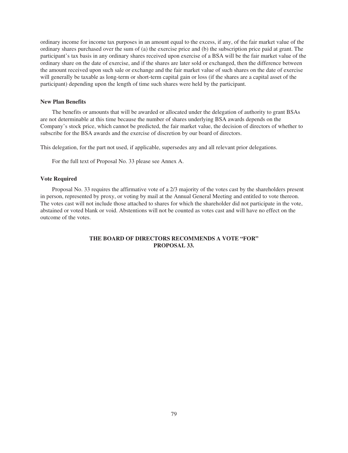ordinary income for income tax purposes in an amount equal to the excess, if any, of the fair market value of the ordinary shares purchased over the sum of (a) the exercise price and (b) the subscription price paid at grant. The participant's tax basis in any ordinary shares received upon exercise of a BSA will be the fair market value of the ordinary share on the date of exercise, and if the shares are later sold or exchanged, then the difference between the amount received upon such sale or exchange and the fair market value of such shares on the date of exercise will generally be taxable as long-term or short-term capital gain or loss (if the shares are a capital asset of the participant) depending upon the length of time such shares were held by the participant.

#### **New Plan Benefits**

The benefits or amounts that will be awarded or allocated under the delegation of authority to grant BSAs are not determinable at this time because the number of shares underlying BSA awards depends on the Company's stock price, which cannot be predicted, the fair market value, the decision of directors of whether to subscribe for the BSA awards and the exercise of discretion by our board of directors.

This delegation, for the part not used, if applicable, supersedes any and all relevant prior delegations.

For the full text of Proposal No. 33 please see Annex A.

#### **Vote Required**

Proposal No. 33 requires the affirmative vote of a 2/3 majority of the votes cast by the shareholders present in person, represented by proxy, or voting by mail at the Annual General Meeting and entitled to vote thereon. The votes cast will not include those attached to shares for which the shareholder did not participate in the vote, abstained or voted blank or void. Abstentions will not be counted as votes cast and will have no effect on the outcome of the votes.

# **THE BOARD OF DIRECTORS RECOMMENDS A VOTE "FOR" PROPOSAL 33.**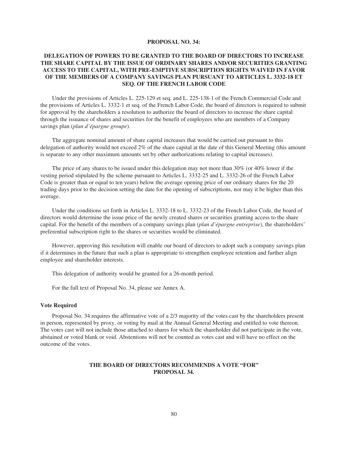#### **PROPOSAL NO. 34:**

# **DELEGATION OF POWERS TO BE GRANTED TO THE BOARD OF DIRECTORS TO INCREASE THE SHARE CAPITAL BY THE ISSUE OF ORDINARY SHARES AND/OR SECURITIES GRANTING ACCESS TO THE CAPITAL, WITH PRE-EMPTIVE SUBSCRIPTION RIGHTS WAIVED IN FAVOR OF THE MEMBERS OF A COMPANY SAVINGS PLAN PURSUANT TO ARTICLES L. 3332-18 ET SEQ. OF THE FRENCH LABOR CODE**

Under the provisions of Articles L. 225-129 et seq. and L. 225-138-1 of the French Commercial Code and the provisions of Articles L. 3332-1 et seq. of the French Labor Code, the board of directors is required to submit for approval by the shareholders a resolution to authorize the board of directors to increase the share capital through the issuance of shares and securities for the benefit of employees who are members of a Company savings plan (*plan d'épargne groupe*).

The aggregate nominal amount of share capital increases that would be carried out pursuant to this delegation of authority would not exceed 2% of the share capital at the date of this General Meeting (this amount is separate to any other maximum amounts set by other authorizations relating to capital increases).

The price of any shares to be issued under this delegation may not more than 30% (or 40% lower if the vesting period stipulated by the scheme pursuant to Articles L. 3332-25 and L. 3332-26 of the French Labor Code is greater than or equal to ten years) below the average opening price of our ordinary shares for the 20 trading days prior to the decision setting the date for the opening of subscriptions, nor may it be higher than this average.

Under the conditions set forth in Articles L. 3332-18 to L. 3332-23 of the French Labor Code, the board of directors would determine the issue price of the newly created shares or securities granting access to the share capital. For the benefit of the members of a company savings plan (*plan d'épargne entreprise*), the shareholders' preferential subscription right to the shares or securities would be eliminated.

However, approving this resolution will enable our board of directors to adopt such a company savings plan if it determines in the future that such a plan is appropriate to strengthen employee retention and further align employee and shareholder interests.

This delegation of authority would be granted for a 26-month period.

For the full text of Proposal No. 34, please see Annex A.

#### **Vote Required**

Proposal No. 34 requires the affirmative vote of a 2/3 majority of the votes cast by the shareholders present in person, represented by proxy, or voting by mail at the Annual General Meeting and entitled to vote thereon. The votes cast will not include those attached to shares for which the shareholder did not participate in the vote, abstained or voted blank or void. Abstentions will not be counted as votes cast and will have no effect on the outcome of the votes.

# **THE BOARD OF DIRECTORS RECOMMENDS A VOTE "FOR" PROPOSAL 34.**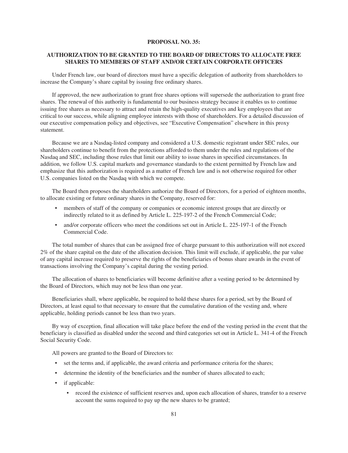### **PROPOSAL NO. 35:**

# **AUTHORIZATION TO BE GRANTED TO THE BOARD OF DIRECTORS TO ALLOCATE FREE SHARES TO MEMBERS OF STAFF AND/OR CERTAIN CORPORATE OFFICERS**

Under French law, our board of directors must have a specific delegation of authority from shareholders to increase the Company's share capital by issuing free ordinary shares.

If approved, the new authorization to grant free shares options will supersede the authorization to grant free shares. The renewal of this authority is fundamental to our business strategy because it enables us to continue issuing free shares as necessary to attract and retain the high-quality executives and key employees that are critical to our success, while aligning employee interests with those of shareholders. For a detailed discussion of our executive compensation policy and objectives, see "Executive Compensation" elsewhere in this proxy statement.

Because we are a Nasdaq-listed company and considered a U.S. domestic registrant under SEC rules, our shareholders continue to benefit from the protections afforded to them under the rules and regulations of the Nasdaq and SEC, including those rules that limit our ability to issue shares in specified circumstances. In addition, we follow U.S. capital markets and governance standards to the extent permitted by French law and emphasize that this authorization is required as a matter of French law and is not otherwise required for other U.S. companies listed on the Nasdaq with which we compete.

The Board then proposes the shareholders authorize the Board of Directors, for a period of eighteen months, to allocate existing or future ordinary shares in the Company, reserved for:

- members of staff of the company or companies or economic interest groups that are directly or indirectly related to it as defined by Article L. 225-197-2 of the French Commercial Code;
- and/or corporate officers who meet the conditions set out in Article L. 225-197-1 of the French Commercial Code.

The total number of shares that can be assigned free of charge pursuant to this authorization will not exceed 2% of the share capital on the date of the allocation decision. This limit will exclude, if applicable, the par value of any capital increase required to preserve the rights of the beneficiaries of bonus share awards in the event of transactions involving the Company's capital during the vesting period.

The allocation of shares to beneficiaries will become definitive after a vesting period to be determined by the Board of Directors, which may not be less than one year.

Beneficiaries shall, where applicable, be required to hold these shares for a period, set by the Board of Directors, at least equal to that necessary to ensure that the cumulative duration of the vesting and, where applicable, holding periods cannot be less than two years.

By way of exception, final allocation will take place before the end of the vesting period in the event that the beneficiary is classified as disabled under the second and third categories set out in Article L. 341-4 of the French Social Security Code.

All powers are granted to the Board of Directors to:

- set the terms and, if applicable, the award criteria and performance criteria for the shares;
- determine the identity of the beneficiaries and the number of shares allocated to each;
- if applicable:
	- record the existence of sufficient reserves and, upon each allocation of shares, transfer to a reserve account the sums required to pay up the new shares to be granted;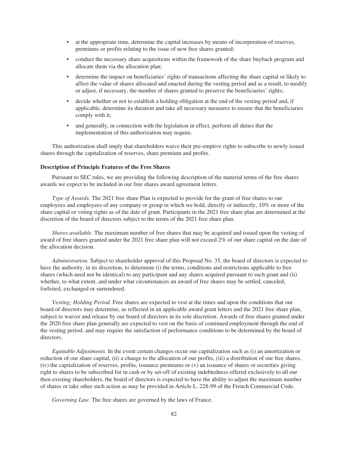- at the appropriate time, determine the capital increases by means of incorporation of reserves, premiums or profits relating to the issue of new free shares granted;
- conduct the necessary share acquisitions within the framework of the share buyback program and allocate them via the allocation plan;
- determine the impact on beneficiaries' rights of transactions affecting the share capital or likely to affect the value of shares allocated and enacted during the vesting period and as a result, to modify or adjust, if necessary, the number of shares granted to preserve the beneficiaries' rights;
- decide whether or not to establish a holding obligation at the end of the vesting period and, if applicable, determine its duration and take all necessary measures to ensure that the beneficiaries comply with it;
- and generally, in connection with the legislation in effect, perform all duties that the implementation of this authorization may require.

This authorization shall imply that shareholders waive their pre-emptive rights to subscribe to newly issued shares through the capitalization of reserves, share premium and profits.

### **Description of Principle Features of the Free Shares**

Pursuant to SEC rules, we are providing the following description of the material terms of the free shares awards we expect to be included in our free shares award agreement letters.

*Type of Awards.* The 2021 free share Plan is expected to provide for the grant of free shares to our employees and employees of any company or group in which we hold, directly or indirectly, 10% or more of the share capital or voting rights as of the date of grant. Participants in the 2021 free share plan are determined at the discretion of the board of directors subject to the terms of the 2021 free share plan.

*Shares available.* The maximum number of free shares that may be acquired and issued upon the vesting of award of free shares granted under the 2021 free share plan will not exceed 2% of our share capital on the date of the allocation decision.

*Administration.* Subject to shareholder approval of this Proposal No. 35, the board of directors is expected to have the authority, in its discretion, to determine (i) the terms, conditions and restrictions applicable to free shares (which need not be identical) to any participant and any shares acquired pursuant to such grant and (ii) whether, to what extent, and under what circumstances an award of free shares may be settled, canceled, forfeited, exchanged or surrendered.

*Vesting; Holding Period.* Free shares are expected to vest at the times and upon the conditions that our board of directors may determine, as reflected in an applicable award grant letters and the 2021 free share plan, subject to waiver and release by our board of directors in its sole discretion. Awards of free shares granted under the 2020 free share plan generally are expected to vest on the basis of continued employment through the end of the vesting period, and may require the satisfaction of performance conditions to be determined by the board of directors.

*Equitable Adjustments.* In the event certain changes occur our capitalization such as (i) an amortization or reduction of our share capital, (ii) a change to the allocation of our profits, (iii) a distribution of our free shares,  $(iv)$  the capitalization of reserves, profits, issuance premiums or  $(v)$  an issuance of shares or securities giving right to shares to be subscribed for in cash or by set-off of existing indebtedness offered exclusively to all our then-existing shareholders, the board of directors is expected to have the ability to adjust the maximum number of shares or take other such action as may be provided in Article L. 228-99 of the French Commercial Code.

*Governing Law.* The free shares are governed by the laws of France.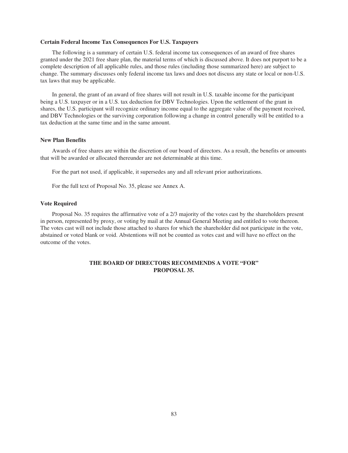### **Certain Federal Income Tax Consequences For U.S. Taxpayers**

The following is a summary of certain U.S. federal income tax consequences of an award of free shares granted under the 2021 free share plan, the material terms of which is discussed above. It does not purport to be a complete description of all applicable rules, and those rules (including those summarized here) are subject to change. The summary discusses only federal income tax laws and does not discuss any state or local or non-U.S. tax laws that may be applicable.

In general, the grant of an award of free shares will not result in U.S. taxable income for the participant being a U.S. taxpayer or in a U.S. tax deduction for DBV Technologies. Upon the settlement of the grant in shares, the U.S. participant will recognize ordinary income equal to the aggregate value of the payment received, and DBV Technologies or the surviving corporation following a change in control generally will be entitled to a tax deduction at the same time and in the same amount.

### **New Plan Benefits**

Awards of free shares are within the discretion of our board of directors. As a result, the benefits or amounts that will be awarded or allocated thereunder are not determinable at this time.

For the part not used, if applicable, it supersedes any and all relevant prior authorizations.

For the full text of Proposal No. 35, please see Annex A.

#### **Vote Required**

Proposal No. 35 requires the affirmative vote of a 2/3 majority of the votes cast by the shareholders present in person, represented by proxy, or voting by mail at the Annual General Meeting and entitled to vote thereon. The votes cast will not include those attached to shares for which the shareholder did not participate in the vote, abstained or voted blank or void. Abstentions will not be counted as votes cast and will have no effect on the outcome of the votes.

## **THE BOARD OF DIRECTORS RECOMMENDS A VOTE "FOR" PROPOSAL 35.**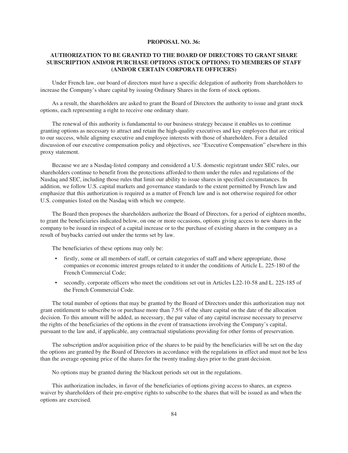### **PROPOSAL NO. 36:**

# **AUTHORIZATION TO BE GRANTED TO THE BOARD OF DIRECTORS TO GRANT SHARE SUBSCRIPTION AND/OR PURCHASE OPTIONS (STOCK OPTIONS) TO MEMBERS OF STAFF (AND/OR CERTAIN CORPORATE OFFICERS)**

Under French law, our board of directors must have a specific delegation of authority from shareholders to increase the Company's share capital by issuing Ordinary Shares in the form of stock options.

As a result, the shareholders are asked to grant the Board of Directors the authority to issue and grant stock options, each representing a right to receive one ordinary share.

The renewal of this authority is fundamental to our business strategy because it enables us to continue granting options as necessary to attract and retain the high-quality executives and key employees that are critical to our success, while aligning executive and employee interests with those of shareholders. For a detailed discussion of our executive compensation policy and objectives, see "Executive Compensation" elsewhere in this proxy statement.

Because we are a Nasdaq-listed company and considered a U.S. domestic registrant under SEC rules, our shareholders continue to benefit from the protections afforded to them under the rules and regulations of the Nasdaq and SEC, including those rules that limit our ability to issue shares in specified circumstances. In addition, we follow U.S. capital markets and governance standards to the extent permitted by French law and emphasize that this authorization is required as a matter of French law and is not otherwise required for other U.S. companies listed on the Nasdaq with which we compete.

The Board then proposes the shareholders authorize the Board of Directors, for a period of eighteen months, to grant the beneficiaries indicated below, on one or more occasions, options giving access to new shares in the company to be issued in respect of a capital increase or to the purchase of existing shares in the company as a result of buybacks carried out under the terms set by law.

The beneficiaries of these options may only be:

- firstly, some or all members of staff, or certain categories of staff and where appropriate, those companies or economic interest groups related to it under the conditions of Article L. 225-180 of the French Commercial Code;
- secondly, corporate officers who meet the conditions set out in Articles L22-10-58 and L. 225-185 of the French Commercial Code.

The total number of options that may be granted by the Board of Directors under this authorization may not grant entitlement to subscribe to or purchase more than 7.5% of the share capital on the date of the allocation decision. To this amount will be added, as necessary, the par value of any capital increase necessary to preserve the rights of the beneficiaries of the options in the event of transactions involving the Company's capital, pursuant to the law and, if applicable, any contractual stipulations providing for other forms of preservation.

The subscription and/or acquisition price of the shares to be paid by the beneficiaries will be set on the day the options are granted by the Board of Directors in accordance with the regulations in effect and must not be less than the average opening price of the shares for the twenty trading days prior to the grant decision.

No options may be granted during the blackout periods set out in the regulations.

This authorization includes, in favor of the beneficiaries of options giving access to shares, an express waiver by shareholders of their pre-emptive rights to subscribe to the shares that will be issued as and when the options are exercised.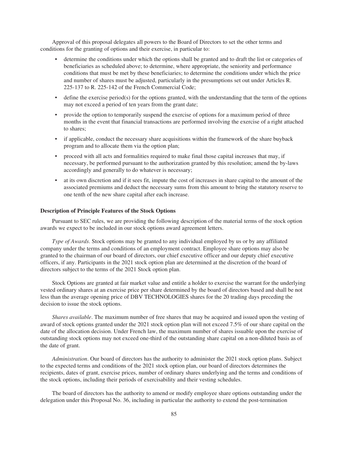Approval of this proposal delegates all powers to the Board of Directors to set the other terms and conditions for the granting of options and their exercise, in particular to:

- determine the conditions under which the options shall be granted and to draft the list or categories of beneficiaries as scheduled above; to determine, where appropriate, the seniority and performance conditions that must be met by these beneficiaries; to determine the conditions under which the price and number of shares must be adjusted, particularly in the presumptions set out under Articles R. 225-137 to R. 225-142 of the French Commercial Code;
- define the exercise period(s) for the options granted, with the understanding that the term of the options may not exceed a period of ten years from the grant date;
- provide the option to temporarily suspend the exercise of options for a maximum period of three months in the event that financial transactions are performed involving the exercise of a right attached to shares;
- if applicable, conduct the necessary share acquisitions within the framework of the share buyback program and to allocate them via the option plan;
- proceed with all acts and formalities required to make final those capital increases that may, if necessary, be performed pursuant to the authorization granted by this resolution; amend the by-laws accordingly and generally to do whatever is necessary;
- at its own discretion and if it sees fit, impute the cost of increases in share capital to the amount of the associated premiums and deduct the necessary sums from this amount to bring the statutory reserve to one tenth of the new share capital after each increase.

### **Description of Principle Features of the Stock Options**

Pursuant to SEC rules, we are providing the following description of the material terms of the stock option awards we expect to be included in our stock options award agreement letters.

*Type of Awards*. Stock options may be granted to any individual employed by us or by any affiliated company under the terms and conditions of an employment contract. Employee share options may also be granted to the chairman of our board of directors, our chief executive officer and our deputy chief executive officers, if any. Participants in the 2021 stock option plan are determined at the discretion of the board of directors subject to the terms of the 2021 Stock option plan.

Stock Options are granted at fair market value and entitle a holder to exercise the warrant for the underlying vested ordinary shares at an exercise price per share determined by the board of directors based and shall be not less than the average opening price of DBV TECHNOLOGIES shares for the 20 trading days preceding the decision to issue the stock options.

*Shares available*. The maximum number of free shares that may be acquired and issued upon the vesting of award of stock options granted under the 2021 stock option plan will not exceed 7.5% of our share capital on the date of the allocation decision. Under French law, the maximum number of shares issuable upon the exercise of outstanding stock options may not exceed one-third of the outstanding share capital on a non-diluted basis as of the date of grant.

*Administration*. Our board of directors has the authority to administer the 2021 stock option plans. Subject to the expected terms and conditions of the 2021 stock option plan, our board of directors determines the recipients, dates of grant, exercise prices, number of ordinary shares underlying and the terms and conditions of the stock options, including their periods of exercisability and their vesting schedules.

The board of directors has the authority to amend or modify employee share options outstanding under the delegation under this Proposal No. 36, including in particular the authority to extend the post-termination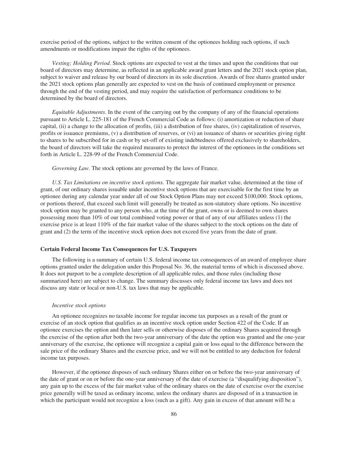exercise period of the options, subject to the written consent of the optionees holding such options, if such amendments or modifications impair the rights of the optionees.

*Vesting; Holding Period*. Stock options are expected to vest at the times and upon the conditions that our board of directors may determine, as reflected in an applicable award grant letters and the 2021 stock option plan, subject to waiver and release by our board of directors in its sole discretion. Awards of free shares granted under the 2021 stock options plan generally are expected to vest on the basis of continued employment or presence through the end of the vesting period, and may require the satisfaction of performance conditions to be determined by the board of directors.

*Equitable Adjustments*. In the event of the carrying out by the company of any of the financial operations pursuant to Article L. 225-181 of the French Commercial Code as follows: (i) amortization or reduction of share capital, (ii) a change to the allocation of profits, (iii) a distribution of free shares, (iv) capitalization of reserves, profits or issuance premiums, (v) a distribution of reserves, or (vi) an issuance of shares or securities giving right to shares to be subscribed for in cash or by set-off of existing indebtedness offered exclusively to shareholders, the board of directors will take the required measures to protect the interest of the optionees in the conditions set forth in Article L. 228-99 of the French Commercial Code.

*Governing Law*. The stock options are governed by the laws of France.

*U.S. Tax Limitations on incentive stock options.* The aggregate fair market value, determined at the time of grant, of our ordinary shares issuable under incentive stock options that are exercisable for the first time by an optionee during any calendar year under all of our Stock Option Plans may not exceed \$100,000. Stock options, or portions thereof, that exceed such limit will generally be treated as non-statutory share options. No incentive stock option may be granted to any person who, at the time of the grant, owns or is deemed to own shares possessing more than 10% of our total combined voting power or that of any of our affiliates unless (1) the exercise price is at least 110% of the fair market value of the shares subject to the stock options on the date of grant and (2) the term of the incentive stock option does not exceed five years from the date of grant.

### **Certain Federal Income Tax Consequences for U.S. Taxpayers**

The following is a summary of certain U.S. federal income tax consequences of an award of employee share options granted under the delegation under this Proposal No. 36, the material terms of which is discussed above. It does not purport to be a complete description of all applicable rules, and those rules (including those summarized here) are subject to change. The summary discusses only federal income tax laws and does not discuss any state or local or non-U.S. tax laws that may be applicable.

#### *Incentive stock options*

An optionee recognizes no taxable income for regular income tax purposes as a result of the grant or exercise of an stock option that qualifies as an incentive stock option under Section 422 of the Code. If an optionee exercises the option and then later sells or otherwise disposes of the ordinary Shares acquired through the exercise of the option after both the two-year anniversary of the date the option was granted and the one-year anniversary of the exercise, the optionee will recognize a capital gain or loss equal to the difference between the sale price of the ordinary Shares and the exercise price, and we will not be entitled to any deduction for federal income tax purposes.

However, if the optionee disposes of such ordinary Shares either on or before the two-year anniversary of the date of grant or on or before the one-year anniversary of the date of exercise (a "disqualifying disposition"), any gain up to the excess of the fair market value of the ordinary shares on the date of exercise over the exercise price generally will be taxed as ordinary income, unless the ordinary shares are disposed of in a transaction in which the participant would not recognize a loss (such as a gift). Any gain in excess of that amount will be a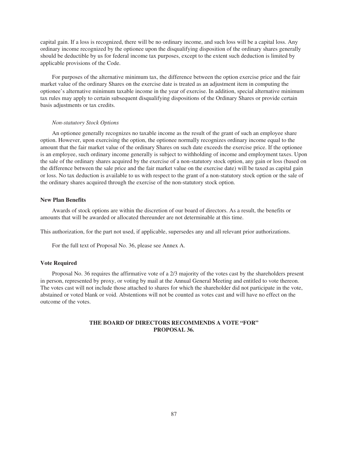capital gain. If a loss is recognized, there will be no ordinary income, and such loss will be a capital loss. Any ordinary income recognized by the optionee upon the disqualifying disposition of the ordinary shares generally should be deductible by us for federal income tax purposes, except to the extent such deduction is limited by applicable provisions of the Code.

For purposes of the alternative minimum tax, the difference between the option exercise price and the fair market value of the ordinary Shares on the exercise date is treated as an adjustment item in computing the optionee's alternative minimum taxable income in the year of exercise. In addition, special alternative minimum tax rules may apply to certain subsequent disqualifying dispositions of the Ordinary Shares or provide certain basis adjustments or tax credits.

#### *Non-statutory Stock Options*

An optionee generally recognizes no taxable income as the result of the grant of such an employee share option. However, upon exercising the option, the optionee normally recognizes ordinary income equal to the amount that the fair market value of the ordinary Shares on such date exceeds the exercise price. If the optionee is an employee, such ordinary income generally is subject to withholding of income and employment taxes. Upon the sale of the ordinary shares acquired by the exercise of a non-statutory stock option, any gain or loss (based on the difference between the sale price and the fair market value on the exercise date) will be taxed as capital gain or loss. No tax deduction is available to us with respect to the grant of a non-statutory stock option or the sale of the ordinary shares acquired through the exercise of the non-statutory stock option.

### **New Plan Benefits**

Awards of stock options are within the discretion of our board of directors. As a result, the benefits or amounts that will be awarded or allocated thereunder are not determinable at this time.

This authorization, for the part not used, if applicable, supersedes any and all relevant prior authorizations.

For the full text of Proposal No. 36, please see Annex A.

#### **Vote Required**

Proposal No. 36 requires the affirmative vote of a 2/3 majority of the votes cast by the shareholders present in person, represented by proxy, or voting by mail at the Annual General Meeting and entitled to vote thereon. The votes cast will not include those attached to shares for which the shareholder did not participate in the vote, abstained or voted blank or void. Abstentions will not be counted as votes cast and will have no effect on the outcome of the votes.

## **THE BOARD OF DIRECTORS RECOMMENDS A VOTE "FOR" PROPOSAL 36.**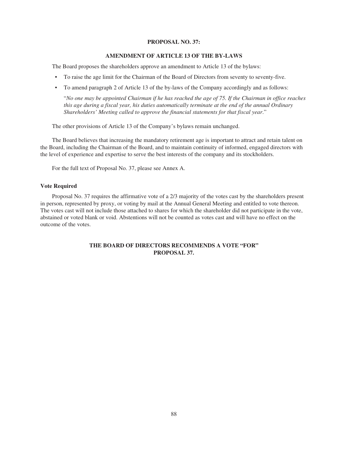#### **PROPOSAL NO. 37:**

#### **AMENDMENT OF ARTICLE 13 OF THE BY-LAWS**

The Board proposes the shareholders approve an amendment to Article 13 of the bylaws:

- To raise the age limit for the Chairman of the Board of Directors from seventy to seventy-five.
- To amend paragraph 2 of Article 13 of the by-laws of the Company accordingly and as follows:

"*No one may be appointed Chairman if he has reached the age of 75. If the Chairman in office reaches this age during a fiscal year, his duties automatically terminate at the end of the annual Ordinary Shareholders' Meeting called to approve the financial statements for that fiscal year*."

The other provisions of Article 13 of the Company's bylaws remain unchanged.

The Board believes that increasing the mandatory retirement age is important to attract and retain talent on the Board, including the Chairman of the Board, and to maintain continuity of informed, engaged directors with the level of experience and expertise to serve the best interests of the company and its stockholders.

For the full text of Proposal No. 37, please see Annex A.

## **Vote Required**

Proposal No. 37 requires the affirmative vote of a 2/3 majority of the votes cast by the shareholders present in person, represented by proxy, or voting by mail at the Annual General Meeting and entitled to vote thereon. The votes cast will not include those attached to shares for which the shareholder did not participate in the vote, abstained or voted blank or void. Abstentions will not be counted as votes cast and will have no effect on the outcome of the votes.

# **THE BOARD OF DIRECTORS RECOMMENDS A VOTE "FOR" PROPOSAL 37.**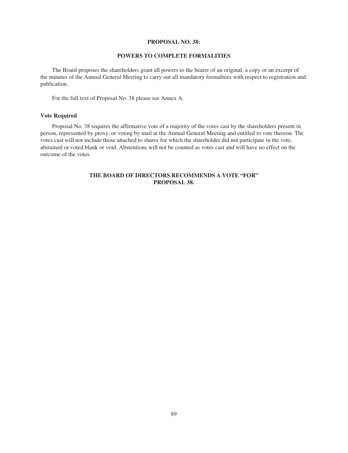#### **PROPOSAL NO. 38:**

## **POWERS TO COMPLETE FORMALITIES**

The Board proposes the shareholders grant all powers to the bearer of an original, a copy or an excerpt of the minutes of the Annual General Meeting to carry out all mandatory formalities with respect to registration and publication.

For the full text of Proposal No. 38 please see Annex A.

### **Vote Required**

Proposal No. 38 requires the affirmative vote of a majority of the votes cast by the shareholders present in person, represented by proxy, or voting by mail at the Annual General Meeting and entitled to vote thereon. The votes cast will not include those attached to shares for which the shareholder did not participate in the vote, abstained or voted blank or void. Abstentions will not be counted as votes cast and will have no effect on the outcome of the votes.

# **THE BOARD OF DIRECTORS RECOMMENDS A VOTE "FOR" PROPOSAL 38.**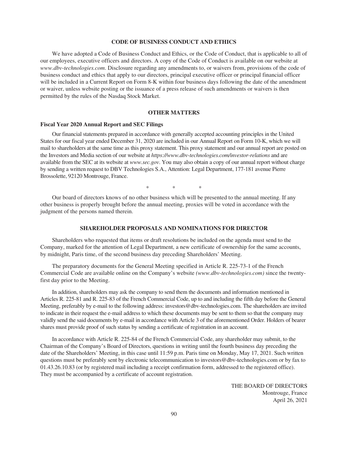### **CODE OF BUSINESS CONDUCT AND ETHICS**

We have adopted a Code of Business Conduct and Ethics, or the Code of Conduct, that is applicable to all of our employees, executive officers and directors. A copy of the Code of Conduct is available on our website at *www.dbv-technologies.com*. Disclosure regarding any amendments to, or waivers from, provisions of the code of business conduct and ethics that apply to our directors, principal executive officer or principal financial officer will be included in a Current Report on Form 8-K within four business days following the date of the amendment or waiver, unless website posting or the issuance of a press release of such amendments or waivers is then permitted by the rules of the Nasdaq Stock Market.

### **OTHER MATTERS**

#### **Fiscal Year 2020 Annual Report and SEC Filings**

Our financial statements prepared in accordance with generally accepted accounting principles in the United States for our fiscal year ended December 31, 2020 are included in our Annual Report on Form 10-K, which we will mail to shareholders at the same time as this proxy statement. This proxy statement and our annual report are posted on the Investors and Media section of our website at *https://www.dbv-technologies.com/investor-relations* and are available from the SEC at its website at *www.sec.gov*. You may also obtain a copy of our annual report without charge by sending a written request to DBV Technologies S.A., Attention: Legal Department, 177-181 avenue Pierre Brossolette, 92120 Montrouge, France.

\*\*

Our board of directors knows of no other business which will be presented to the annual meeting. If any other business is properly brought before the annual meeting, proxies will be voted in accordance with the judgment of the persons named therein.

#### **SHAREHOLDER PROPOSALS AND NOMINATIONS FOR DIRECTOR**

Shareholders who requested that items or draft resolutions be included on the agenda must send to the Company, marked for the attention of Legal Department, a new certificate of ownership for the same accounts, by midnight, Paris time, of the second business day preceding Shareholders' Meeting.

The preparatory documents for the General Meeting specified in Article R. 225-73-1 of the French Commercial Code are available online on the Company's website *(www.dbv-technologies.com)* since the twentyfirst day prior to the Meeting.

In addition, shareholders may ask the company to send them the documents and information mentioned in Articles R. 225-81 and R. 225-83 of the French Commercial Code, up to and including the fifth day before the General Meeting, preferably by e-mail to the following address: investors@dbv-technologies.com. The shareholders are invited to indicate in their request the e-mail address to which these documents may be sent to them so that the company may validly send the said documents by e-mail in accordance with Article 3 of the aforementioned Order. Holders of bearer shares must provide proof of such status by sending a certificate of registration in an account.

In accordance with Article R. 225-84 of the French Commercial Code, any shareholder may submit, to the Chairman of the Company's Board of Directors, questions in writing until the fourth business day preceding the date of the Shareholders' Meeting, in this case until 11:59 p.m. Paris time on Monday, May 17, 2021. Such written questions must be preferably sent by electronic telecommunication to investors@dbv-technologies.com or by fax to 01.43.26.10.83 (or by registered mail including a receipt confirmation form, addressed to the registered office). They must be accompanied by a certificate of account registration.

> THE BOARD OF DIRECTORS Montrouge, France April 26, 2021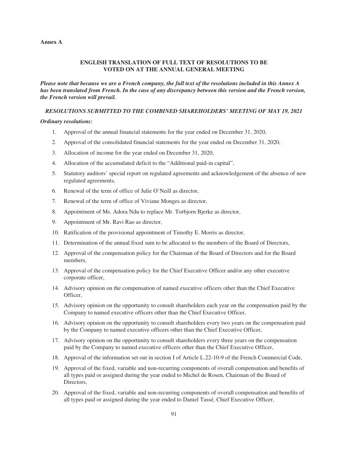#### **Annex A**

## **ENGLISH TRANSLATION OF FULL TEXT OF RESOLUTIONS TO BE VOTED ON AT THE ANNUAL GENERAL MEETING**

*Please note that because we are a French company, the full text of the resolutions included in this Annex A has been translated from French. In the case of any discrepancy between this version and the French version, the French version will prevail.*

# *RESOLUTIONS SUBMITTED TO THE COMBINED SHAREHOLDERS' MEETING OF MAY 19, 2021*

### *Ordinary resolutions:*

- 1. Approval of the annual financial statements for the year ended on December 31, 2020,
- 2. Approval of the consolidated financial statements for the year ended on December 31, 2020,
- 3. Allocation of income for the year ended on December 31, 2020,
- 4. Allocation of the accumulated deficit to the "Additional paid-in capital",
- 5. Statutory auditors' special report on regulated agreements and acknowledgement of the absence of new regulated agreements,
- 6. Renewal of the term of office of Julie O'Neill as director,
- 7. Renewal of the term of office of Viviane Monges as director,
- 8. Appointment of Ms. Adora Ndu to replace Mr. Torbjorn Bjerke as director,
- 9. Appointment of Mr. Ravi Rao as director,
- 10. Ratification of the provisional appointment of Timothy E. Morris as director,
- 11. Determination of the annual fixed sum to be allocated to the members of the Board of Directors,
- 12. Approval of the compensation policy for the Chairman of the Board of Directors and for the Board members,
- 13. Approval of the compensation policy for the Chief Executive Officer and/or any other executive corporate officer,
- 14. Advisory opinion on the compensation of named executive officers other than the Chief Executive Officer,
- 15. Advisory opinion on the opportunity to consult shareholders each year on the compensation paid by the Company to named executive officers other than the Chief Executive Officer,
- 16. Advisory opinion on the opportunity to consult shareholders every two years on the compensation paid by the Company to named executive officers other than the Chief Executive Officer,
- 17. Advisory opinion on the opportunity to consult shareholders every three years on the compensation paid by the Company to named executive officers other than the Chief Executive Officer,
- 18. Approval of the information set out in section I of Article L.22-10-9 of the French Commercial Code,
- 19. Approval of the fixed, variable and non-recurring components of overall compensation and benefits of all types paid or assigned during the year ended to Michel de Rosen, Chairman of the Board of Directors,
- 20. Approval of the fixed, variable and non-recurring components of overall compensation and benefits of all types paid or assigned during the year ended to Daniel Tassé, Chief Executive Officer,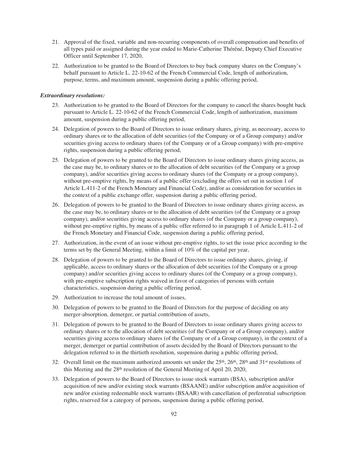- 21. Approval of the fixed, variable and non-recurring components of overall compensation and benefits of all types paid or assigned during the year ended to Marie-Catherine Théréné, Deputy Chief Executive Officer until September 17, 2020,
- 22. Authorization to be granted to the Board of Directors to buy back company shares on the Company's behalf pursuant to Article L. 22-10-62 of the French Commercial Code, length of authorization, purpose, terms, and maximum amount, suspension during a public offering period,

#### *Extraordinary resolutions:*

- 23. Authorization to be granted to the Board of Directors for the company to cancel the shares bought back pursuant to Article L. 22-10-62 of the French Commercial Code, length of authorization, maximum amount, suspension during a public offering period,
- 24. Delegation of powers to the Board of Directors to issue ordinary shares, giving, as necessary, access to ordinary shares or to the allocation of debt securities (of the Company or of a Group company) and/or securities giving access to ordinary shares (of the Company or of a Group company) with pre-emptive rights, suspension during a public offering period,
- 25. Delegation of powers to be granted to the Board of Directors to issue ordinary shares giving access, as the case may be, to ordinary shares or to the allocation of debt securities (of the Company or a group company), and/or securities giving access to ordinary shares (of the Company or a group company), without pre-emptive rights, by means of a public offer (excluding the offers set out in section 1 of Article L.411-2 of the French Monetary and Financial Code), and/or as consideration for securities in the context of a public exchange offer, suspension during a public offering period,
- 26. Delegation of powers to be granted to the Board of Directors to issue ordinary shares giving access, as the case may be, to ordinary shares or to the allocation of debt securities (of the Company or a group company), and/or securities giving access to ordinary shares (of the Company or a group company), without pre-emptive rights, by means of a public offer referred to in paragraph 1 of Article L.411-2 of the French Monetary and Financial Code, suspension during a public offering period,
- 27. Authorization, in the event of an issue without pre-emptive rights, to set the issue price according to the terms set by the General Meeting, within a limit of 10% of the capital per year,
- 28. Delegation of powers to be granted to the Board of Directors to issue ordinary shares, giving, if applicable, access to ordinary shares or the allocation of debt securities (of the Company or a group company) and/or securities giving access to ordinary shares (of the Company or a group company), with pre-emptive subscription rights waived in favor of categories of persons with certain characteristics, suspension during a public offering period,
- 29. Authorization to increase the total amount of issues,
- 30. Delegation of powers to be granted to the Board of Directors for the purpose of deciding on any merger-absorption, demerger, or partial contribution of assets,
- 31. Delegation of powers to be granted to the Board of Directors to issue ordinary shares giving access to ordinary shares or to the allocation of debt securities (of the Company or of a Group company), and/or securities giving access to ordinary shares (of the Company or of a Group company), in the context of a merger, demerger or partial contribution of assets decided by the Board of Directors pursuant to the delegation referred to in the thirtieth resolution, suspension during a public offering period,
- 32. Overall limit on the maximum authorized amounts set under the  $25<sup>th</sup>$ ,  $26<sup>th</sup>$ ,  $28<sup>th</sup>$  and  $31<sup>st</sup>$  resolutions of this Meeting and the 28th resolution of the General Meeting of April 20, 2020,
- 33. Delegation of powers to the Board of Directors to issue stock warrants (BSA), subscription and/or acquisition of new and/or existing stock warrants (BSAANE) and/or subscription and/or acquisition of new and/or existing redeemable stock warrants (BSAAR) with cancellation of preferential subscription rights, reserved for a category of persons, suspension during a public offering period,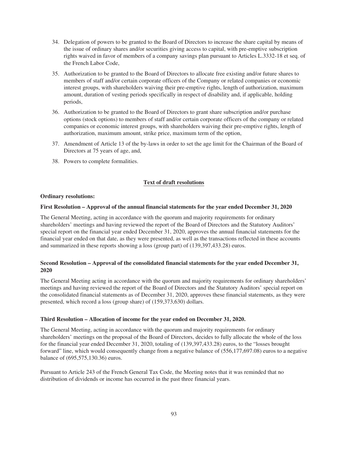- 34. Delegation of powers to be granted to the Board of Directors to increase the share capital by means of the issue of ordinary shares and/or securities giving access to capital, with pre-emptive subscription rights waived in favor of members of a company savings plan pursuant to Articles L.3332-18 et seq. of the French Labor Code,
- 35. Authorization to be granted to the Board of Directors to allocate free existing and/or future shares to members of staff and/or certain corporate officers of the Company or related companies or economic interest groups, with shareholders waiving their pre-emptive rights, length of authorization, maximum amount, duration of vesting periods specifically in respect of disability and, if applicable, holding periods,
- 36. Authorization to be granted to the Board of Directors to grant share subscription and/or purchase options (stock options) to members of staff and/or certain corporate officers of the company or related companies or economic interest groups, with shareholders waiving their pre-emptive rights, length of authorization, maximum amount, strike price, maximum term of the option,
- 37. Amendment of Article 13 of the by-laws in order to set the age limit for the Chairman of the Board of Directors at 75 years of age, and,
- 38. Powers to complete formalities.

## **Text of draft resolutions**

#### **Ordinary resolutions:**

#### **First Resolution – Approval of the annual financial statements for the year ended December 31, 2020**

The General Meeting, acting in accordance with the quorum and majority requirements for ordinary shareholders' meetings and having reviewed the report of the Board of Directors and the Statutory Auditors' special report on the financial year ended December 31, 2020, approves the annual financial statements for the financial year ended on that date, as they were presented, as well as the transactions reflected in these accounts and summarized in these reports showing a loss (group part) of (139,397,433.28) euros.

# **Second Resolution – Approval of the consolidated financial statements for the year ended December 31, 2020**

The General Meeting acting in accordance with the quorum and majority requirements for ordinary shareholders' meetings and having reviewed the report of the Board of Directors and the Statutory Auditors' special report on the consolidated financial statements as of December 31, 2020, approves these financial statements, as they were presented, which record a loss (group share) of (159,373,630) dollars.

### **Third Resolution – Allocation of income for the year ended on December 31, 2020.**

The General Meeting, acting in accordance with the quorum and majority requirements for ordinary shareholders' meetings on the proposal of the Board of Directors, decides to fully allocate the whole of the loss for the financial year ended December 31, 2020, totaling of (139,397,433.28) euros, to the "losses brought forward" line, which would consequently change from a negative balance of (556,177,697.08) euros to a negative balance of (695,575,130.36) euros.

Pursuant to Article 243 of the French General Tax Code, the Meeting notes that it was reminded that no distribution of dividends or income has occurred in the past three financial years.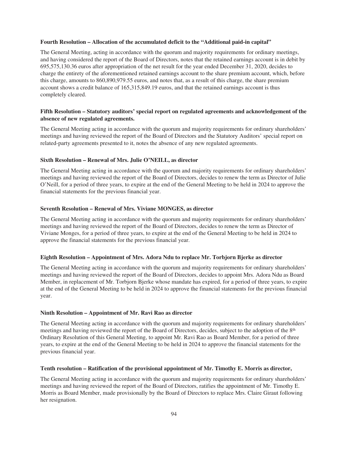#### **Fourth Resolution – Allocation of the accumulated deficit to the "Additional paid-in capital"**

The General Meeting, acting in accordance with the quorum and majority requirements for ordinary meetings, and having considered the report of the Board of Directors, notes that the retained earnings account is in debit by 695,575,130.36 euros after appropriation of the net result for the year ended December 31, 2020, decides to charge the entirety of the aforementioned retained earnings account to the share premium account, which, before this charge, amounts to 860,890,979.55 euros, and notes that, as a result of this charge, the share premium account shows a credit balance of 165,315,849.19 euros, and that the retained earnings account is thus completely cleared.

## **Fifth Resolution – Statutory auditors' special report on regulated agreements and acknowledgement of the absence of new regulated agreements.**

The General Meeting acting in accordance with the quorum and majority requirements for ordinary shareholders' meetings and having reviewed the report of the Board of Directors and the Statutory Auditors' special report on related-party agreements presented to it, notes the absence of any new regulated agreements.

### **Sixth Resolution – Renewal of Mrs. Julie O'NEILL, as director**

The General Meeting acting in accordance with the quorum and majority requirements for ordinary shareholders' meetings and having reviewed the report of the Board of Directors, decides to renew the term as Director of Julie O'Neill, for a period of three years, to expire at the end of the General Meeting to be held in 2024 to approve the financial statements for the previous financial year.

#### **Seventh Resolution – Renewal of Mrs. Viviane MONGES, as director**

The General Meeting acting in accordance with the quorum and majority requirements for ordinary shareholders' meetings and having reviewed the report of the Board of Directors, decides to renew the term as Director of Viviane Monges, for a period of three years, to expire at the end of the General Meeting to be held in 2024 to approve the financial statements for the previous financial year.

#### **Eighth Resolution – Appointment of Mrs. Adora Ndu to replace Mr. Torbjorn Bjerke as director**

The General Meeting acting in accordance with the quorum and majority requirements for ordinary shareholders' meetings and having reviewed the report of the Board of Directors, decides to appoint Mrs. Adora Ndu as Board Member, in replacement of Mr. Torbjorn Bjerke whose mandate has expired, for a period of three years, to expire at the end of the General Meeting to be held in 2024 to approve the financial statements for the previous financial year.

#### **Ninth Resolution – Appointment of Mr. Ravi Rao as director**

The General Meeting acting in accordance with the quorum and majority requirements for ordinary shareholders' meetings and having reviewed the report of the Board of Directors, decides, subject to the adoption of the 8<sup>th</sup> Ordinary Resolution of this General Meeting, to appoint Mr. Ravi Rao as Board Member, for a period of three years, to expire at the end of the General Meeting to be held in 2024 to approve the financial statements for the previous financial year.

#### **Tenth resolution – Ratification of the provisional appointment of Mr. Timothy E. Morris as director,**

The General Meeting acting in accordance with the quorum and majority requirements for ordinary shareholders' meetings and having reviewed the report of the Board of Directors, ratifies the appointment of Mr. Timothy E. Morris as Board Member, made provisionally by the Board of Directors to replace Mrs. Claire Giraut following her resignation.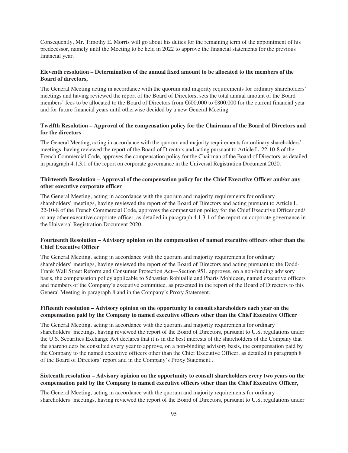Consequently, Mr. Timothy E. Morris will go about his duties for the remaining term of the appointment of his predecessor, namely until the Meeting to be held in 2022 to approve the financial statements for the previous financial year.

## **Eleventh resolution – Determination of the annual fixed amount to be allocated to the members of the Board of directors,**

The General Meeting acting in accordance with the quorum and majority requirements for ordinary shareholders' meetings and having reviewed the report of the Board of Directors, sets the total annual amount of the Board members' fees to be allocated to the Board of Directors from €600,000 to €800,000 for the current financial year and for future financial years until otherwise decided by a new General Meeting.

## **Twelfth Resolution – Approval of the compensation policy for the Chairman of the Board of Directors and for the directors**

The General Meeting, acting in accordance with the quorum and majority requirements for ordinary shareholders' meetings, having reviewed the report of the Board of Directors and acting pursuant to Article L. 22-10-8 of the French Commercial Code, approves the compensation policy for the Chairman of the Board of Directors, as detailed in paragraph 4.1.3.1 of the report on corporate governance in the Universal Registration Document 2020.

## **Thirteenth Resolution – Approval of the compensation policy for the Chief Executive Officer and/or any other executive corporate officer**

The General Meeting, acting in accordance with the quorum and majority requirements for ordinary shareholders' meetings, having reviewed the report of the Board of Directors and acting pursuant to Article L. 22-10-8 of the French Commercial Code, approves the compensation policy for the Chief Executive Officer and/ or any other executive corporate officer, as detailed in paragraph 4.1.3.1 of the report on corporate governance in the Universal Registration Document 2020.

# **Fourteenth Resolution – Advisory opinion on the compensation of named executive officers other than the Chief Executive Officer**

The General Meeting, acting in accordance with the quorum and majority requirements for ordinary shareholders' meetings, having reviewed the report of the Board of Directors and acting pursuant to the Dodd-Frank Wall Street Reform and Consumer Protection Act—Section 951, approves, on a non-binding advisory basis, the compensation policy applicable to Sébastien Robitaille and Pharis Mohideen, named executive officers and members of the Company's executive committee, as presented in the report of the Board of Directors to this General Meeting in paragraph 8 and in the Company's Proxy Statement.

## **Fifteenth resolution – Advisory opinion on the opportunity to consult shareholders each year on the compensation paid by the Company to named executive officers other than the Chief Executive Officer**

The General Meeting, acting in accordance with the quorum and majority requirements for ordinary shareholders' meetings, having reviewed the report of the Board of Directors, pursuant to U.S. regulations under the U.S. Securities Exchange Act declares that it is in the best interests of the shareholders of the Company that the shareholders be consulted every year to approve, on a non-binding advisory basis, the compensation paid by the Company to the named executive officers other than the Chief Executive Officer, as detailed in paragraph 8 of the Board of Directors' report and in the Company's Proxy Statement..

## **Sixteenth resolution – Advisory opinion on the opportunity to consult shareholders every two years on the compensation paid by the Company to named executive officers other than the Chief Executive Officer,**

The General Meeting, acting in accordance with the quorum and majority requirements for ordinary shareholders' meetings, having reviewed the report of the Board of Directors, pursuant to U.S. regulations under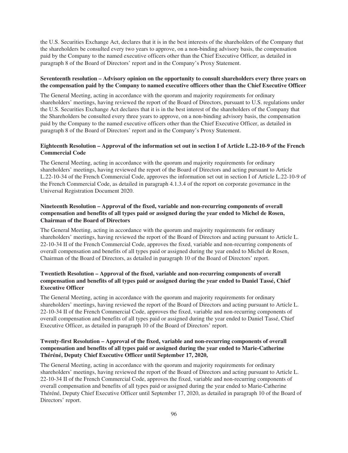the U.S. Securities Exchange Act, declares that it is in the best interests of the shareholders of the Company that the shareholders be consulted every two years to approve, on a non-binding advisory basis, the compensation paid by the Company to the named executive officers other than the Chief Executive Officer, as detailed in paragraph 8 of the Board of Directors' report and in the Company's Proxy Statement.

## **Seventeenth resolution – Advisory opinion on the opportunity to consult shareholders every three years on the compensation paid by the Company to named executive officers other than the Chief Executive Officer**

The General Meeting, acting in accordance with the quorum and majority requirements for ordinary shareholders' meetings, having reviewed the report of the Board of Directors, pursuant to U.S. regulations under the U.S. Securities Exchange Act declares that it is in the best interest of the shareholders of the Company that the Shareholders be consulted every three years to approve, on a non-binding advisory basis, the compensation paid by the Company to the named executive officers other than the Chief Executive Officer, as detailed in paragraph 8 of the Board of Directors' report and in the Company's Proxy Statement.

# **Eighteenth Resolution – Approval of the information set out in section I of Article L.22-10-9 of the French Commercial Code**

The General Meeting, acting in accordance with the quorum and majority requirements for ordinary shareholders' meetings, having reviewed the report of the Board of Directors and acting pursuant to Article L.22-10-34 of the French Commercial Code, approves the information set out in section I of Article L.22-10-9 of the French Commercial Code, as detailed in paragraph 4.1.3.4 of the report on corporate governance in the Universal Registration Document 2020.

# **Nineteenth Resolution – Approval of the fixed, variable and non-recurring components of overall compensation and benefits of all types paid or assigned during the year ended to Michel de Rosen, Chairman of the Board of Directors**

The General Meeting, acting in accordance with the quorum and majority requirements for ordinary shareholders' meetings, having reviewed the report of the Board of Directors and acting pursuant to Article L. 22-10-34 II of the French Commercial Code, approves the fixed, variable and non-recurring components of overall compensation and benefits of all types paid or assigned during the year ended to Michel de Rosen, Chairman of the Board of Directors, as detailed in paragraph 10 of the Board of Directors' report.

# **Twentieth Resolution – Approval of the fixed, variable and non-recurring components of overall compensation and benefits of all types paid or assigned during the year ended to Daniel Tassé, Chief Executive Officer**

The General Meeting, acting in accordance with the quorum and majority requirements for ordinary shareholders' meetings, having reviewed the report of the Board of Directors and acting pursuant to Article L. 22-10-34 II of the French Commercial Code, approves the fixed, variable and non-recurring components of overall compensation and benefits of all types paid or assigned during the year ended to Daniel Tassé, Chief Executive Officer, as detailed in paragraph 10 of the Board of Directors' report.

# **Twenty-first Resolution – Approval of the fixed, variable and non-recurring components of overall compensation and benefits of all types paid or assigned during the year ended to Marie-Catherine Théréné, Deputy Chief Executive Officer until September 17, 2020,**

The General Meeting, acting in accordance with the quorum and majority requirements for ordinary shareholders' meetings, having reviewed the report of the Board of Directors and acting pursuant to Article L. 22-10-34 II of the French Commercial Code, approves the fixed, variable and non-recurring components of overall compensation and benefits of all types paid or assigned during the year ended to Marie-Catherine Théréné, Deputy Chief Executive Officer until September 17, 2020, as detailed in paragraph 10 of the Board of Directors' report.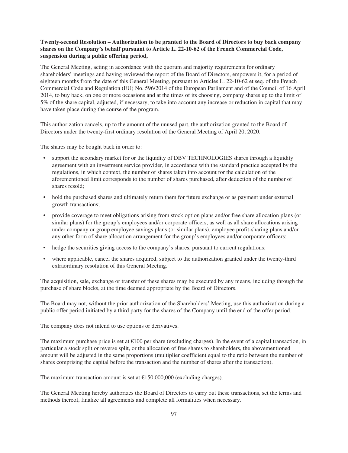## **Twenty-second Resolution – Authorization to be granted to the Board of Directors to buy back company shares on the Company's behalf pursuant to Article L. 22-10-62 of the French Commercial Code, suspension during a public offering period,**

The General Meeting, acting in accordance with the quorum and majority requirements for ordinary shareholders' meetings and having reviewed the report of the Board of Directors, empowers it, for a period of eighteen months from the date of this General Meeting, pursuant to Articles L. 22-10-62 et seq. of the French Commercial Code and Regulation (EU) No. 596/2014 of the European Parliament and of the Council of 16 April 2014, to buy back, on one or more occasions and at the times of its choosing, company shares up to the limit of 5% of the share capital, adjusted, if necessary, to take into account any increase or reduction in capital that may have taken place during the course of the program.

This authorization cancels, up to the amount of the unused part, the authorization granted to the Board of Directors under the twenty-first ordinary resolution of the General Meeting of April 20, 2020.

The shares may be bought back in order to:

- support the secondary market for or the liquidity of DBV TECHNOLOGIES shares through a liquidity agreement with an investment service provider, in accordance with the standard practice accepted by the regulations, in which context, the number of shares taken into account for the calculation of the aforementioned limit corresponds to the number of shares purchased, after deduction of the number of shares resold;
- hold the purchased shares and ultimately return them for future exchange or as payment under external growth transactions;
- provide coverage to meet obligations arising from stock option plans and/or free share allocation plans (or similar plans) for the group's employees and/or corporate officers, as well as all share allocations arising under company or group employee savings plans (or similar plans), employee profit-sharing plans and/or any other form of share allocation arrangement for the group's employees and/or corporate officers;
- hedge the securities giving access to the company's shares, pursuant to current regulations;
- where applicable, cancel the shares acquired, subject to the authorization granted under the twenty-third extraordinary resolution of this General Meeting.

The acquisition, sale, exchange or transfer of these shares may be executed by any means, including through the purchase of share blocks, at the time deemed appropriate by the Board of Directors.

The Board may not, without the prior authorization of the Shareholders' Meeting, use this authorization during a public offer period initiated by a third party for the shares of the Company until the end of the offer period.

The company does not intend to use options or derivatives.

The maximum purchase price is set at  $\epsilon$ 100 per share (excluding charges). In the event of a capital transaction, in particular a stock split or reverse split, or the allocation of free shares to shareholders, the abovementioned amount will be adjusted in the same proportions (multiplier coefficient equal to the ratio between the number of shares comprising the capital before the transaction and the number of shares after the transaction).

The maximum transaction amount is set at  $£150,000,000$  (excluding charges).

The General Meeting hereby authorizes the Board of Directors to carry out these transactions, set the terms and methods thereof, finalize all agreements and complete all formalities when necessary.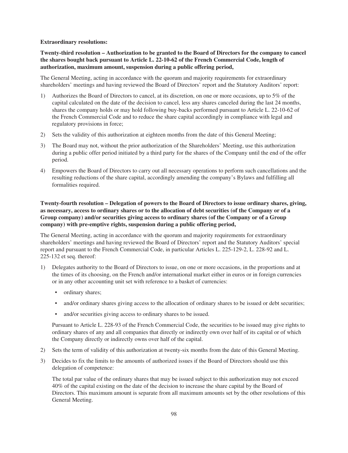#### **Extraordinary resolutions:**

**Twenty-third resolution – Authorization to be granted to the Board of Directors for the company to cancel the shares bought back pursuant to Article L. 22-10-62 of the French Commercial Code, length of authorization, maximum amount, suspension during a public offering period,**

The General Meeting, acting in accordance with the quorum and majority requirements for extraordinary shareholders' meetings and having reviewed the Board of Directors' report and the Statutory Auditors' report:

- 1) Authorizes the Board of Directors to cancel, at its discretion, on one or more occasions, up to 5% of the capital calculated on the date of the decision to cancel, less any shares canceled during the last 24 months, shares the company holds or may hold following buy-backs performed pursuant to Article L. 22-10-62 of the French Commercial Code and to reduce the share capital accordingly in compliance with legal and regulatory provisions in force;
- 2) Sets the validity of this authorization at eighteen months from the date of this General Meeting;
- 3) The Board may not, without the prior authorization of the Shareholders' Meeting, use this authorization during a public offer period initiated by a third party for the shares of the Company until the end of the offer period.
- 4) Empowers the Board of Directors to carry out all necessary operations to perform such cancellations and the resulting reductions of the share capital, accordingly amending the company's Bylaws and fulfilling all formalities required.

# **Twenty-fourth resolution – Delegation of powers to the Board of Directors to issue ordinary shares, giving, as necessary, access to ordinary shares or to the allocation of debt securities (of the Company or of a Group company) and/or securities giving access to ordinary shares (of the Company or of a Group company) with pre-emptive rights, suspension during a public offering period,**

The General Meeting, acting in accordance with the quorum and majority requirements for extraordinary shareholders' meetings and having reviewed the Board of Directors' report and the Statutory Auditors' special report and pursuant to the French Commercial Code, in particular Articles L. 225-129-2, L. 228-92 and L. 225-132 et seq. thereof:

- 1) Delegates authority to the Board of Directors to issue, on one or more occasions, in the proportions and at the times of its choosing, on the French and/or international market either in euros or in foreign currencies or in any other accounting unit set with reference to a basket of currencies:
	- ordinary shares;
	- and/or ordinary shares giving access to the allocation of ordinary shares to be issued or debt securities;
	- and/or securities giving access to ordinary shares to be issued.

Pursuant to Article L. 228-93 of the French Commercial Code, the securities to be issued may give rights to ordinary shares of any and all companies that directly or indirectly own over half of its capital or of which the Company directly or indirectly owns over half of the capital.

- 2) Sets the term of validity of this authorization at twenty-six months from the date of this General Meeting.
- 3) Decides to fix the limits to the amounts of authorized issues if the Board of Directors should use this delegation of competence:

The total par value of the ordinary shares that may be issued subject to this authorization may not exceed 40% of the capital existing on the date of the decision to increase the share capital by the Board of Directors. This maximum amount is separate from all maximum amounts set by the other resolutions of this General Meeting.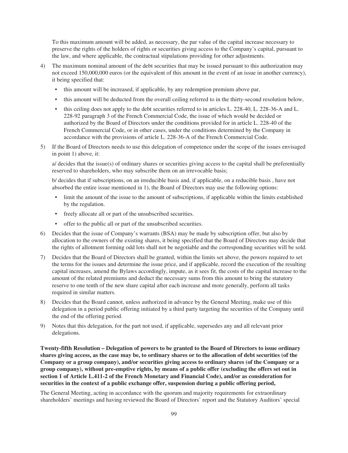To this maximum amount will be added, as necessary, the par value of the capital increase necessary to preserve the rights of the holders of rights or securities giving access to the Company's capital, pursuant to the law, and where applicable, the contractual stipulations providing for other adjustments.

- 4) The maximum nominal amount of the debt securities that may be issued pursuant to this authorization may not exceed 150,000,000 euros (or the equivalent of this amount in the event of an issue in another currency), it being specified that:
	- this amount will be increased, if applicable, by any redemption premium above par,
	- this amount will be deducted from the overall ceiling referred to in the thirty-second resolution below,
	- this ceiling does not apply to the debt securities referred to in articles L. 228-40, L. 228-36-A and L. 228-92 paragraph 3 of the French Commercial Code, the issue of which would be decided or authorized by the Board of Directors under the conditions provided for in article L. 228-40 of the French Commercial Code, or in other cases, under the conditions determined by the Company in accordance with the provisions of article L. 228-36-A of the French Commercial Code.
- 5) If the Board of Directors needs to use this delegation of competence under the scope of the issues envisaged in point 1) above, it:

a/ decides that the issue(s) of ordinary shares or securities giving access to the capital shall be preferentially reserved to shareholders, who may subscribe them on an irrevocable basis;

b/ decides that if subscriptions, on an irreducible basis and, if applicable, on a reducible basis , have not absorbed the entire issue mentioned in 1), the Board of Directors may use the following options:

- limit the amount of the issue to the amount of subscriptions, if applicable within the limits established by the regulation.
- freely allocate all or part of the unsubscribed securities.
- offer to the public all or part of the unsubscribed securities.
- 6) Decides that the issue of Company's warrants (BSA) may be made by subscription offer, but also by allocation to the owners of the existing shares, it being specified that the Board of Directors may decide that the rights of allotment forming odd lots shall not be negotiable and the corresponding securities will be sold.
- 7) Decides that the Board of Directors shall be granted, within the limits set above, the powers required to set the terms for the issues and determine the issue price, and if applicable, record the execution of the resulting capital increases, amend the Bylaws accordingly, impute, as it sees fit, the costs of the capital increase to the amount of the related premiums and deduct the necessary sums from this amount to bring the statutory reserve to one tenth of the new share capital after each increase and more generally, perform all tasks required in similar matters.
- 8) Decides that the Board cannot, unless authorized in advance by the General Meeting, make use of this delegation in a period public offering initiated by a third party targeting the securities of the Company until the end of the offering period.
- 9) Notes that this delegation, for the part not used, if applicable, supersedes any and all relevant prior delegations.

**Twenty-fifth Resolution – Delegation of powers to be granted to the Board of Directors to issue ordinary shares giving access, as the case may be, to ordinary shares or to the allocation of debt securities (of the Company or a group company), and/or securities giving access to ordinary shares (of the Company or a group company), without pre-emptive rights, by means of a public offer (excluding the offers set out in section 1 of Article L.411-2 of the French Monetary and Financial Code), and/or as consideration for securities in the context of a public exchange offer, suspension during a public offering period,**

The General Meeting, acting in accordance with the quorum and majority requirements for extraordinary shareholders' meetings and having reviewed the Board of Directors' report and the Statutory Auditors' special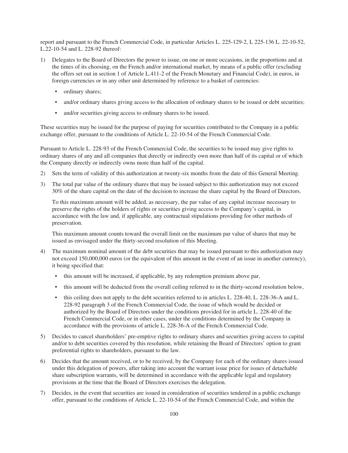report and pursuant to the French Commercial Code, in particular Articles L. 225-129-2, L 225-136 L. 22-10-52, L.22-10-54 and L. 228-92 thereof:

- 1) Delegates to the Board of Directors the power to issue, on one or more occasions, in the proportions and at the times of its choosing, on the French and/or international market, by means of a public offer (excluding the offers set out in section 1 of Article L.411-2 of the French Monetary and Financial Code), in euros, in foreign currencies or in any other unit determined by reference to a basket of currencies:
	- ordinary shares;
	- and/or ordinary shares giving access to the allocation of ordinary shares to be issued or debt securities;
	- and/or securities giving access to ordinary shares to be issued.

These securities may be issued for the purpose of paying for securities contributed to the Company in a public exchange offer, pursuant to the conditions of Article L. 22-10-54 of the French Commercial Code.

Pursuant to Article L. 228-93 of the French Commercial Code, the securities to be issued may give rights to ordinary shares of any and all companies that directly or indirectly own more than half of its capital or of which the Company directly or indirectly owns more than half of the capital.

- 2) Sets the term of validity of this authorization at twenty-six months from the date of this General Meeting.
- 3) The total par value of the ordinary shares that may be issued subject to this authorization may not exceed 30% of the share capital on the date of the decision to increase the share capital by the Board of Directors.

To this maximum amount will be added, as necessary, the par value of any capital increase necessary to preserve the rights of the holders of rights or securities giving access to the Company's capital, in accordance with the law and, if applicable, any contractual stipulations providing for other methods of preservation.

This maximum amount counts toward the overall limit on the maximum par value of shares that may be issued as envisaged under the thirty-second resolution of this Meeting.

- 4) The maximum nominal amount of the debt securities that may be issued pursuant to this authorization may not exceed 150,000,000 euros (or the equivalent of this amount in the event of an issue in another currency), it being specified that:
	- this amount will be increased, if applicable, by any redemption premium above par,
	- this amount will be deducted from the overall ceiling referred to in the thirty-second resolution below,
	- this ceiling does not apply to the debt securities referred to in articles L. 228-40, L. 228-36-A and L. 228-92 paragraph 3 of the French Commercial Code, the issue of which would be decided or authorized by the Board of Directors under the conditions provided for in article L. 228-40 of the French Commercial Code, or in other cases, under the conditions determined by the Company in accordance with the provisions of article L. 228-36-A of the French Commercial Code.
- 5) Decides to cancel shareholders' pre-emptive rights to ordinary shares and securities giving access to capital and/or to debt securities covered by this resolution, while retaining the Board of Directors' option to grant preferential rights to shareholders, pursuant to the law.
- 6) Decides that the amount received, or to be received, by the Company for each of the ordinary shares issued under this delegation of powers, after taking into account the warrant issue price for issues of detachable share subscription warrants, will be determined in accordance with the applicable legal and regulatory provisions at the time that the Board of Directors exercises the delegation.
- 7) Decides, in the event that securities are issued in consideration of securities tendered in a public exchange offer, pursuant to the conditions of Article L. 22-10-54 of the French Commercial Code, and within the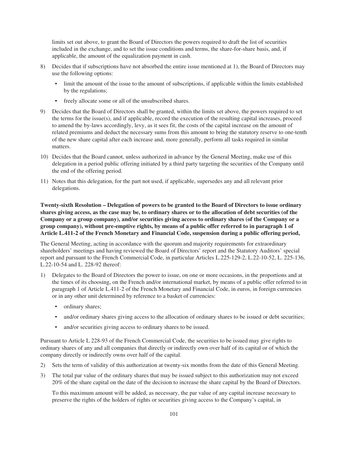limits set out above, to grant the Board of Directors the powers required to draft the list of securities included in the exchange, and to set the issue conditions and terms, the share-for-share basis, and, if applicable, the amount of the equalization payment in cash.

- 8) Decides that if subscriptions have not absorbed the entire issue mentioned at 1), the Board of Directors may use the following options:
	- limit the amount of the issue to the amount of subscriptions, if applicable within the limits established by the regulations;
	- freely allocate some or all of the unsubscribed shares.
- 9) Decides that the Board of Directors shall be granted, within the limits set above, the powers required to set the terms for the issue(s), and if applicable, record the execution of the resulting capital increases, proceed to amend the by-laws accordingly, levy, as it sees fit, the costs of the capital increase on the amount of related premiums and deduct the necessary sums from this amount to bring the statutory reserve to one-tenth of the new share capital after each increase and, more generally, perform all tasks required in similar matters.
- 10) Decides that the Board cannot, unless authorized in advance by the General Meeting, make use of this delegation in a period public offering initiated by a third party targeting the securities of the Company until the end of the offering period.
- 11) Notes that this delegation, for the part not used, if applicable, supersedes any and all relevant prior delegations.

**Twenty-sixth Resolution – Delegation of powers to be granted to the Board of Directors to issue ordinary shares giving access, as the case may be, to ordinary shares or to the allocation of debt securities (of the Company or a group company), and/or securities giving access to ordinary shares (of the Company or a group company), without pre-emptive rights, by means of a public offer referred to in paragraph 1 of Article L.411-2 of the French Monetary and Financial Code, suspension during a public offering period,**

The General Meeting, acting in accordance with the quorum and majority requirements for extraordinary shareholders' meetings and having reviewed the Board of Directors' report and the Statutory Auditors' special report and pursuant to the French Commercial Code, in particular Articles L.225-129-2, L.22-10-52, L. 225-136, L.22-10-54 and L. 228-92 thereof:

- 1) Delegates to the Board of Directors the power to issue, on one or more occasions, in the proportions and at the times of its choosing, on the French and/or international market, by means of a public offer referred to in paragraph 1 of Article L.411-2 of the French Monetary and Financial Code, in euros, in foreign currencies or in any other unit determined by reference to a basket of currencies:
	- ordinary shares;
	- and/or ordinary shares giving access to the allocation of ordinary shares to be issued or debt securities;
	- and/or securities giving access to ordinary shares to be issued.

Pursuant to Article L 228-93 of the French Commercial Code, the securities to be issued may give rights to ordinary shares of any and all companies that directly or indirectly own over half of its capital or of which the company directly or indirectly owns over half of the capital.

- 2) Sets the term of validity of this authorization at twenty-six months from the date of this General Meeting.
- 3) The total par value of the ordinary shares that may be issued subject to this authorization may not exceed 20% of the share capital on the date of the decision to increase the share capital by the Board of Directors.

To this maximum amount will be added, as necessary, the par value of any capital increase necessary to preserve the rights of the holders of rights or securities giving access to the Company's capital, in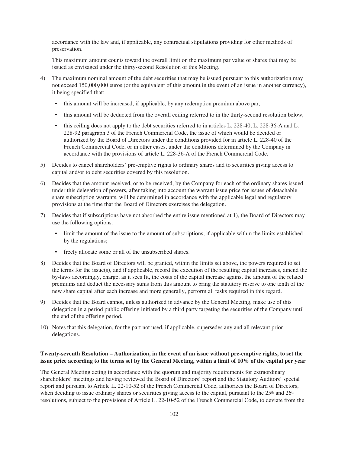accordance with the law and, if applicable, any contractual stipulations providing for other methods of preservation.

This maximum amount counts toward the overall limit on the maximum par value of shares that may be issued as envisaged under the thirty-second Resolution of this Meeting.

- 4) The maximum nominal amount of the debt securities that may be issued pursuant to this authorization may not exceed 150,000,000 euros (or the equivalent of this amount in the event of an issue in another currency), it being specified that:
	- this amount will be increased, if applicable, by any redemption premium above par,
	- this amount will be deducted from the overall ceiling referred to in the thirty-second resolution below,
	- this ceiling does not apply to the debt securities referred to in articles L. 228-40, L. 228-36-A and L. 228-92 paragraph 3 of the French Commercial Code, the issue of which would be decided or authorized by the Board of Directors under the conditions provided for in article L. 228-40 of the French Commercial Code, or in other cases, under the conditions determined by the Company in accordance with the provisions of article L. 228-36-A of the French Commercial Code.
- 5) Decides to cancel shareholders' pre-emptive rights to ordinary shares and to securities giving access to capital and/or to debt securities covered by this resolution.
- 6) Decides that the amount received, or to be received, by the Company for each of the ordinary shares issued under this delegation of powers, after taking into account the warrant issue price for issues of detachable share subscription warrants, will be determined in accordance with the applicable legal and regulatory provisions at the time that the Board of Directors exercises the delegation.
- 7) Decides that if subscriptions have not absorbed the entire issue mentioned at 1), the Board of Directors may use the following options:
	- limit the amount of the issue to the amount of subscriptions, if applicable within the limits established by the regulations;
	- freely allocate some or all of the unsubscribed shares.
- 8) Decides that the Board of Directors will be granted, within the limits set above, the powers required to set the terms for the issue(s), and if applicable, record the execution of the resulting capital increases, amend the by-laws accordingly, charge, as it sees fit, the costs of the capital increase against the amount of the related premiums and deduct the necessary sums from this amount to bring the statutory reserve to one tenth of the new share capital after each increase and more generally, perform all tasks required in this regard.
- 9) Decides that the Board cannot, unless authorized in advance by the General Meeting, make use of this delegation in a period public offering initiated by a third party targeting the securities of the Company until the end of the offering period.
- 10) Notes that this delegation, for the part not used, if applicable, supersedes any and all relevant prior delegations.

## **Twenty-seventh Resolution – Authorization, in the event of an issue without pre-emptive rights, to set the issue price according to the terms set by the General Meeting, within a limit of 10% of the capital per year**

The General Meeting acting in accordance with the quorum and majority requirements for extraordinary shareholders' meetings and having reviewed the Board of Directors' report and the Statutory Auditors' special report and pursuant to Article L. 22-10-52 of the French Commercial Code, authorizes the Board of Directors, when deciding to issue ordinary shares or securities giving access to the capital, pursuant to the 25<sup>th</sup> and 26<sup>th</sup> resolutions*,* subject to the provisions of Article L. 22-10-52 of the French Commercial Code, to deviate from the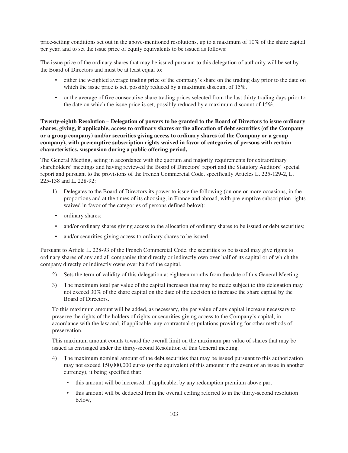price-setting conditions set out in the above-mentioned resolutions, up to a maximum of 10% of the share capital per year, and to set the issue price of equity equivalents to be issued as follows:

The issue price of the ordinary shares that may be issued pursuant to this delegation of authority will be set by the Board of Directors and must be at least equal to:

- either the weighted average trading price of the company's share on the trading day prior to the date on which the issue price is set, possibly reduced by a maximum discount of 15%,
- or the average of five consecutive share trading prices selected from the last thirty trading days prior to the date on which the issue price is set, possibly reduced by a maximum discount of 15%.

**Twenty-eighth Resolution – Delegation of powers to be granted to the Board of Directors to issue ordinary shares, giving, if applicable, access to ordinary shares or the allocation of debt securities (of the Company or a group company) and/or securities giving access to ordinary shares (of the Company or a group company), with pre-emptive subscription rights waived in favor of categories of persons with certain characteristics, suspension during a public offering period,**

The General Meeting, acting in accordance with the quorum and majority requirements for extraordinary shareholders' meetings and having reviewed the Board of Directors' report and the Statutory Auditors' special report and pursuant to the provisions of the French Commercial Code, specifically Articles L. 225-129-2, L. 225-138 and L. 228-92:

- 1) Delegates to the Board of Directors its power to issue the following (on one or more occasions, in the proportions and at the times of its choosing, in France and abroad, with pre-emptive subscription rights waived in favor of the categories of persons defined below):
- ordinary shares;
- and/or ordinary shares giving access to the allocation of ordinary shares to be issued or debt securities;
- and/or securities giving access to ordinary shares to be issued.

Pursuant to Article L. 228-93 of the French Commercial Code, the securities to be issued may give rights to ordinary shares of any and all companies that directly or indirectly own over half of its capital or of which the company directly or indirectly owns over half of the capital.

- 2) Sets the term of validity of this delegation at eighteen months from the date of this General Meeting.
- 3) The maximum total par value of the capital increases that may be made subject to this delegation may not exceed 30% of the share capital on the date of the decision to increase the share capital by the Board of Directors.

To this maximum amount will be added, as necessary, the par value of any capital increase necessary to preserve the rights of the holders of rights or securities giving access to the Company's capital, in accordance with the law and, if applicable, any contractual stipulations providing for other methods of preservation.

This maximum amount counts toward the overall limit on the maximum par value of shares that may be issued as envisaged under the thirty-second Resolution of this General meeting.

- 4) The maximum nominal amount of the debt securities that may be issued pursuant to this authorization may not exceed 150,000,000 euros (or the equivalent of this amount in the event of an issue in another currency), it being specified that:
	- this amount will be increased, if applicable, by any redemption premium above par,
	- this amount will be deducted from the overall ceiling referred to in the thirty-second resolution below,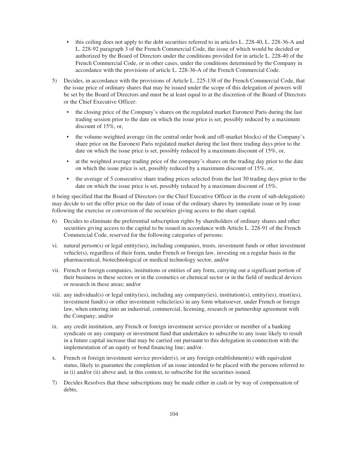- this ceiling does not apply to the debt securities referred to in articles L. 228-40, L. 228-36-A and L. 228-92 paragraph 3 of the French Commercial Code, the issue of which would be decided or authorized by the Board of Directors under the conditions provided for in article L. 228-40 of the French Commercial Code, or in other cases, under the conditions determined by the Company in accordance with the provisions of article L. 228-36-A of the French Commercial Code.
- 5) Decides, in accordance with the provisions of Article L. 225-138 of the French Commercial Code, that the issue price of ordinary shares that may be issued under the scope of this delegation of powers will be set by the Board of Directors and must be at least equal to at the discretion of the Board of Directors or the Chief Executive Officer:
	- the closing price of the Company's shares on the regulated market Euronext Paris during the last trading session prior to the date on which the issue price is set, possibly reduced by a maximum discount of 15%, or,
	- the volume-weighted average (in the central order book and off-market blocks) of the Company's share price on the Euronext Paris regulated market during the last three trading days prior to the date on which the issue price is set, possibly reduced by a maximum discount of 15%, or,
	- at the weighted average trading price of the company's shares on the trading day prior to the date on which the issue price is set, possibly reduced by a maximum discount of 15%, or,
	- the average of 5 consecutive share trading prices selected from the last 30 trading days prior to the date on which the issue price is set, possibly reduced by a maximum discount of 15%,

it being specified that the Board of Directors (or the Chief Executive Officer in the event of sub-delegation) may decide to set the offer price on the date of issue of the ordinary shares by immediate issue or by issue following the exercise or conversion of the securities giving access to the share capital.

- 6) Decides to eliminate the preferential subscription rights by shareholders of ordinary shares and other securities giving access to the capital to be issued in accordance with Article L. 228-91 of the French Commercial Code, reserved for the following categories of persons:
- vi. natural person(s) or legal entity(ies), including companies, trusts, investment funds or other investment vehicle(s), regardless of their form, under French or foreign law, investing on a regular basis in the pharmaceutical, biotechnological or medical technology sector, and/or
- vii. French or foreign companies, institutions or entities of any form, carrying out a significant portion of their business in these sectors or in the cosmetics or chemical sector or in the field of medical devices or research in these areas; and/or
- viii. any individual(s) or legal entity(ies), including any company(ies), institution(s), entity(ies), trust(ies), investment fund(s) or other investment vehicle(ies) in any form whatsoever, under French or foreign law, when entering into an industrial, commercial, licensing, research or partnership agreement with the Company; and/or
- ix. any credit institution, any French or foreign investment service provider or member of a banking syndicate or any company or investment fund that undertakes to subscribe to any issue likely to result in a future capital increase that may be carried out pursuant to this delegation in connection with the implementation of an equity or bond financing line; and/or.
- x. French or foreign investment service provider(s), or any foreign establishment(s) with equivalent status, likely to guarantee the completion of an issue intended to be placed with the persons referred to in (i) and/or (ii) above and, in this context, to subscribe for the securities issued.
- 7) Decides Resolves that these subscriptions may be made either in cash or by way of compensation of debts,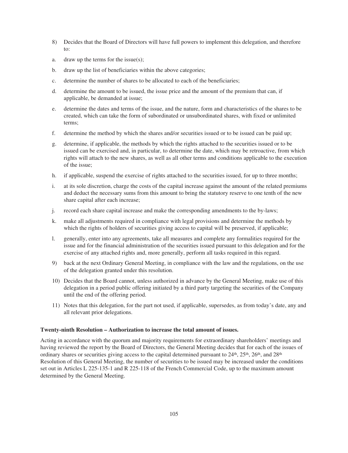- 8) Decides that the Board of Directors will have full powers to implement this delegation, and therefore to:
- a. draw up the terms for the issue(s);
- b. draw up the list of beneficiaries within the above categories;
- c. determine the number of shares to be allocated to each of the beneficiaries;
- d. determine the amount to be issued, the issue price and the amount of the premium that can, if applicable, be demanded at issue;
- e. determine the dates and terms of the issue, and the nature, form and characteristics of the shares to be created, which can take the form of subordinated or unsubordinated shares, with fixed or unlimited terms;
- f. determine the method by which the shares and/or securities issued or to be issued can be paid up;
- g. determine, if applicable, the methods by which the rights attached to the securities issued or to be issued can be exercised and, in particular, to determine the date, which may be retroactive, from which rights will attach to the new shares, as well as all other terms and conditions applicable to the execution of the issue;
- h. if applicable, suspend the exercise of rights attached to the securities issued, for up to three months;
- i. at its sole discretion, charge the costs of the capital increase against the amount of the related premiums and deduct the necessary sums from this amount to bring the statutory reserve to one tenth of the new share capital after each increase;
- j. record each share capital increase and make the corresponding amendments to the by-laws;
- k. make all adjustments required in compliance with legal provisions and determine the methods by which the rights of holders of securities giving access to capital will be preserved, if applicable;
- l. generally, enter into any agreements, take all measures and complete any formalities required for the issue and for the financial administration of the securities issued pursuant to this delegation and for the exercise of any attached rights and, more generally, perform all tasks required in this regard.
- 9) back at the next Ordinary General Meeting, in compliance with the law and the regulations, on the use of the delegation granted under this resolution.
- 10) Decides that the Board cannot, unless authorized in advance by the General Meeting, make use of this delegation in a period public offering initiated by a third party targeting the securities of the Company until the end of the offering period.
- 11) Notes that this delegation, for the part not used, if applicable, supersedes, as from today's date, any and all relevant prior delegations.

#### **Twenty-ninth Resolution – Authorization to increase the total amount of issues.**

Acting in accordance with the quorum and majority requirements for extraordinary shareholders' meetings and having reviewed the report by the Board of Directors, the General Meeting decides that for each of the issues of ordinary shares or securities giving access to the capital determined pursuant to  $24<sup>th</sup>$ ,  $25<sup>th</sup>$ ,  $26<sup>th</sup>$ , and  $28<sup>th</sup>$ Resolution of this General Meeting, the number of securities to be issued may be increased under the conditions set out in Articles L 225-135-1 and R 225-118 of the French Commercial Code, up to the maximum amount determined by the General Meeting.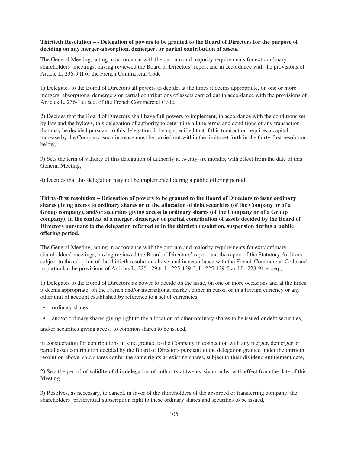## **Thirtieth Resolution – - Delegation of powers to be granted to the Board of Directors for the purpose of deciding on any merger-absorption, demerger, or partial contribution of assets.**

The General Meeting, acting in accordance with the quorum and majority requirements for extraordinary shareholders' meetings, having reviewed the Board of Directors' report and in accordance with the provisions of Article L. 236-9 II of the French Commercial Code

1) Delegates to the Board of Directors all powers to decide, at the times it deems appropriate, on one or more mergers, absorptions, demergers or partial contributions of assets carried out in accordance with the provisions of Articles L. 236-1 et seq. of the French Commercial Code,

2) Decides that the Board of Directors shall have full powers to implement, in accordance with the conditions set by law and the bylaws, this delegation of authority to determine all the terms and conditions of any transaction that may be decided pursuant to this delegation, it being specified that if this transaction requires a capital increase by the Company, such increase must be carried out within the limits set forth in the thirty-first resolution below,

3) Sets the term of validity of this delegation of authority at twenty-six months, with effect from the date of this General Meeting,

4) Decides that this delegation may not be implemented during a public offering period.

**Thirty-first resolution – Delegation of powers to be granted to the Board of Directors to issue ordinary shares giving access to ordinary shares or to the allocation of debt securities (of the Company or of a Group company), and/or securities giving access to ordinary shares (of the Company or of a Group company), in the context of a merger, demerger or partial contribution of assets decided by the Board of Directors pursuant to the delegation referred to in the thirtieth resolution, suspension during a public offering period,**

The General Meeting, acting in accordance with the quorum and majority requirements for extraordinary shareholders' meetings, having reviewed the Board of Directors' report and the report of the Statutory Auditors, subject to the adoption of the thirtieth resolution above, and in accordance with the French Commercial Code and in particular the provisions of Articles L. 225-129 to L. 225-129-3, L. 225-129-5 and L. 228-91 et seq.,

1) Delegates to the Board of Directors its power to decide on the issue, on one or more occasions and at the times it deems appropriate, on the French and/or international market, either in euros, or in a foreign currency or any other unit of account established by reference to a set of currencies:

- ordinary shares,
- and/or ordinary shares giving right to the allocation of other ordinary shares to be issued or debt securities,

and/or securities giving access to common shares to be issued,

in consideration for contributions in kind granted to the Company in connection with any merger, demerger or partial asset contribution decided by the Board of Directors pursuant to the delegation granted under the thirtieth resolution above, said shares confer the same rights as existing shares, subject to their dividend entitlement date,

2) Sets the period of validity of this delegation of authority at twenty-six months, with effect from the date of this Meeting,

3) Resolves, as necessary, to cancel, in favor of the shareholders of the absorbed or transferring company, the shareholders' preferential subscription right to these ordinary shares and securities to be issued,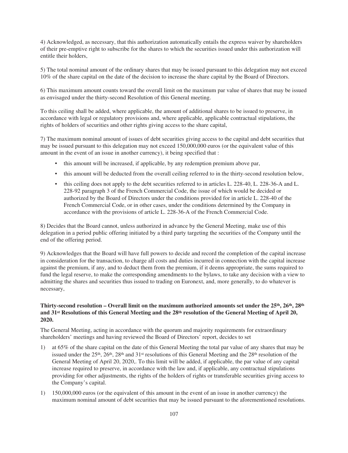4) Acknowledged, as necessary, that this authorization automatically entails the express waiver by shareholders of their pre-emptive right to subscribe for the shares to which the securities issued under this authorization will entitle their holders,

5) The total nominal amount of the ordinary shares that may be issued pursuant to this delegation may not exceed 10% of the share capital on the date of the decision to increase the share capital by the Board of Directors.

6) This maximum amount counts toward the overall limit on the maximum par value of shares that may be issued as envisaged under the thirty-second Resolution of this General meeting.

To this ceiling shall be added, where applicable, the amount of additional shares to be issued to preserve, in accordance with legal or regulatory provisions and, where applicable, applicable contractual stipulations, the rights of holders of securities and other rights giving access to the share capital,

7) The maximum nominal amount of issues of debt securities giving access to the capital and debt securities that may be issued pursuant to this delegation may not exceed 150,000,000 euros (or the equivalent value of this amount in the event of an issue in another currency), it being specified that :

- this amount will be increased, if applicable, by any redemption premium above par,
- this amount will be deducted from the overall ceiling referred to in the thirty-second resolution below,
- this ceiling does not apply to the debt securities referred to in articles L. 228-40, L. 228-36-A and L. 228-92 paragraph 3 of the French Commercial Code, the issue of which would be decided or authorized by the Board of Directors under the conditions provided for in article L. 228-40 of the French Commercial Code, or in other cases, under the conditions determined by the Company in accordance with the provisions of article L. 228-36-A of the French Commercial Code.

8) Decides that the Board cannot, unless authorized in advance by the General Meeting, make use of this delegation in a period public offering initiated by a third party targeting the securities of the Company until the end of the offering period.

9) Acknowledges that the Board will have full powers to decide and record the completion of the capital increase in consideration for the transaction, to charge all costs and duties incurred in connection with the capital increase against the premium, if any, and to deduct them from the premium, if it deems appropriate, the sums required to fund the legal reserve, to make the corresponding amendments to the bylaws, to take any decision with a view to admitting the shares and securities thus issued to trading on Euronext, and, more generally, to do whatever is necessary,

# **Thirty-second resolution – Overall limit on the maximum authorized amounts set under the 25th, 26th, 28th and 31st Resolutions of this General Meeting and the 28th resolution of the General Meeting of April 20, 2020.**

The General Meeting, acting in accordance with the quorum and majority requirements for extraordinary shareholders' meetings and having reviewed the Board of Directors' report, decides to set

- 1) at 65% of the share capital on the date of this General Meeting the total par value of any shares that may be issued under the  $25<sup>th</sup>$ ,  $26<sup>th</sup>$ ,  $28<sup>th</sup>$  and  $31<sup>st</sup>$  resolutions of this General Meeting and the  $28<sup>th</sup>$  resolution of the General Meeting of April 20, 2020,. To this limit will be added, if applicable, the par value of any capital increase required to preserve, in accordance with the law and, if applicable, any contractual stipulations providing for other adjustments, the rights of the holders of rights or transferable securities giving access to the Company's capital.
- 1) 150,000,000 euros (or the equivalent of this amount in the event of an issue in another currency) the maximum nominal amount of debt securities that may be issued pursuant to the aforementioned resolutions.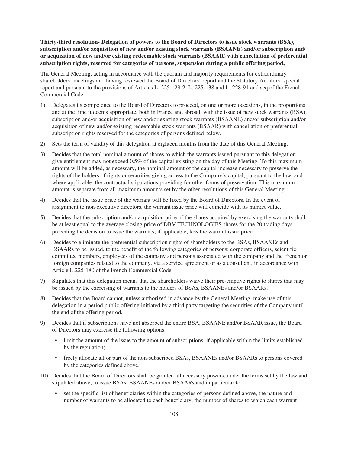**Thirty-third resolution- Delegation of powers to the Board of Directors to issue stock warrants (BSA), subscription and/or acquisition of new and/or existing stock warrants (BSAANE) and/or subscription and/ or acquisition of new and/or existing redeemable stock warrants (BSAAR) with cancellation of preferential subscription rights, reserved for categories of persons, suspension during a public offering period,**

The General Meeting, acting in accordance with the quorum and majority requirements for extraordinary shareholders' meetings and having reviewed the Board of Directors' report and the Statutory Auditors' special report and pursuant to the provisions of Articles L. 225-129-2, L. 225-138 and L. 228-91 and seq of the French Commercial Code:

- 1) Delegates its competence to the Board of Directors to proceed, on one or more occasions, in the proportions and at the time it deems appropriate, both in France and abroad, with the issue of new stock warrants (BSA), subscription and/or acquisition of new and/or existing stock warrants (BSAANE) and/or subscription and/or acquisition of new and/or existing redeemable stock warrants (BSAAR) with cancellation of preferential subscription rights reserved for the categories of persons defined below.
- 2) Sets the term of validity of this delegation at eighteen months from the date of this General Meeting.
- 3) Decides that the total nominal amount of shares to which the warrants issued pursuant to this delegation give entitlement may not exceed 0.5% of the capital existing on the day of this Meeting. To this maximum amount will be added, as necessary, the nominal amount of the capital increase necessary to preserve the rights of the holders of rights or securities giving access to the Company's capital, pursuant to the law, and where applicable, the contractual stipulations providing for other forms of preservation. This maximum amount is separate from all maximum amounts set by the other resolutions of this General Meeting.
- 4) Decides that the issue price of the warrant will be fixed by the Board of Directors. In the event of assignment to non-executive directors, the warrant issue price will coincide with its market value.
- 5) Decides that the subscription and/or acquisition price of the shares acquired by exercising the warrants shall be at least equal to the average closing price of DBV TECHNOLOGIES shares for the 20 trading days preceding the decision to issue the warrants, if applicable, less the warrant issue price.
- 6) Decides to eliminate the preferential subscription rights of shareholders to the BSAs, BSAANEs and BSAARs to be issued, to the benefit of the following categories of persons: corporate officers, scientific committee members, employees of the company and persons associated with the company and the French or foreign companies related to the company, via a service agreement or as a consultant, in accordance with Article L.225-180 of the French Commercial Code.
- 7) Stipulates that this delegation means that the shareholders waive their pre-emptive rights to shares that may be issued by the exercising of warrants to the holders of BSAs, BSAANEs and/or BSAARs.
- 8) Decides that the Board cannot, unless authorized in advance by the General Meeting, make use of this delegation in a period public offering initiated by a third party targeting the securities of the Company until the end of the offering period.
- 9) Decides that if subscriptions have not absorbed the entire BSA, BSAANE and/or BSAAR issue, the Board of Directors may exercise the following options:
	- limit the amount of the issue to the amount of subscriptions, if applicable within the limits established by the regulation;
	- freely allocate all or part of the non-subscribed BSAs, BSAANEs and/or BSAARs to persons covered by the categories defined above.
- 10) Decides that the Board of Directors shall be granted all necessary powers, under the terms set by the law and stipulated above, to issue BSAs, BSAANEs and/or BSAARs and in particular to:
	- set the specific list of beneficiaries within the categories of persons defined above, the nature and number of warrants to be allocated to each beneficiary, the number of shares to which each warrant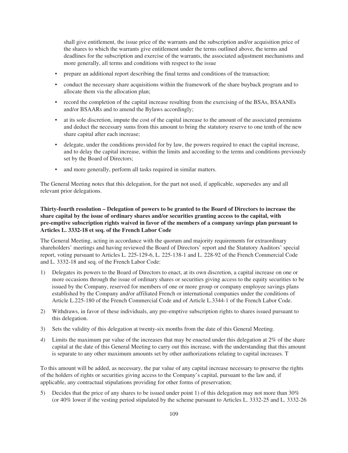shall give entitlement, the issue price of the warrants and the subscription and/or acquisition price of the shares to which the warrants give entitlement under the terms outlined above, the terms and deadlines for the subscription and exercise of the warrants, the associated adjustment mechanisms and more generally, all terms and conditions with respect to the issue

- prepare an additional report describing the final terms and conditions of the transaction;
- conduct the necessary share acquisitions within the framework of the share buyback program and to allocate them via the allocation plan;
- record the completion of the capital increase resulting from the exercising of the BSAs, BSAANEs and/or BSAARs and to amend the Bylaws accordingly;
- at its sole discretion, impute the cost of the capital increase to the amount of the associated premiums and deduct the necessary sums from this amount to bring the statutory reserve to one tenth of the new share capital after each increase;
- delegate, under the conditions provided for by law, the powers required to enact the capital increase, and to delay the capital increase, within the limits and according to the terms and conditions previously set by the Board of Directors;
- and more generally, perform all tasks required in similar matters.

The General Meeting notes that this delegation, for the part not used, if applicable, supersedes any and all relevant prior delegations.

# **Thirty-fourth resolution – Delegation of powers to be granted to the Board of Directors to increase the share capital by the issue of ordinary shares and/or securities granting access to the capital, with pre-emptive subscription rights waived in favor of the members of a company savings plan pursuant to Articles L. 3332-18 et seq. of the French Labor Code**

The General Meeting, acting in accordance with the quorum and majority requirements for extraordinary shareholders' meetings and having reviewed the Board of Directors' report and the Statutory Auditors' special report, voting pursuant to Articles L. 225-129-6, L. 225-138-1 and L. 228-92 of the French Commercial Code and L. 3332-18 and seq. of the French Labor Code:

- 1) Delegates its powers to the Board of Directors to enact, at its own discretion, a capital increase on one or more occasions through the issue of ordinary shares or securities giving access to the equity securities to be issued by the Company, reserved for members of one or more group or company employee savings plans established by the Company and/or affiliated French or international companies under the conditions of Article L.225-180 of the French Commercial Code and of Article L.3344-1 of the French Labor Code.
- 2) Withdraws, in favor of these individuals, any pre-emptive subscription rights to shares issued pursuant to this delegation.
- 3) Sets the validity of this delegation at twenty-six months from the date of this General Meeting.
- *4)* Limits the maximum par value of the increases that may be enacted under this delegation at 2% of the share capital at the date of this General Meeting to carry out this increase, with the understanding that this amount is separate to any other maximum amounts set by other authorizations relating to capital increases. T

To this amount will be added, as necessary, the par value of any capital increase necessary to preserve the rights of the holders of rights or securities giving access to the Company's capital, pursuant to the law and, if applicable, any contractual stipulations providing for other forms of preservation;

5) Decides that the price of any shares to be issued under point 1) of this delegation may not more than 30% (or 40% lower if the vesting period stipulated by the scheme pursuant to Articles L. 3332-25 and L. 3332-26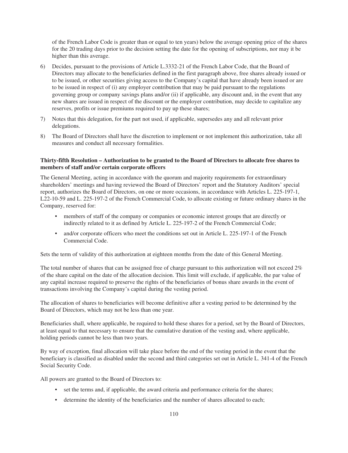of the French Labor Code is greater than or equal to ten years) below the average opening price of the shares for the 20 trading days prior to the decision setting the date for the opening of subscriptions, nor may it be higher than this average.

- 6) Decides, pursuant to the provisions of Article L.3332-21 of the French Labor Code, that the Board of Directors may allocate to the beneficiaries defined in the first paragraph above, free shares already issued or to be issued, or other securities giving access to the Company's capital that have already been issued or are to be issued in respect of (i) any employer contribution that may be paid pursuant to the regulations governing group or company savings plans and/or (ii) if applicable, any discount and, in the event that any new shares are issued in respect of the discount or the employer contribution, may decide to capitalize any reserves, profits or issue premiums required to pay up these shares;
- 7) Notes that this delegation, for the part not used, if applicable, supersedes any and all relevant prior delegations.
- 8) The Board of Directors shall have the discretion to implement or not implement this authorization, take all measures and conduct all necessary formalities.

### **Thirty-fifth Resolution – Authorization to be granted to the Board of Directors to allocate free shares to members of staff and/or certain corporate officers**

The General Meeting, acting in accordance with the quorum and majority requirements for extraordinary shareholders' meetings and having reviewed the Board of Directors' report and the Statutory Auditors' special report, authorizes the Board of Directors, on one or more occasions, in accordance with Articles L. 225-197-1, L22-10-59 and L. 225-197-2 of the French Commercial Code, to allocate existing or future ordinary shares in the Company, reserved for:

- members of staff of the company or companies or economic interest groups that are directly or indirectly related to it as defined by Article L. 225-197-2 of the French Commercial Code;
- and/or corporate officers who meet the conditions set out in Article L. 225-197-1 of the French Commercial Code.

Sets the term of validity of this authorization at eighteen months from the date of this General Meeting.

The total number of shares that can be assigned free of charge pursuant to this authorization will not exceed 2% of the share capital on the date of the allocation decision. This limit will exclude, if applicable, the par value of any capital increase required to preserve the rights of the beneficiaries of bonus share awards in the event of transactions involving the Company's capital during the vesting period.

The allocation of shares to beneficiaries will become definitive after a vesting period to be determined by the Board of Directors, which may not be less than one year.

Beneficiaries shall, where applicable, be required to hold these shares for a period, set by the Board of Directors, at least equal to that necessary to ensure that the cumulative duration of the vesting and, where applicable, holding periods cannot be less than two years.

By way of exception, final allocation will take place before the end of the vesting period in the event that the beneficiary is classified as disabled under the second and third categories set out in Article L. 341-4 of the French Social Security Code.

All powers are granted to the Board of Directors to:

- set the terms and, if applicable, the award criteria and performance criteria for the shares;
- determine the identity of the beneficiaries and the number of shares allocated to each;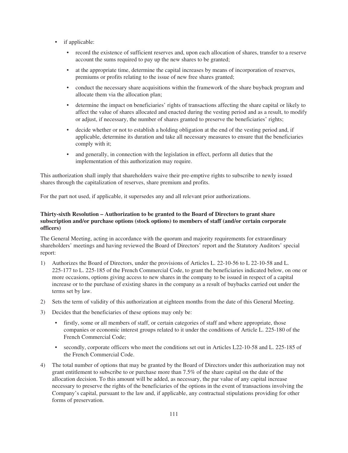- if applicable:
	- record the existence of sufficient reserves and, upon each allocation of shares, transfer to a reserve account the sums required to pay up the new shares to be granted;
	- at the appropriate time, determine the capital increases by means of incorporation of reserves, premiums or profits relating to the issue of new free shares granted;
	- conduct the necessary share acquisitions within the framework of the share buyback program and allocate them via the allocation plan;
	- determine the impact on beneficiaries' rights of transactions affecting the share capital or likely to affect the value of shares allocated and enacted during the vesting period and as a result, to modify or adjust, if necessary, the number of shares granted to preserve the beneficiaries' rights;
	- decide whether or not to establish a holding obligation at the end of the vesting period and, if applicable, determine its duration and take all necessary measures to ensure that the beneficiaries comply with it;
	- and generally, in connection with the legislation in effect, perform all duties that the implementation of this authorization may require.

This authorization shall imply that shareholders waive their pre-emptive rights to subscribe to newly issued shares through the capitalization of reserves, share premium and profits.

For the part not used, if applicable, it supersedes any and all relevant prior authorizations.

## **Thirty-sixth Resolution – Authorization to be granted to the Board of Directors to grant share subscription and/or purchase options (stock options) to members of staff (and/or certain corporate officers)**

The General Meeting, acting in accordance with the quorum and majority requirements for extraordinary shareholders' meetings and having reviewed the Board of Directors' report and the Statutory Auditors' special report:

- 1) Authorizes the Board of Directors, under the provisions of Articles L. 22-10-56 to L 22-10-58 and L. 225-177 to L. 225-185 of the French Commercial Code, to grant the beneficiaries indicated below, on one or more occasions, options giving access to new shares in the company to be issued in respect of a capital increase or to the purchase of existing shares in the company as a result of buybacks carried out under the terms set by law.
- 2) Sets the term of validity of this authorization at eighteen months from the date of this General Meeting.
- 3) Decides that the beneficiaries of these options may only be:
	- firstly, some or all members of staff, or certain categories of staff and where appropriate, those companies or economic interest groups related to it under the conditions of Article L. 225-180 of the French Commercial Code;
	- secondly, corporate officers who meet the conditions set out in Articles L22-10-58 and L. 225-185 of the French Commercial Code.
- 4) The total number of options that may be granted by the Board of Directors under this authorization may not grant entitlement to subscribe to or purchase more than 7.5% of the share capital on the date of the allocation decision. To this amount will be added, as necessary, the par value of any capital increase necessary to preserve the rights of the beneficiaries of the options in the event of transactions involving the Company's capital, pursuant to the law and, if applicable, any contractual stipulations providing for other forms of preservation.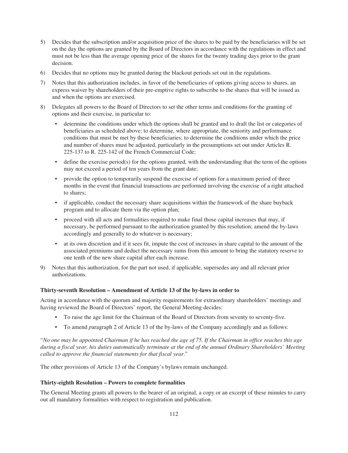- 5) Decides that the subscription and/or acquisition price of the shares to be paid by the beneficiaries will be set on the day the options are granted by the Board of Directors in accordance with the regulations in effect and must not be less than the average opening price of the shares for the twenty trading days prior to the grant decision.
- 6) Decides that no options may be granted during the blackout periods set out in the regulations.
- 7) Notes that this authorization includes, in favor of the beneficiaries of options giving access to shares, an express waiver by shareholders of their pre-emptive rights to subscribe to the shares that will be issued as and when the options are exercised.
- 8) Delegates all powers to the Board of Directors to set the other terms and conditions for the granting of options and their exercise, in particular to:
	- determine the conditions under which the options shall be granted and to draft the list or categories of beneficiaries as scheduled above; to determine, where appropriate, the seniority and performance conditions that must be met by these beneficiaries; to determine the conditions under which the price and number of shares must be adjusted, particularly in the presumptions set out under Articles R. 225-137 to R. 225-142 of the French Commercial Code;
	- define the exercise period(s) for the options granted, with the understanding that the term of the options may not exceed a period of ten years from the grant date;
	- provide the option to temporarily suspend the exercise of options for a maximum period of three months in the event that financial transactions are performed involving the exercise of a right attached to shares;
	- if applicable, conduct the necessary share acquisitions within the framework of the share buyback program and to allocate them via the option plan;
	- proceed with all acts and formalities required to make final those capital increases that may, if necessary, be performed pursuant to the authorization granted by this resolution; amend the by-laws accordingly and generally to do whatever is necessary;
	- at its own discretion and if it sees fit, impute the cost of increases in share capital to the amount of the associated premiums and deduct the necessary sums from this amount to bring the statutory reserve to one tenth of the new share capital after each increase.
- 9) Notes that this authorization, for the part not used, if applicable, supersedes any and all relevant prior authorizations.

## **Thirty-seventh Resolution – Amendment of Article 13 of the by-laws in order to**

Acting in accordance with the quorum and majority requirements for extraordinary shareholders' meetings and having reviewed the Board of Directors' report, the General Meeting decides:

- To raise the age limit for the Chairman of the Board of Directors from seventy to seventy-five.
- To amend *p*aragraph 2 of Article 13 of the by-laws of the Company accordingly and as follows:

"*No one may be appointed Chairman if he has reached the age of 75. If the Chairman in office reaches this age during a fiscal year, his duties automatically terminate at the end of the annual Ordinary Shareholders' Meeting called to approve the financial statements for that fiscal year*."

The other provisions of Article 13 of the Company's bylaws remain unchanged.

### **Thirty-eighth Resolution – Powers to complete formalities**

The General Meeting grants all powers to the bearer of an original, a copy or an excerpt of these minutes to carry out all mandatory formalities with respect to registration and publication.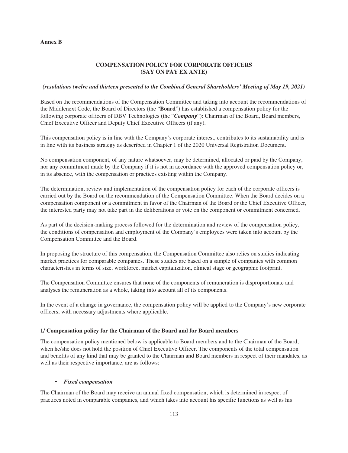### **Annex B**

# **COMPENSATION POLICY FOR CORPORATE OFFICERS (SAY ON PAY EX ANTE)**

### *(resolutions twelve and thirteen presented to the Combined General Shareholders' Meeting of May 19, 2021)*

Based on the recommendations of the Compensation Committee and taking into account the recommendations of the Middlenext Code, the Board of Directors (the "**Board**") has established a compensation policy for the following corporate officers of DBV Technologies (the "*Company*"): Chairman of the Board, Board members, Chief Executive Officer and Deputy Chief Executive Officers (if any).

This compensation policy is in line with the Company's corporate interest, contributes to its sustainability and is in line with its business strategy as described in Chapter 1 of the 2020 Universal Registration Document.

No compensation component, of any nature whatsoever, may be determined, allocated or paid by the Company, nor any commitment made by the Company if it is not in accordance with the approved compensation policy or, in its absence, with the compensation or practices existing within the Company.

The determination, review and implementation of the compensation policy for each of the corporate officers is carried out by the Board on the recommendation of the Compensation Committee. When the Board decides on a compensation component or a commitment in favor of the Chairman of the Board or the Chief Executive Officer, the interested party may not take part in the deliberations or vote on the component or commitment concerned.

As part of the decision-making process followed for the determination and review of the compensation policy, the conditions of compensation and employment of the Company's employees were taken into account by the Compensation Committee and the Board.

In proposing the structure of this compensation, the Compensation Committee also relies on studies indicating market practices for comparable companies. These studies are based on a sample of companies with common characteristics in terms of size, workforce, market capitalization, clinical stage or geographic footprint.

The Compensation Committee ensures that none of the components of remuneration is disproportionate and analyses the remuneration as a whole, taking into account all of its components.

In the event of a change in governance, the compensation policy will be applied to the Company's new corporate officers, with necessary adjustments where applicable.

### **1/ Compensation policy for the Chairman of the Board and for Board members**

The compensation policy mentioned below is applicable to Board members and to the Chairman of the Board, when he/she does not hold the position of Chief Executive Officer. The components of the total compensation and benefits of any kind that may be granted to the Chairman and Board members in respect of their mandates, as well as their respective importance, are as follows:

### • *Fixed compensation*

The Chairman of the Board may receive an annual fixed compensation, which is determined in respect of practices noted in comparable companies, and which takes into account his specific functions as well as his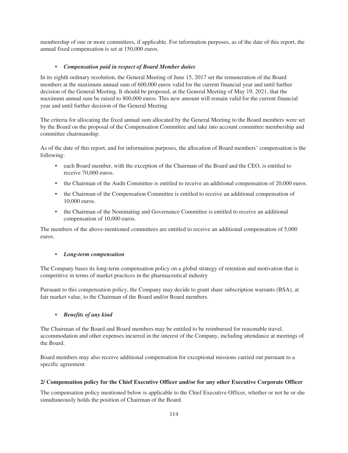membership of one or more committees, if applicable. For information purposes, as of the date of this report, the annual fixed compensation is set at 150,000 euros.

# • *Compensation paid in respect of Board Member duties*

In its eighth ordinary resolution, the General Meeting of June 15, 2017 set the remuneration of the Board members at the maximum annual sum of 600,000 euros valid for the current financial year and until further decision of the General Meeting. It should be proposed, at the General Meeting of May 19, 2021, that the maximum annual sum be raised to 800,000 euros. This new amount will remain valid for the current financial year and until further decision of the General Meeting.

The criteria for allocating the fixed annual sum allocated by the General Meeting to the Board members were set by the Board on the proposal of the Compensation Committee and take into account committee membership and committee chairmanship.

As of the date of this report, and for information purposes, the allocation of Board members' compensation is the following:

- each Board member, with the exception of the Chairman of the Board and the CEO, is entitled to receive 70,000 euros.
- the Chairman of the Audit Committee is entitled to receive an additional compensation of 20,000 euros.
- the Chairman of the Compensation Committee is entitled to receive an additional compensation of 10,000 euros.
- the Chairman of the Nominating and Governance Committee is entitled to receive an additional compensation of 10,000 euros.

The members of the above-mentioned committees are entitled to receive an additional compensation of 5,000 euros.

### • *Long-term compensation*

The Company bases its long-term compensation policy on a global strategy of retention and motivation that is competitive in terms of market practices in the pharmaceutical industry

Pursuant to this compensation policy, the Company may decide to grant share subscription warrants (BSA), at fair market value, to the Chairman of the Board and/or Board members.

## • *Benefits of any kind*

The Chairman of the Board and Board members may be entitled to be reimbursed for reasonable travel, accommodation and other expenses incurred in the interest of the Company, including attendance at meetings of the Board.

Board members may also receive additional compensation for exceptional missions carried out pursuant to a specific agreement.

### **2/ Compensation policy for the Chief Executive Officer and/or for any other Executive Corporate Officer**

The compensation policy mentioned below is applicable to the Chief Executive Officer, whether or not he or she simultaneously holds the position of Chairman of the Board.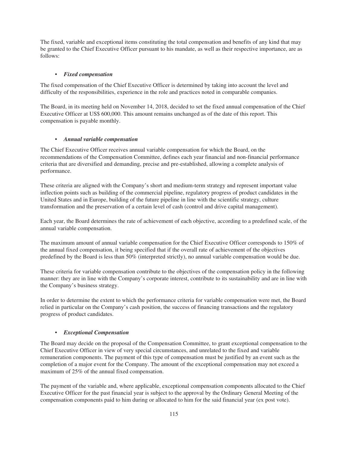The fixed, variable and exceptional items constituting the total compensation and benefits of any kind that may be granted to the Chief Executive Officer pursuant to his mandate, as well as their respective importance, are as follows:

### • *Fixed compensation*

The fixed compensation of the Chief Executive Officer is determined by taking into account the level and difficulty of the responsibilities, experience in the role and practices noted in comparable companies.

The Board, in its meeting held on November 14, 2018, decided to set the fixed annual compensation of the Chief Executive Officer at US\$ 600,000. This amount remains unchanged as of the date of this report. This compensation is payable monthly.

### • *Annual variable compensation*

The Chief Executive Officer receives annual variable compensation for which the Board, on the recommendations of the Compensation Committee, defines each year financial and non-financial performance criteria that are diversified and demanding, precise and pre-established, allowing a complete analysis of performance.

These criteria are aligned with the Company's short and medium-term strategy and represent important value inflection points such as building of the commercial pipeline, regulatory progress of product candidates in the United States and in Europe, building of the future pipeline in line with the scientific strategy, culture transformation and the preservation of a certain level of cash (control and drive capital management).

Each year, the Board determines the rate of achievement of each objective, according to a predefined scale, of the annual variable compensation.

The maximum amount of annual variable compensation for the Chief Executive Officer corresponds to 150% of the annual fixed compensation, it being specified that if the overall rate of achievement of the objectives predefined by the Board is less than 50% (interpreted strictly), no annual variable compensation would be due.

These criteria for variable compensation contribute to the objectives of the compensation policy in the following manner: they are in line with the Company's corporate interest, contribute to its sustainability and are in line with the Company's business strategy.

In order to determine the extent to which the performance criteria for variable compensation were met, the Board relied in particular on the Company's cash position, the success of financing transactions and the regulatory progress of product candidates.

### • *Exceptional Compensation*

The Board may decide on the proposal of the Compensation Committee, to grant exceptional compensation to the Chief Executive Officer in view of very special circumstances, and unrelated to the fixed and variable remuneration components. The payment of this type of compensation must be justified by an event such as the completion of a major event for the Company. The amount of the exceptional compensation may not exceed a maximum of 25% of the annual fixed compensation.

The payment of the variable and, where applicable, exceptional compensation components allocated to the Chief Executive Officer for the past financial year is subject to the approval by the Ordinary General Meeting of the compensation components paid to him during or allocated to him for the said financial year (ex post vote).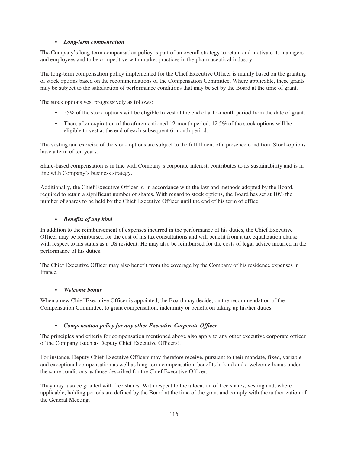## • *Long-term compensation*

The Company's long-term compensation policy is part of an overall strategy to retain and motivate its managers and employees and to be competitive with market practices in the pharmaceutical industry.

The long-term compensation policy implemented for the Chief Executive Officer is mainly based on the granting of stock options based on the recommendations of the Compensation Committee. Where applicable, these grants may be subject to the satisfaction of performance conditions that may be set by the Board at the time of grant.

The stock options vest progressively as follows:

- 25% of the stock options will be eligible to vest at the end of a 12-month period from the date of grant.
- Then, after expiration of the aforementioned 12-month period, 12.5% of the stock options will be eligible to vest at the end of each subsequent 6-month period.

The vesting and exercise of the stock options are subject to the fulfillment of a presence condition. Stock-options have a term of ten years.

Share-based compensation is in line with Company's corporate interest, contributes to its sustainability and is in line with Company's business strategy.

Additionally, the Chief Executive Officer is, in accordance with the law and methods adopted by the Board, required to retain a significant number of shares. With regard to stock options, the Board has set at 10% the number of shares to be held by the Chief Executive Officer until the end of his term of office.

### • *Benefits of any kind*

In addition to the reimbursement of expenses incurred in the performance of his duties, the Chief Executive Officer may be reimbursed for the cost of his tax consultations and will benefit from a tax equalization clause with respect to his status as a US resident. He may also be reimbursed for the costs of legal advice incurred in the performance of his duties.

The Chief Executive Officer may also benefit from the coverage by the Company of his residence expenses in France.

### • *Welcome bonus*

When a new Chief Executive Officer is appointed, the Board may decide, on the recommendation of the Compensation Committee, to grant compensation, indemnity or benefit on taking up his/her duties.

### • *Compensation policy for any other Executive Corporate Officer*

The principles and criteria for compensation mentioned above also apply to any other executive corporate officer of the Company (such as Deputy Chief Executive Officers).

For instance, Deputy Chief Executive Officers may therefore receive, pursuant to their mandate, fixed, variable and exceptional compensation as well as long-term compensation, benefits in kind and a welcome bonus under the same conditions as those described for the Chief Executive Officer.

They may also be granted with free shares. With respect to the allocation of free shares, vesting and, where applicable, holding periods are defined by the Board at the time of the grant and comply with the authorization of the General Meeting.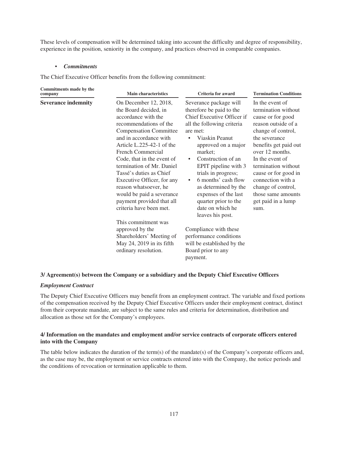These levels of compensation will be determined taking into account the difficulty and degree of responsibility, experience in the position, seniority in the company, and practices observed in comparable companies.

#### • *Commitments*

The Chief Executive Officer benefits from the following commitment:

| Commitments made by the<br>company | <b>Main characteristics</b>                                                                                                                                                                                                                                                                                                                                                                                                                                                                                                                                                        | <b>Criteria for award</b>                                                                                                                                                                                                                                                                                                                                                                                                                                                                                                                    | <b>Termination Conditions</b>                                                                                                                                                                                                                                                                                                          |
|------------------------------------|------------------------------------------------------------------------------------------------------------------------------------------------------------------------------------------------------------------------------------------------------------------------------------------------------------------------------------------------------------------------------------------------------------------------------------------------------------------------------------------------------------------------------------------------------------------------------------|----------------------------------------------------------------------------------------------------------------------------------------------------------------------------------------------------------------------------------------------------------------------------------------------------------------------------------------------------------------------------------------------------------------------------------------------------------------------------------------------------------------------------------------------|----------------------------------------------------------------------------------------------------------------------------------------------------------------------------------------------------------------------------------------------------------------------------------------------------------------------------------------|
| <b>Severance indemnity</b>         | On December 12, 2018,<br>the Board decided, in<br>accordance with the<br>recommendations of the<br><b>Compensation Committee</b><br>and in accordance with<br>Article $L.225-42-1$ of the<br><b>French Commercial</b><br>Code, that in the event of<br>termination of Mr. Daniel<br>Tassé's duties as Chief<br>Executive Officer, for any<br>reason whatsoever, he<br>would be paid a severance<br>payment provided that all<br>criteria have been met.<br>This commitment was<br>approved by the<br>Shareholders' Meeting of<br>May 24, 2019 in its fifth<br>ordinary resolution. | Severance package will<br>therefore be paid to the<br>Chief Executive Officer if<br>all the following criteria<br>are met:<br>Viaskin Peanut<br>٠<br>approved on a major<br>market:<br>Construction of an<br>$\bullet$<br>EPIT pipeline with 3<br>trials in progress;<br>6 months' cash flow<br>$\bullet$<br>as determined by the<br>expenses of the last<br>quarter prior to the<br>date on which he<br>leaves his post.<br>Compliance with these<br>performance conditions<br>will be established by the<br>Board prior to any<br>payment. | In the event of<br>termination without<br>cause or for good<br>reason outside of a<br>change of control,<br>the severance<br>benefits get paid out<br>over 12 months.<br>In the event of<br>termination without<br>cause or for good in<br>connection with a<br>change of control,<br>those same amounts<br>get paid in a lump<br>sum. |

# **3/ Agreement(s) between the Company or a subsidiary and the Deputy Chief Executive Officers**

### *Employment Contract*

The Deputy Chief Executive Officers may benefit from an employment contract. The variable and fixed portions of the compensation received by the Deputy Chief Executive Officers under their employment contract, distinct from their corporate mandate, are subject to the same rules and criteria for determination, distribution and allocation as those set for the Company's employees.

## **4/ Information on the mandates and employment and/or service contracts of corporate officers entered into with the Company**

The table below indicates the duration of the term(s) of the mandate(s) of the Company's corporate officers and, as the case may be, the employment or service contracts entered into with the Company, the notice periods and the conditions of revocation or termination applicable to them.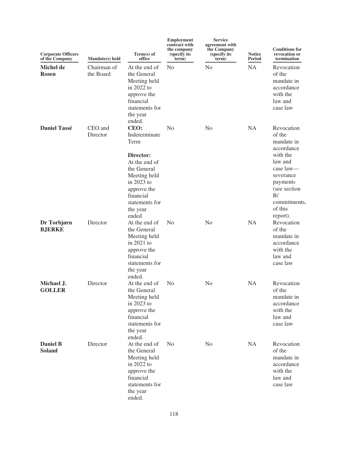| <b>Corporate Officers</b><br>of the Company | Mandate(s) held          | Term(s) of<br>office                                                                                                                                                        | <b>Employment</b><br>contract with<br>the company<br>(specify its<br>term) | <b>Service</b><br>agreement with<br>the Company<br>(specify its<br>term) | <b>Notice</b><br><b>Period</b> | <b>Conditions for</b><br>revocation or<br>termination                                                                                                                      |
|---------------------------------------------|--------------------------|-----------------------------------------------------------------------------------------------------------------------------------------------------------------------------|----------------------------------------------------------------------------|--------------------------------------------------------------------------|--------------------------------|----------------------------------------------------------------------------------------------------------------------------------------------------------------------------|
| <b>Michel de</b><br><b>Rosen</b>            | Chairman of<br>the Board | At the end of<br>the General<br>Meeting held<br>in $2022$ to<br>approve the<br>financial<br>statements for<br>the year<br>ended.                                            | No                                                                         | No                                                                       | <b>NA</b>                      | Revocation<br>of the<br>mandate in<br>accordance<br>with the<br>law and<br>case law                                                                                        |
| <b>Daniel Tassé</b>                         | CEO and<br>Director      | CEO:<br>Indeterminate<br>Term<br>Director:<br>At the end of<br>the General<br>Meeting held<br>in 2023 to<br>approve the<br>financial<br>statements for<br>the year<br>ended | N <sub>o</sub>                                                             | N <sub>0</sub>                                                           | <b>NA</b>                      | Revocation<br>of the<br>mandate in<br>accordance<br>with the<br>law and<br>case law-<br>severance<br>payments<br>(see section<br>B/<br>commitments,<br>of this<br>report). |
| Dr Torbjørn<br><b>BJERKE</b>                | Director                 | At the end of<br>the General<br>Meeting held<br>in $2021$ to<br>approve the<br>financial<br>statements for<br>the year<br>ended.                                            | N <sub>o</sub>                                                             | N <sub>0</sub>                                                           | <b>NA</b>                      | Revocation<br>of the<br>mandate in<br>accordance<br>with the<br>law and<br>case law                                                                                        |
| Michael J.<br><b>GOLLER</b>                 | Director                 | At the end of<br>the General<br>Meeting held<br>in 2023 to<br>approve the<br>financial<br>statements for<br>the year<br>ended.                                              | N <sub>0</sub>                                                             | N <sub>0</sub>                                                           | NA                             | Revocation<br>of the<br>mandate in<br>accordance<br>with the<br>law and<br>case law                                                                                        |
| <b>Daniel B</b><br><b>Soland</b>            | Director                 | At the end of<br>the General<br>Meeting held<br>in 2022 to<br>approve the<br>financial<br>statements for<br>the year<br>ended.                                              | N <sub>0</sub>                                                             | No                                                                       | NA                             | Revocation<br>of the<br>mandate in<br>accordance<br>with the<br>law and<br>case law                                                                                        |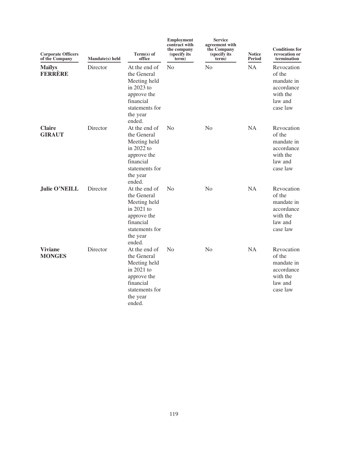| <b>Corporate Officers</b><br>of the Company | Mandate(s) held | Term(s) of<br>office                                                                                                           | <b>Employment</b><br>contract with<br>the company<br>(specify its)<br>term) | <b>Service</b><br>agreement with<br>the Company<br>(specify its<br>term) | <b>Notice</b><br><b>Period</b> | <b>Conditions for</b><br>revocation or<br>termination                               |
|---------------------------------------------|-----------------|--------------------------------------------------------------------------------------------------------------------------------|-----------------------------------------------------------------------------|--------------------------------------------------------------------------|--------------------------------|-------------------------------------------------------------------------------------|
| <b>Mailys</b><br><b>FERRÈRE</b>             | Director        | At the end of<br>the General<br>Meeting held<br>in 2023 to<br>approve the<br>financial<br>statements for<br>the year<br>ended. | N <sub>o</sub>                                                              | N <sub>o</sub>                                                           | <b>NA</b>                      | Revocation<br>of the<br>mandate in<br>accordance<br>with the<br>law and<br>case law |
| <b>Claire</b><br><b>GIRAUT</b>              | Director        | At the end of<br>the General<br>Meeting held<br>in 2022 to<br>approve the<br>financial<br>statements for<br>the year<br>ended. | No                                                                          | No                                                                       | <b>NA</b>                      | Revocation<br>of the<br>mandate in<br>accordance<br>with the<br>law and<br>case law |
| <b>Julie O'NEILL</b>                        | Director        | At the end of<br>the General<br>Meeting held<br>in 2021 to<br>approve the<br>financial<br>statements for<br>the year<br>ended. | No                                                                          | N <sub>o</sub>                                                           | <b>NA</b>                      | Revocation<br>of the<br>mandate in<br>accordance<br>with the<br>law and<br>case law |
| <b>Viviane</b><br><b>MONGES</b>             | Director        | At the end of<br>the General<br>Meeting held<br>in 2021 to<br>approve the<br>financial<br>statements for<br>the year<br>ended. | No                                                                          | No                                                                       | <b>NA</b>                      | Revocation<br>of the<br>mandate in<br>accordance<br>with the<br>law and<br>case law |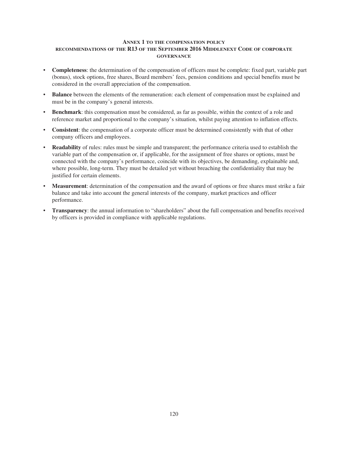## **ANNEX 1 TO THE COMPENSATION POLICY RECOMMENDATIONS OF THE R13 OF THE SEPTEMBER 2016 MIDDLENEXT CODE OF CORPORATE GOVERNANCE**

- **Completeness**: the determination of the compensation of officers must be complete: fixed part, variable part (bonus), stock options, free shares, Board members' fees, pension conditions and special benefits must be considered in the overall appreciation of the compensation.
- **Balance** between the elements of the remuneration: each element of compensation must be explained and must be in the company's general interests.
- **Benchmark**: this compensation must be considered, as far as possible, within the context of a role and reference market and proportional to the company's situation, whilst paying attention to inflation effects.
- **Consistent**: the compensation of a corporate officer must be determined consistently with that of other company officers and employees.
- **Readability** of rules: rules must be simple and transparent; the performance criteria used to establish the variable part of the compensation or, if applicable, for the assignment of free shares or options, must be connected with the company's performance, coincide with its objectives, be demanding, explainable and, where possible, long-term. They must be detailed yet without breaching the confidentiality that may be justified for certain elements.
- **Measurement**: determination of the compensation and the award of options or free shares must strike a fair balance and take into account the general interests of the company, market practices and officer performance.
- **Transparency**: the annual information to "shareholders" about the full compensation and benefits received by officers is provided in compliance with applicable regulations.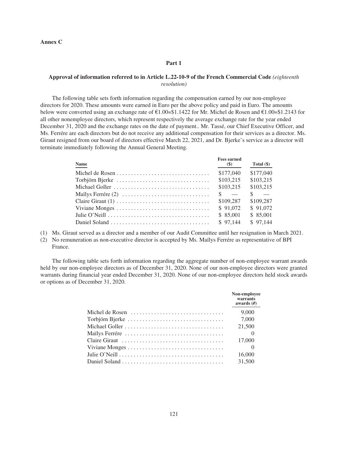**Annex C**

#### **Part 1**

### **Approval of information referred to in Article L.22-10-9 of the French Commercial Code** *(eighteenth resolution)*

The following table sets forth information regarding the compensation earned by our non-employee directors for 2020. These amounts were earned in Euro per the above policy and paid in Euro. The amounts below were converted using an exchange rate of €1.00=\$1.1422 for Mr. Michel de Rosen and €1.00=\$1.2143 for all other nonemployee directors, which represent respectively the average exchange rate for the year ended December 31, 2020 and the exchange rates on the date of payment.. Mr. Tassé, our Chief Executive Officer, and Ms. Ferrére are each directors but do not receive any additional compensation for their services as a director. Ms. Giraut resigned from our board of directors effective March 22, 2021, and Dr. Bjerke's service as a director will terminate immediately following the Annual General Meeting.

| <b>Name</b> | <b>Fees earned</b><br>$(\$)$ | Total $(\$)$ |
|-------------|------------------------------|--------------|
|             | \$177,040                    | \$177,040    |
|             | \$103,215                    | \$103,215    |
|             | \$103,215                    | \$103,215    |
|             | $\sim$                       | $\sim$       |
|             | \$109.287                    | \$109.287    |
|             | \$91,072                     | \$91,072     |
|             | \$ 85,001                    | \$ 85,001    |
|             | \$97.144                     | \$97,144     |

- (1) Ms. Giraut served as a director and a member of our Audit Committee until her resignation in March 2021.
- (2) No remuneration as non-executive director is accepted by Ms. Maïlys Ferrére as representative of BPI France.

The following table sets forth information regarding the aggregate number of non-employee warrant awards held by our non-employee directors as of December 31, 2020. None of our non-employee directors were granted warrants during financial year ended December 31, 2020. None of our non-employee directors held stock awards or options as of December 31, 2020.

| Non-employee<br>warrants<br>awards $(H)$ |
|------------------------------------------|
| 9,000                                    |
| 7,000                                    |
| 21,500                                   |
|                                          |
| 17,000                                   |
|                                          |
| 16,000                                   |
| 31,500                                   |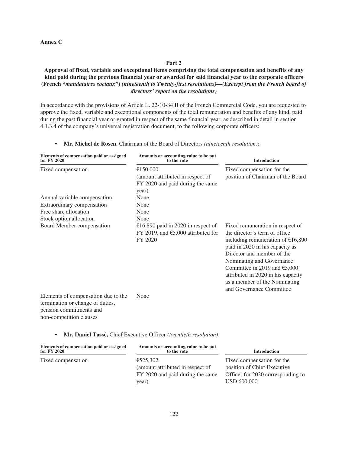### **Annex C**

## **Part 2**

# **Approval of fixed, variable and exceptional items comprising the total compensation and benefits of any kind paid during the previous financial year or awarded for said financial year to the corporate officers (French "***mandataires sociaux***")** *(nineteenth to Twenty-first resolutions)—(Excerpt from the French board of directors' report on the resolutions)*

In accordance with the provisions of Article L. 22-10-34 II of the French Commercial Code, you are requested to approve the fixed, variable and exceptional components of the total remuneration and benefits of any kind, paid during the past financial year or granted in respect of the same financial year, as described in detail in section 4.1.3.4 of the company's universal registration document, to the following corporate officers:

### • **Mr. Michel de Rosen**, Chairman of the Board of Directors *(nineteenth resolution)*:

| Elements of compensation paid or assigned<br>for FY 2020                                                                      | Amounts or accounting value to be put<br>to the vote                                          | <b>Introduction</b>                                                                                                                                                                                                                                                                                                                                            |
|-------------------------------------------------------------------------------------------------------------------------------|-----------------------------------------------------------------------------------------------|----------------------------------------------------------------------------------------------------------------------------------------------------------------------------------------------------------------------------------------------------------------------------------------------------------------------------------------------------------------|
| Fixed compensation                                                                                                            | €150,000<br>(amount attributed in respect of<br>FY 2020 and paid during the same<br>year)     | Fixed compensation for the<br>position of Chairman of the Board                                                                                                                                                                                                                                                                                                |
| Annual variable compensation                                                                                                  | None                                                                                          |                                                                                                                                                                                                                                                                                                                                                                |
| Extraordinary compensation                                                                                                    | None                                                                                          |                                                                                                                                                                                                                                                                                                                                                                |
| Free share allocation                                                                                                         | None                                                                                          |                                                                                                                                                                                                                                                                                                                                                                |
| Stock option allocation                                                                                                       | None                                                                                          |                                                                                                                                                                                                                                                                                                                                                                |
| Board Member compensation                                                                                                     | €16,890 paid in 2020 in respect of<br>FY 2019, and $\epsilon$ 5,000 attributed for<br>FY 2020 | Fixed remuneration in respect of<br>the director's term of office<br>including remuneration of $£16,890$<br>paid in 2020 in his capacity as<br>Director and member of the<br>Nominating and Governance<br>Committee in 2019 and $\text{\textsterling}5,000$<br>attributed in 2020 in his capacity<br>as a member of the Nominating<br>and Governance Committee |
| Elements of compensation due to the<br>termination or change of duties,<br>pension commitments and<br>non-competition clauses | None                                                                                          |                                                                                                                                                                                                                                                                                                                                                                |

|  | Mr. Daniel Tassé, Chief Executive Officer (twentieth resolution): |  |  |  |  |  |  |  |
|--|-------------------------------------------------------------------|--|--|--|--|--|--|--|
|--|-------------------------------------------------------------------|--|--|--|--|--|--|--|

| Elements of compensation paid or assigned<br>for FY 2020 | Amounts or accounting value to be put<br>to the vote                                      | <b>Introduction</b>                                                                                            |  |  |
|----------------------------------------------------------|-------------------------------------------------------------------------------------------|----------------------------------------------------------------------------------------------------------------|--|--|
| Fixed compensation                                       | €525,302<br>(amount attributed in respect of<br>FY 2020 and paid during the same<br>year) | Fixed compensation for the<br>position of Chief Executive<br>Officer for 2020 corresponding to<br>USD 600,000. |  |  |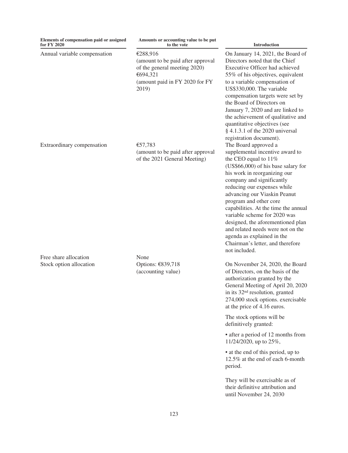| Elements of compensation paid or assigned<br>for FY 2020 | Amounts or accounting value to be put<br>to the vote                                                                                 | Introduction                                                                                                                                                                                                                                                                                                                                                                                                                                                                                                                                                              |
|----------------------------------------------------------|--------------------------------------------------------------------------------------------------------------------------------------|---------------------------------------------------------------------------------------------------------------------------------------------------------------------------------------------------------------------------------------------------------------------------------------------------------------------------------------------------------------------------------------------------------------------------------------------------------------------------------------------------------------------------------------------------------------------------|
| Annual variable compensation                             | €288,916<br>(amount to be paid after approval<br>of the general meeting 2020)<br>€694,321<br>(amount paid in FY 2020 for FY<br>2019) | On January 14, 2021, the Board of<br>Directors noted that the Chief<br>Executive Officer had achieved<br>55% of his objectives, equivalent<br>to a variable compensation of<br>US\$330,000. The variable<br>compensation targets were set by<br>the Board of Directors on<br>January 7, 2020 and are linked to<br>the achievement of qualitative and<br>quantitative objectives (see<br>§ 4.1.3.1 of the 2020 universal                                                                                                                                                   |
| Extraordinary compensation                               | €57,783<br>(amount to be paid after approval<br>of the 2021 General Meeting)                                                         | registration document).<br>The Board approved a<br>supplemental incentive award to<br>the CEO equal to $11\%$<br>(US\$66,000) of his base salary for<br>his work in reorganizing our<br>company and significantly<br>reducing our expenses while<br>advancing our Viaskin Peanut<br>program and other core<br>capabilities. At the time the annual<br>variable scheme for 2020 was<br>designed, the aforementioned plan<br>and related needs were not on the<br>agenda as explained in the<br>Chairman's letter, and therefore<br>not included.                           |
| Free share allocation<br>Stock option allocation         | None<br>Options: €839,718<br>(accounting value)                                                                                      | On November 24, 2020, the Board<br>of Directors, on the basis of the<br>authorization granted by the<br>General Meeting of April 20, 2020<br>in its 32 <sup>nd</sup> resolution, granted<br>274,000 stock options. exercisable<br>at the price of 4.16 euros.<br>The stock options will be<br>definitively granted:<br>• after a period of 12 months from<br>11/24/2020, up to 25%,<br>• at the end of this period, up to<br>12.5% at the end of each 6-month<br>period.<br>They will be exercisable as of<br>their definitive attribution and<br>until November 24, 2030 |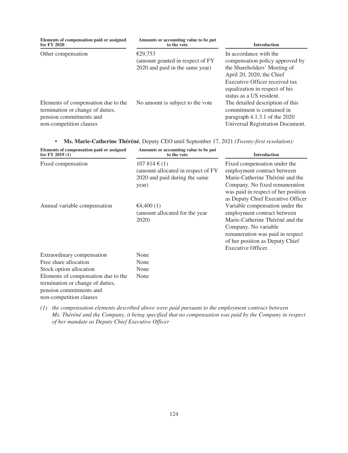| Elements of compensation paid or assigned<br>for FY 2020                                                                      | Amounts or accounting value to be put<br>to the vote | <b>Introduction</b>                                                                                                                                       |
|-------------------------------------------------------------------------------------------------------------------------------|------------------------------------------------------|-----------------------------------------------------------------------------------------------------------------------------------------------------------|
| Other compensation                                                                                                            | €29,753<br>(amount granted in respect of FY)         | In accordance with the<br>compensation policy approved by                                                                                                 |
|                                                                                                                               | 2020 and paid in the same year)                      | the Shareholders' Meeting of<br>April 20, 2020, the Chief<br>Executive Officer received tax<br>equalization in respect of his<br>status as a US resident. |
| Elements of compensation due to the<br>termination or change of duties,<br>pension commitments and<br>non-competition clauses | No amount is subject to the vote                     | The detailed description of this<br>commitment is contained in<br>paragraph $4.1.3.1$ of the $2020$<br>Universal Registration Document.                   |

|  |  |  |  | Ms. Marie-Catherine Théréné, Deputy CEO until September 17, 2021 (Twenty-first resolution): |
|--|--|--|--|---------------------------------------------------------------------------------------------|
|--|--|--|--|---------------------------------------------------------------------------------------------|

| Elements of compensation paid or assigned<br>for $FY$ 2019 $(1)$                                                                                                                                                | Amounts or accounting value to be put<br>to the vote                                                       | <b>Introduction</b>                                                                                                                                                                                                    |
|-----------------------------------------------------------------------------------------------------------------------------------------------------------------------------------------------------------------|------------------------------------------------------------------------------------------------------------|------------------------------------------------------------------------------------------------------------------------------------------------------------------------------------------------------------------------|
| Fixed compensation                                                                                                                                                                                              | $107814 \text{ } \in (1)$<br>(amount allocated in respect of FY)<br>2020 and paid during the same<br>year) | Fixed compensation under the<br>employment contract between<br>Marie-Catherine Théréné and the<br>Company. No fixed remuneration<br>was paid in respect of her position<br>as Deputy Chief Executive Officer           |
| Annual variable compensation                                                                                                                                                                                    | €4,400 $(1)$<br>(amount allocated for the year)<br>2020)                                                   | Variable compensation under the<br>employment contract between<br>Marie-Catherine Théréné and the<br>Company. No variable<br>remuneration was paid in respect<br>of her position as Deputy Chief<br>Executive Officer. |
| Extraordinary compensation<br>Free share allocation<br>Stock option allocation<br>Elements of compensation due to the<br>termination or change of duties,<br>pension commitments and<br>non-competition clauses | None<br>None<br>None<br>None                                                                               |                                                                                                                                                                                                                        |

*(1) the compensation elements described above were paid pursuant to the employment contract between Ms. Théréné and the Company, it being specified that no compensation was paid by the Company in respect of her mandate as Deputy Chief Executive Officer*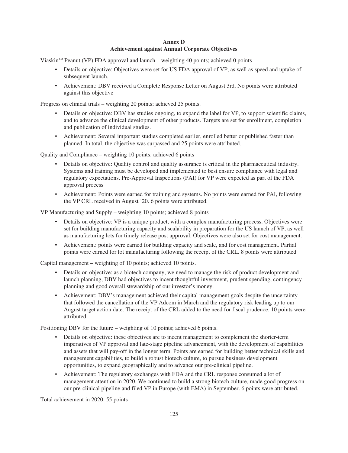# **Annex D Achievement against Annual Corporate Objectives**

Viaskin™ Peanut (VP) FDA approval and launch – weighting 40 points; achieved 0 points

- Details on objective: Objectives were set for US FDA approval of VP, as well as speed and uptake of subsequent launch.
- Achievement: DBV received a Complete Response Letter on August 3rd. No points were attributed against this objective

Progress on clinical trials – weighting 20 points; achieved 25 points.

- Details on objective: DBV has studies ongoing, to expand the label for VP, to support scientific claims, and to advance the clinical development of other products. Targets are set for enrollment, completion and publication of individual studies.
- Achievement: Several important studies completed earlier, enrolled better or published faster than planned. In total, the objective was surpassed and 25 points were attributed.

Quality and Compliance – weighting 10 points; achieved 6 points

- Details on objective: Quality control and quality assurance is critical in the pharmaceutical industry. Systems and training must be developed and implemented to best ensure compliance with legal and regulatory expectations. Pre-Approval Inspections (PAI) for VP were expected as part of the FDA approval process
- Achievement: Points were earned for training and systems. No points were earned for PAI, following the VP CRL received in August '20. 6 points were attributed.

VP Manufacturing and Supply – weighting 10 points; achieved 8 points

- Details on objective: VP is a unique product, with a complex manufacturing process. Objectives were set for building manufacturing capacity and scalability in preparation for the US launch of VP, as well as manufacturing lots for timely release post approval. Objectives were also set for cost management.
- Achievement: points were earned for building capacity and scale, and for cost management. Partial points were earned for lot manufacturing following the receipt of the CRL. 8 points were attributed

Capital management – weighting of 10 points; achieved 10 points.

- Details on objective: as a biotech company, we need to manage the risk of product development and launch planning, DBV had objectives to incent thoughtful investment, prudent spending, contingency planning and good overall stewardship of our investor's money.
- Achievement: DBV's management achieved their capital management goals despite the uncertainty that followed the cancellation of the VP Adcom in March and the regulatory risk leading up to our August target action date. The receipt of the CRL added to the need for fiscal prudence. 10 points were attributed.

Positioning DBV for the future – weighting of 10 points; achieved 6 points.

- Details on objective: these objectives are to incent management to complement the shorter-term imperatives of VP approval and late-stage pipeline advancement, with the development of capabilities and assets that will pay-off in the longer term. Points are earned for building better technical skills and management capabilities, to build a robust biotech culture, to pursue business development opportunities, to expand geographically and to advance our pre-clinical pipeline.
- Achievement: The regulatory exchanges with FDA and the CRL response consumed a lot of management attention in 2020. We continued to build a strong biotech culture, made good progress on our pre-clinical pipeline and filed VP in Europe (with EMA) in September. 6 points were attributed.

Total achievement in 2020: 55 points